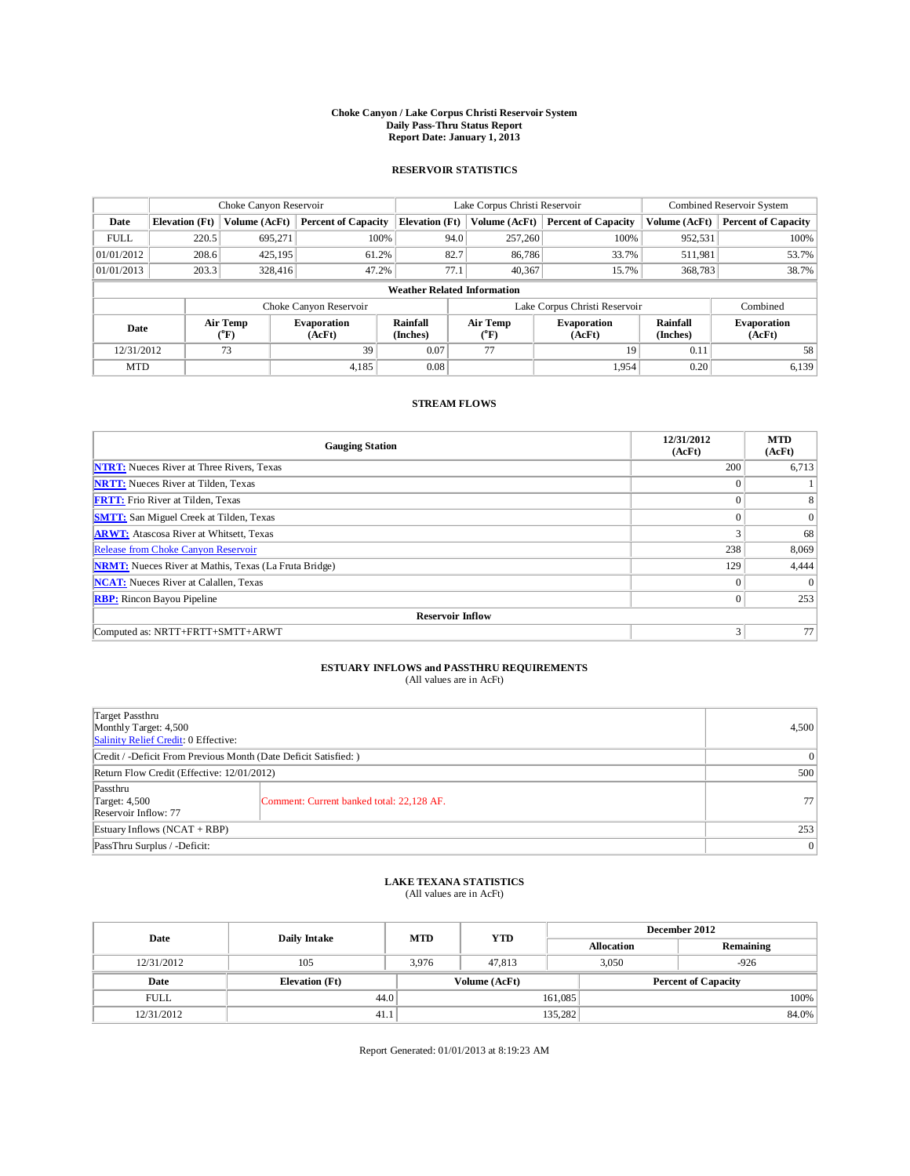## **Choke Canyon / Lake Corpus Christi Reservoir System Daily Pass-Thru Status Report Report Date: January 1, 2013**

### **RESERVOIR STATISTICS**

|             | Choke Canyon Reservoir             |                  | Lake Corpus Christi Reservoir |                       |      |                               | Combined Reservoir System    |                             |                              |  |  |
|-------------|------------------------------------|------------------|-------------------------------|-----------------------|------|-------------------------------|------------------------------|-----------------------------|------------------------------|--|--|
| Date        | <b>Elevation</b> (Ft)              | Volume (AcFt)    | <b>Percent of Capacity</b>    | <b>Elevation</b> (Ft) |      | Volume (AcFt)                 | <b>Percent of Capacity</b>   | Volume (AcFt)               | <b>Percent of Capacity</b>   |  |  |
| <b>FULL</b> | 220.5                              | 695,271          | 100%                          |                       | 94.0 | 257,260                       | 100%                         | 952,531                     | 100%                         |  |  |
| 01/01/2012  | 208.6                              | 425.195          | 61.2%                         |                       | 82.7 | 86,786                        | 33.7%                        | 511,981                     | 53.7%                        |  |  |
| 01/01/2013  | 203.3                              | 328,416          | 47.2%                         |                       | 77.1 | 40,367                        | 15.7%                        | 368,783                     | 38.7%                        |  |  |
|             | <b>Weather Related Information</b> |                  |                               |                       |      |                               |                              |                             |                              |  |  |
|             |                                    |                  | Choke Canyon Reservoir        |                       |      | Lake Corpus Christi Reservoir | Combined                     |                             |                              |  |  |
| Date        |                                    | Air Temp<br>(°F) | <b>Evaporation</b><br>(AcFt)  | Rainfall<br>(Inches)  |      | <b>Air Temp</b><br>$(^{o}F)$  | <b>Evaporation</b><br>(AcFt) | <b>Rainfall</b><br>(Inches) | <b>Evaporation</b><br>(AcFt) |  |  |
| 12/31/2012  |                                    | 73               | 39                            | 0.07                  |      | 77                            | 19                           | 0.11                        | 58                           |  |  |
| <b>MTD</b>  |                                    |                  | 4,185                         | 0.08                  |      |                               | 1,954                        | 0.20                        | 6,139                        |  |  |

### **STREAM FLOWS**

| <b>Gauging Station</b>                                       | 12/31/2012<br>(AcFt) | <b>MTD</b><br>(AcFt) |  |  |  |  |  |  |
|--------------------------------------------------------------|----------------------|----------------------|--|--|--|--|--|--|
| <b>NTRT:</b> Nueces River at Three Rivers, Texas             | 200                  | 6,713                |  |  |  |  |  |  |
| <b>NRTT:</b> Nueces River at Tilden, Texas                   | $\Omega$             |                      |  |  |  |  |  |  |
| <b>FRTT:</b> Frio River at Tilden, Texas                     | $\Omega$             | 8                    |  |  |  |  |  |  |
| <b>SMTT:</b> San Miguel Creek at Tilden, Texas               | $\Omega$             | $\overline{0}$       |  |  |  |  |  |  |
| <b>ARWT:</b> Atascosa River at Whitsett, Texas               | 3                    | 68                   |  |  |  |  |  |  |
| Release from Choke Canyon Reservoir                          | 238                  | 8,069                |  |  |  |  |  |  |
| <b>NRMT:</b> Nueces River at Mathis, Texas (La Fruta Bridge) | 129                  | 4,444                |  |  |  |  |  |  |
| <b>NCAT:</b> Nueces River at Calallen, Texas                 | $\Omega$             |                      |  |  |  |  |  |  |
| <b>RBP:</b> Rincon Bayou Pipeline                            | $\mathbf{0}$         | 253                  |  |  |  |  |  |  |
| <b>Reservoir Inflow</b>                                      |                      |                      |  |  |  |  |  |  |
| Computed as: NRTT+FRTT+SMTT+ARWT                             | 3                    | 77                   |  |  |  |  |  |  |

# **ESTUARY INFLOWS and PASSTHRU REQUIREMENTS**<br>(All values are in AcFt)

| Target Passthru<br>Monthly Target: 4,500<br>Salinity Relief Credit: 0 Effective: | 4,500                                     |    |  |  |
|----------------------------------------------------------------------------------|-------------------------------------------|----|--|--|
| Credit / -Deficit From Previous Month (Date Deficit Satisfied: )                 |                                           |    |  |  |
| Return Flow Credit (Effective: 12/01/2012)                                       |                                           |    |  |  |
| Passthru<br>Target: 4,500<br>Reservoir Inflow: 77                                | Comment: Current banked total: 22,128 AF. | 77 |  |  |
| Estuary Inflows $(NCAT + RBP)$                                                   | 253                                       |    |  |  |
| PassThru Surplus / -Deficit:                                                     |                                           | 0  |  |  |

## **LAKE TEXANA STATISTICS** (All values are in AcFt)

| Date        | <b>Daily Intake</b>   | <b>MTD</b> | <b>YTD</b>    | December 2012 |                   |                            |  |
|-------------|-----------------------|------------|---------------|---------------|-------------------|----------------------------|--|
|             |                       |            |               |               | <b>Allocation</b> | Remaining                  |  |
| 12/31/2012  | 105                   | 3.976      | 47.813        |               | 3.050<br>$-926$   |                            |  |
| Date        | <b>Elevation</b> (Ft) |            | Volume (AcFt) |               |                   | <b>Percent of Capacity</b> |  |
| <b>FULL</b> | 44.0                  |            |               | 161,085       |                   | 100%                       |  |
| 12/31/2012  | 41.1                  |            |               | 135,282       |                   | 84.0%                      |  |

Report Generated: 01/01/2013 at 8:19:23 AM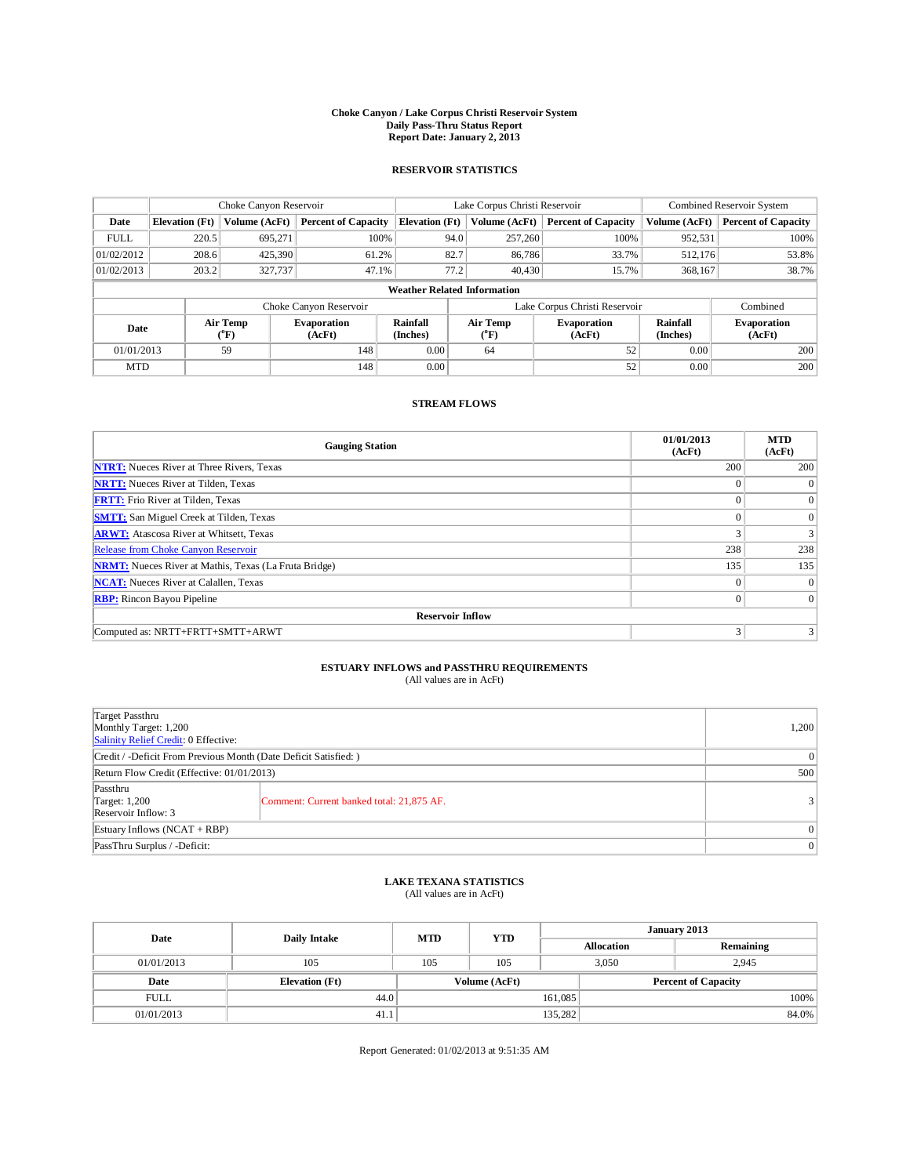## **Choke Canyon / Lake Corpus Christi Reservoir System Daily Pass-Thru Status Report Report Date: January 2, 2013**

#### **RESERVOIR STATISTICS**

|             | Choke Canyon Reservoir             |                  | Lake Corpus Christi Reservoir |                       |                               |                                     | Combined Reservoir System    |                             |                              |  |  |
|-------------|------------------------------------|------------------|-------------------------------|-----------------------|-------------------------------|-------------------------------------|------------------------------|-----------------------------|------------------------------|--|--|
| Date        | <b>Elevation</b> (Ft)              | Volume (AcFt)    | <b>Percent of Capacity</b>    | <b>Elevation</b> (Ft) |                               | Volume (AcFt)                       | <b>Percent of Capacity</b>   | Volume (AcFt)               | <b>Percent of Capacity</b>   |  |  |
| <b>FULL</b> | 220.5                              | 695,271          | 100%                          |                       | 94.0                          | 257,260                             | 100%                         | 952,531                     | 100%                         |  |  |
| 01/02/2012  | 208.6                              | 425,390          | 61.2%                         |                       | 82.7                          | 86,786                              | 33.7%                        | 512,176                     | 53.8%                        |  |  |
| 01/02/2013  | 203.2                              | 327,737          | 47.1%                         |                       | 77.2                          | 40,430                              | 15.7%                        | 368,167                     | 38.7%                        |  |  |
|             | <b>Weather Related Information</b> |                  |                               |                       |                               |                                     |                              |                             |                              |  |  |
|             |                                    |                  | Choke Canyon Reservoir        |                       | Lake Corpus Christi Reservoir |                                     |                              |                             |                              |  |  |
| Date        |                                    | Air Temp<br>(°F) | <b>Evaporation</b><br>(AcFt)  | Rainfall<br>(Inches)  |                               | <b>Air Temp</b><br>$\rm ^{(^o}\!F)$ | <b>Evaporation</b><br>(AcFt) | <b>Rainfall</b><br>(Inches) | <b>Evaporation</b><br>(AcFt) |  |  |
| 01/01/2013  |                                    | 59               | 148                           | 0.00                  |                               | 64                                  | 52                           | 0.00                        | 200                          |  |  |
| <b>MTD</b>  |                                    |                  | 148                           | 0.00                  |                               |                                     | 52                           | 0.00                        | 200                          |  |  |

#### **STREAM FLOWS**

| <b>Gauging Station</b>                                       | 01/01/2013<br>(AcFt) | <b>MTD</b><br>(AcFt) |  |  |  |  |  |  |  |
|--------------------------------------------------------------|----------------------|----------------------|--|--|--|--|--|--|--|
| <b>NTRT:</b> Nueces River at Three Rivers, Texas             | 200                  | 200                  |  |  |  |  |  |  |  |
| <b>NRTT:</b> Nueces River at Tilden, Texas                   | $\Omega$             | $\theta$             |  |  |  |  |  |  |  |
| <b>FRTT:</b> Frio River at Tilden, Texas                     | $\theta$             | $\overline{0}$       |  |  |  |  |  |  |  |
| <b>SMTT:</b> San Miguel Creek at Tilden, Texas               | $\theta$             | $\theta$             |  |  |  |  |  |  |  |
| <b>ARWT:</b> Atascosa River at Whitsett, Texas               | 3                    | 3                    |  |  |  |  |  |  |  |
| Release from Choke Canyon Reservoir                          | 238                  | 238                  |  |  |  |  |  |  |  |
| <b>NRMT:</b> Nueces River at Mathis, Texas (La Fruta Bridge) | 135                  | 135                  |  |  |  |  |  |  |  |
| <b>NCAT:</b> Nueces River at Calallen, Texas                 | $\Omega$             | $\theta$             |  |  |  |  |  |  |  |
| <b>RBP:</b> Rincon Bayou Pipeline                            | $\mathbf{0}$         | $\Omega$             |  |  |  |  |  |  |  |
| <b>Reservoir Inflow</b>                                      |                      |                      |  |  |  |  |  |  |  |
| Computed as: NRTT+FRTT+SMTT+ARWT                             | 3                    |                      |  |  |  |  |  |  |  |

# **ESTUARY INFLOWS and PASSTHRU REQUIREMENTS**<br>(All values are in AcFt)

|                                                                  | $(1.41.7.01.00)$ and $(1.1.7.01.0)$       |          |  |
|------------------------------------------------------------------|-------------------------------------------|----------|--|
|                                                                  |                                           |          |  |
| Target Passthru                                                  |                                           |          |  |
| Monthly Target: 1,200                                            |                                           |          |  |
| Salinity Relief Credit: 0 Effective:                             |                                           |          |  |
| Credit / -Deficit From Previous Month (Date Deficit Satisfied: ) | $\theta$                                  |          |  |
| Return Flow Credit (Effective: 01/01/2013)                       | 500                                       |          |  |
| Passthru                                                         |                                           |          |  |
| <b>Target: 1,200</b>                                             | Comment: Current banked total: 21,875 AF. |          |  |
| Reservoir Inflow: 3                                              |                                           |          |  |
| Estuary Inflows (NCAT + RBP)                                     |                                           | $\theta$ |  |

## **LAKE TEXANA STATISTICS** (All values are in AcFt)

PassThru Surplus / -Deficit: 0

| Date        | <b>Daily Intake</b>   | <b>MTD</b> | <b>YTD</b>    | January 2013 |                   |                            |       |
|-------------|-----------------------|------------|---------------|--------------|-------------------|----------------------------|-------|
|             |                       |            |               |              | <b>Allocation</b> | Remaining                  |       |
| 01/01/2013  | 105                   | 105        | 105           | 3.050        |                   | 2,945                      |       |
| Date        | <b>Elevation</b> (Ft) |            | Volume (AcFt) |              |                   | <b>Percent of Capacity</b> |       |
| <b>FULL</b> | 44.0                  |            |               | 161,085      |                   |                            | 100%  |
| 01/01/2013  | 41.1                  |            |               | 135,282      |                   |                            | 84.0% |

Report Generated: 01/02/2013 at 9:51:35 AM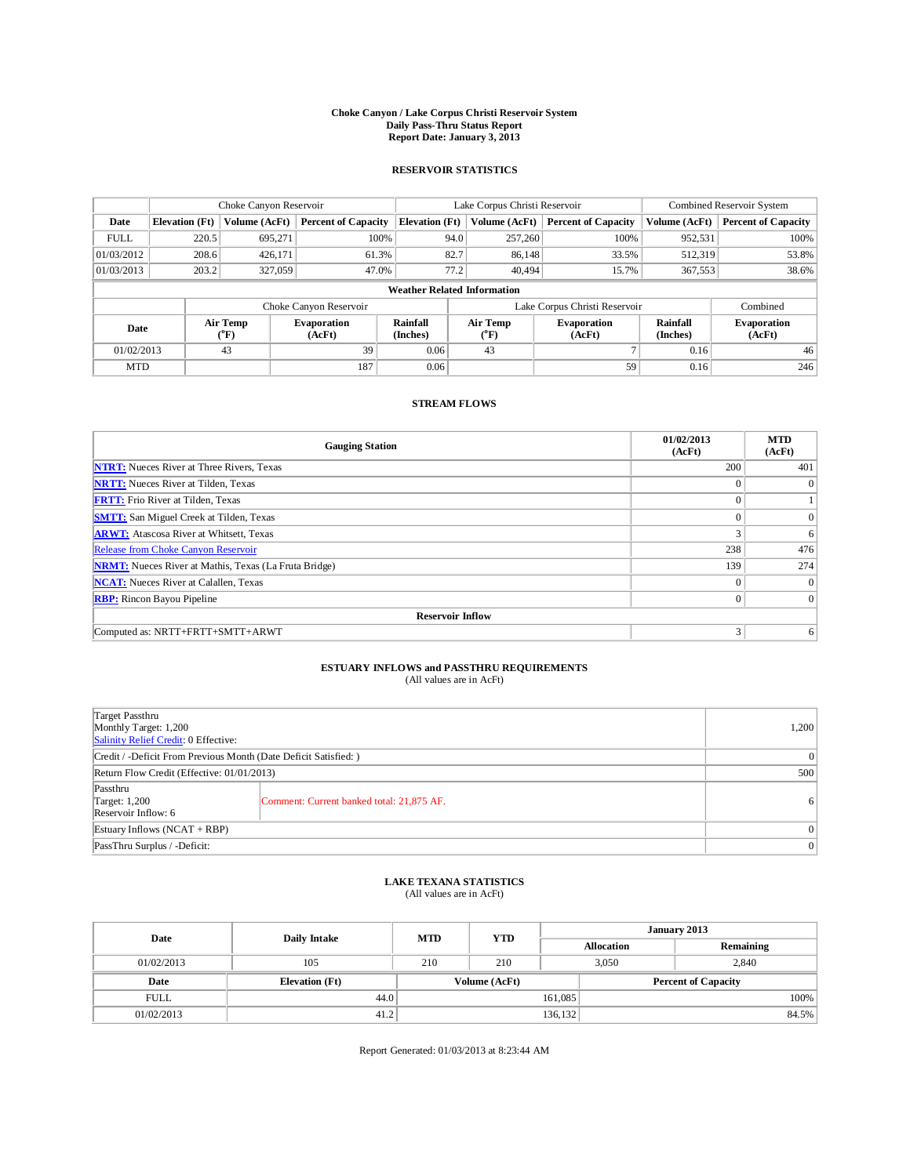## **Choke Canyon / Lake Corpus Christi Reservoir System Daily Pass-Thru Status Report Report Date: January 3, 2013**

#### **RESERVOIR STATISTICS**

|             | Choke Canyon Reservoir             |                  | Lake Corpus Christi Reservoir |                       |                               |                                     | Combined Reservoir System    |                      |                              |  |  |
|-------------|------------------------------------|------------------|-------------------------------|-----------------------|-------------------------------|-------------------------------------|------------------------------|----------------------|------------------------------|--|--|
| Date        | <b>Elevation</b> (Ft)              | Volume (AcFt)    | <b>Percent of Capacity</b>    | <b>Elevation</b> (Ft) |                               | Volume (AcFt)                       | <b>Percent of Capacity</b>   | Volume (AcFt)        | <b>Percent of Capacity</b>   |  |  |
| <b>FULL</b> | 220.5                              | 695,271          | 100%                          |                       | 94.0                          | 257,260                             | 100%                         | 952,531              | 100%                         |  |  |
| 01/03/2012  | 208.6                              | 426,171          | 61.3%                         |                       | 82.7                          | 86,148                              | 33.5%                        | 512,319              | 53.8%                        |  |  |
| 01/03/2013  | 203.2                              | 327,059          | 47.0%                         |                       | 77.2                          | 40.494                              | 15.7%                        | 367,553              | 38.6%                        |  |  |
|             | <b>Weather Related Information</b> |                  |                               |                       |                               |                                     |                              |                      |                              |  |  |
|             |                                    |                  | Choke Canyon Reservoir        |                       | Lake Corpus Christi Reservoir |                                     |                              |                      |                              |  |  |
| Date        |                                    | Air Temp<br>(°F) | <b>Evaporation</b><br>(AcFt)  | Rainfall<br>(Inches)  |                               | <b>Air Temp</b><br>$\rm ^{(^o}\!F)$ | <b>Evaporation</b><br>(AcFt) | Rainfall<br>(Inches) | <b>Evaporation</b><br>(AcFt) |  |  |
| 01/02/2013  |                                    | 43               | 39                            | 0.06                  |                               | 43                                  |                              | 0.16                 | 46                           |  |  |
| <b>MTD</b>  |                                    |                  | 187                           | 0.06                  |                               |                                     | 59                           | 0.16                 | 246                          |  |  |

#### **STREAM FLOWS**

| <b>Gauging Station</b>                                       | 01/02/2013<br>(AcFt) | <b>MTD</b><br>(AcFt) |  |  |  |  |  |  |  |
|--------------------------------------------------------------|----------------------|----------------------|--|--|--|--|--|--|--|
| <b>NTRT:</b> Nueces River at Three Rivers, Texas             | 200                  | 401                  |  |  |  |  |  |  |  |
| <b>NRTT:</b> Nueces River at Tilden, Texas                   | $\Omega$             | $\theta$             |  |  |  |  |  |  |  |
| <b>FRTT:</b> Frio River at Tilden, Texas                     | $\mathbf{0}$         |                      |  |  |  |  |  |  |  |
| <b>SMTT:</b> San Miguel Creek at Tilden, Texas               | $\theta$             | $\Omega$             |  |  |  |  |  |  |  |
| <b>ARWT:</b> Atascosa River at Whitsett, Texas               | 3                    | 6                    |  |  |  |  |  |  |  |
| Release from Choke Canyon Reservoir                          | 238                  | 476                  |  |  |  |  |  |  |  |
| <b>NRMT:</b> Nueces River at Mathis, Texas (La Fruta Bridge) | 139                  | 274                  |  |  |  |  |  |  |  |
| <b>NCAT:</b> Nueces River at Calallen, Texas                 | $\Omega$             | $\theta$             |  |  |  |  |  |  |  |
| <b>RBP:</b> Rincon Bayou Pipeline                            | $\mathbf{0}$         | $\Omega$             |  |  |  |  |  |  |  |
| <b>Reservoir Inflow</b>                                      |                      |                      |  |  |  |  |  |  |  |
| Computed as: NRTT+FRTT+SMTT+ARWT                             | 3                    | 6                    |  |  |  |  |  |  |  |

# **ESTUARY INFLOWS and PASSTHRU REQUIREMENTS**<br>(All values are in AcFt)

| Target Passthru<br>Monthly Target: 1,200<br>Salinity Relief Credit: 0 Effective: |                                           | 1,200          |
|----------------------------------------------------------------------------------|-------------------------------------------|----------------|
| Credit / -Deficit From Previous Month (Date Deficit Satisfied: )                 |                                           | $\overline{0}$ |
| Return Flow Credit (Effective: 01/01/2013)                                       |                                           |                |
| Passthru<br>Target: 1,200<br>Reservoir Inflow: 6                                 | Comment: Current banked total: 21,875 AF. | 6              |
| Estuary Inflows $(NCAT + RBP)$                                                   |                                           | $\overline{0}$ |
| PassThru Surplus / -Deficit:                                                     |                                           | $\overline{0}$ |

## **LAKE TEXANA STATISTICS** (All values are in AcFt)

| Date        | Daily Intake          | <b>MTD</b> | <b>YTD</b>    | January 2013 |                   |                            |       |
|-------------|-----------------------|------------|---------------|--------------|-------------------|----------------------------|-------|
|             |                       |            |               |              | <b>Allocation</b> | Remaining                  |       |
| 01/02/2013  | 105                   | 210        | 210           | 3,050        |                   | 2,840                      |       |
| Date        | <b>Elevation</b> (Ft) |            | Volume (AcFt) |              |                   | <b>Percent of Capacity</b> |       |
| <b>FULL</b> | 44.0                  |            |               | 161,085      |                   |                            | 100%  |
| 01/02/2013  | 41.2                  |            |               | 136, 132     |                   |                            | 84.5% |

Report Generated: 01/03/2013 at 8:23:44 AM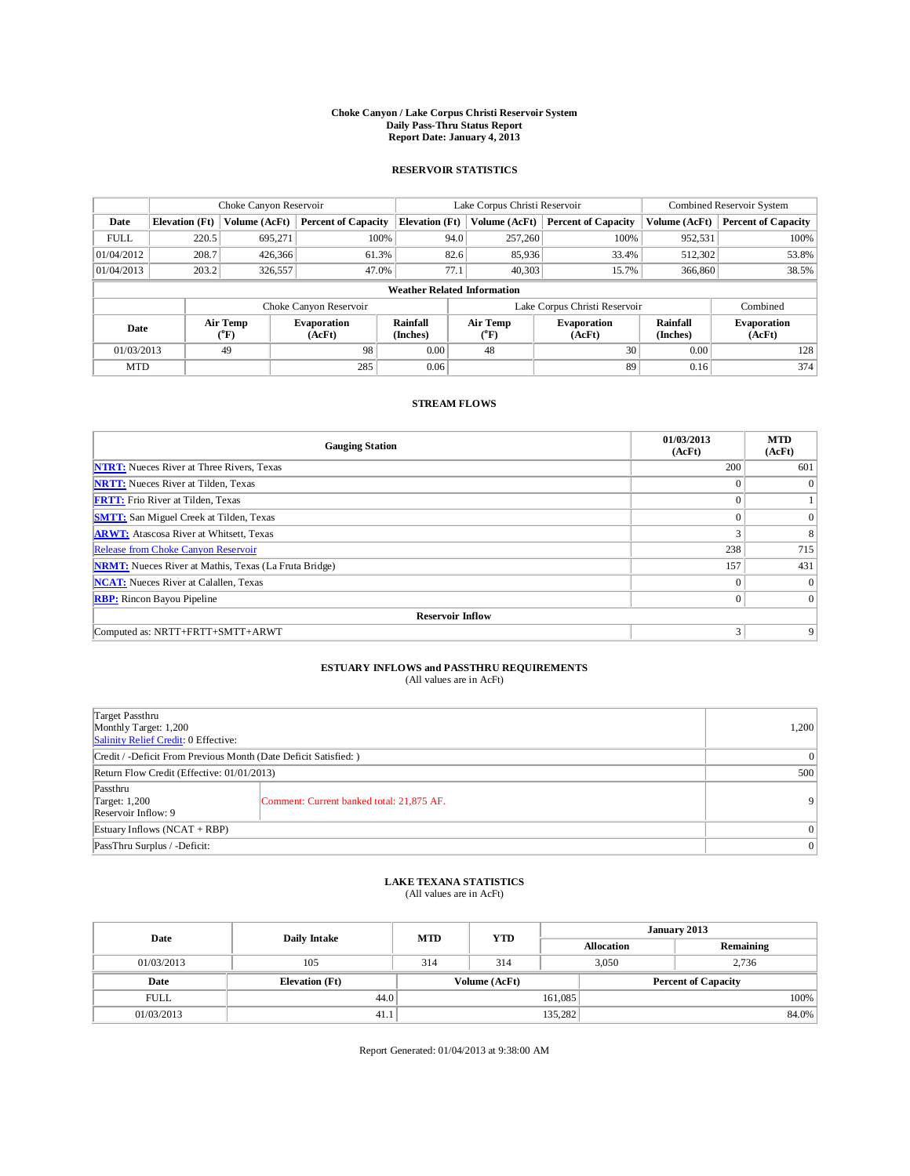## **Choke Canyon / Lake Corpus Christi Reservoir System Daily Pass-Thru Status Report Report Date: January 4, 2013**

#### **RESERVOIR STATISTICS**

|             | Choke Canyon Reservoir             |                  | Lake Corpus Christi Reservoir |                       |                               |                                     | Combined Reservoir System    |                      |                              |  |
|-------------|------------------------------------|------------------|-------------------------------|-----------------------|-------------------------------|-------------------------------------|------------------------------|----------------------|------------------------------|--|
| Date        | <b>Elevation</b> (Ft)              | Volume (AcFt)    | <b>Percent of Capacity</b>    | <b>Elevation</b> (Ft) |                               | Volume (AcFt)                       | <b>Percent of Capacity</b>   | Volume (AcFt)        | <b>Percent of Capacity</b>   |  |
| <b>FULL</b> | 220.5                              | 695,271          | 100%                          |                       | 94.0                          | 257,260                             | 100%                         | 952,531              | 100%                         |  |
| 01/04/2012  | 208.7                              | 426,366          | 61.3%                         |                       | 82.6                          | 85,936                              | 33.4%                        | 512,302              | 53.8%                        |  |
| 01/04/2013  | 203.2                              | 326,557          | 47.0%                         |                       | 77.1                          | 40,303                              | 15.7%                        | 366,860              | 38.5%                        |  |
|             | <b>Weather Related Information</b> |                  |                               |                       |                               |                                     |                              |                      |                              |  |
|             |                                    |                  | Choke Canyon Reservoir        |                       | Lake Corpus Christi Reservoir |                                     |                              |                      | Combined                     |  |
| Date        |                                    | Air Temp<br>(°F) | <b>Evaporation</b><br>(AcFt)  | Rainfall<br>(Inches)  |                               | <b>Air Temp</b><br>$\rm ^{(^o}\!F)$ | <b>Evaporation</b><br>(AcFt) | Rainfall<br>(Inches) | <b>Evaporation</b><br>(AcFt) |  |
| 01/03/2013  |                                    | 49               | 98                            | 0.00                  |                               | 48                                  | 30                           | 0.00                 | 128                          |  |
| <b>MTD</b>  |                                    |                  | 285                           | 0.06                  |                               |                                     | 89                           | 0.16                 | 374                          |  |

#### **STREAM FLOWS**

| <b>Gauging Station</b>                                       | 01/03/2013<br>(AcFt) | <b>MTD</b><br>(AcFt) |  |  |  |  |  |  |  |
|--------------------------------------------------------------|----------------------|----------------------|--|--|--|--|--|--|--|
| <b>NTRT:</b> Nueces River at Three Rivers, Texas             | 200                  | 601                  |  |  |  |  |  |  |  |
| <b>NRTT:</b> Nueces River at Tilden, Texas                   | $\Omega$             |                      |  |  |  |  |  |  |  |
| <b>FRTT:</b> Frio River at Tilden, Texas                     | $\Omega$             |                      |  |  |  |  |  |  |  |
| <b>SMTT:</b> San Miguel Creek at Tilden, Texas               | $\Omega$             | $\mathbf{0}$         |  |  |  |  |  |  |  |
| <b>ARWT:</b> Atascosa River at Whitsett, Texas               | 3                    | 8                    |  |  |  |  |  |  |  |
| Release from Choke Canyon Reservoir                          | 238                  | 715                  |  |  |  |  |  |  |  |
| <b>NRMT:</b> Nueces River at Mathis, Texas (La Fruta Bridge) | 157                  | 431                  |  |  |  |  |  |  |  |
| <b>NCAT:</b> Nueces River at Calallen, Texas                 | $\Omega$             | $\theta$             |  |  |  |  |  |  |  |
| <b>RBP:</b> Rincon Bayou Pipeline                            | $\mathbf{0}$         | $\overline{0}$       |  |  |  |  |  |  |  |
| <b>Reservoir Inflow</b>                                      |                      |                      |  |  |  |  |  |  |  |
| Computed as: NRTT+FRTT+SMTT+ARWT                             | 3                    | 9                    |  |  |  |  |  |  |  |

# **ESTUARY INFLOWS and PASSTHRU REQUIREMENTS**<br>(All values are in AcFt)

|                                                                  | $(1.11.1)$ . and $0.01.01.1$ . The state $(1)$ |          |  |
|------------------------------------------------------------------|------------------------------------------------|----------|--|
|                                                                  |                                                |          |  |
| Target Passthru                                                  |                                                |          |  |
| Monthly Target: 1,200                                            |                                                |          |  |
| Salinity Relief Credit: 0 Effective:                             |                                                |          |  |
| Credit / -Deficit From Previous Month (Date Deficit Satisfied: ) | $\Omega$                                       |          |  |
| Return Flow Credit (Effective: 01/01/2013)                       | 500                                            |          |  |
| Passthru                                                         |                                                |          |  |
| Target: 1,200                                                    | Comment: Current banked total: 21,875 AF.      | 9        |  |
| Reservoir Inflow: 9                                              |                                                |          |  |
| Estuary Inflows $(NCAT + RBP)$                                   |                                                | $\theta$ |  |

## **LAKE TEXANA STATISTICS** (All values are in AcFt)

PassThru Surplus / -Deficit: 0

| Date        |                       | <b>MTD</b>    | <b>YTD</b> | January 2013 |                   |                            |  |
|-------------|-----------------------|---------------|------------|--------------|-------------------|----------------------------|--|
|             | <b>Daily Intake</b>   |               |            |              | <b>Allocation</b> | Remaining                  |  |
| 01/03/2013  | 105                   | 314           | 314        | 3.050        |                   | 2.736                      |  |
| Date        | <b>Elevation</b> (Ft) | Volume (AcFt) |            |              |                   | <b>Percent of Capacity</b> |  |
| <b>FULL</b> | 44.0                  |               |            | 161,085      |                   | 100%                       |  |
| 01/03/2013  | 41.1                  |               |            | 135,282      |                   | 84.0%                      |  |

Report Generated: 01/04/2013 at 9:38:00 AM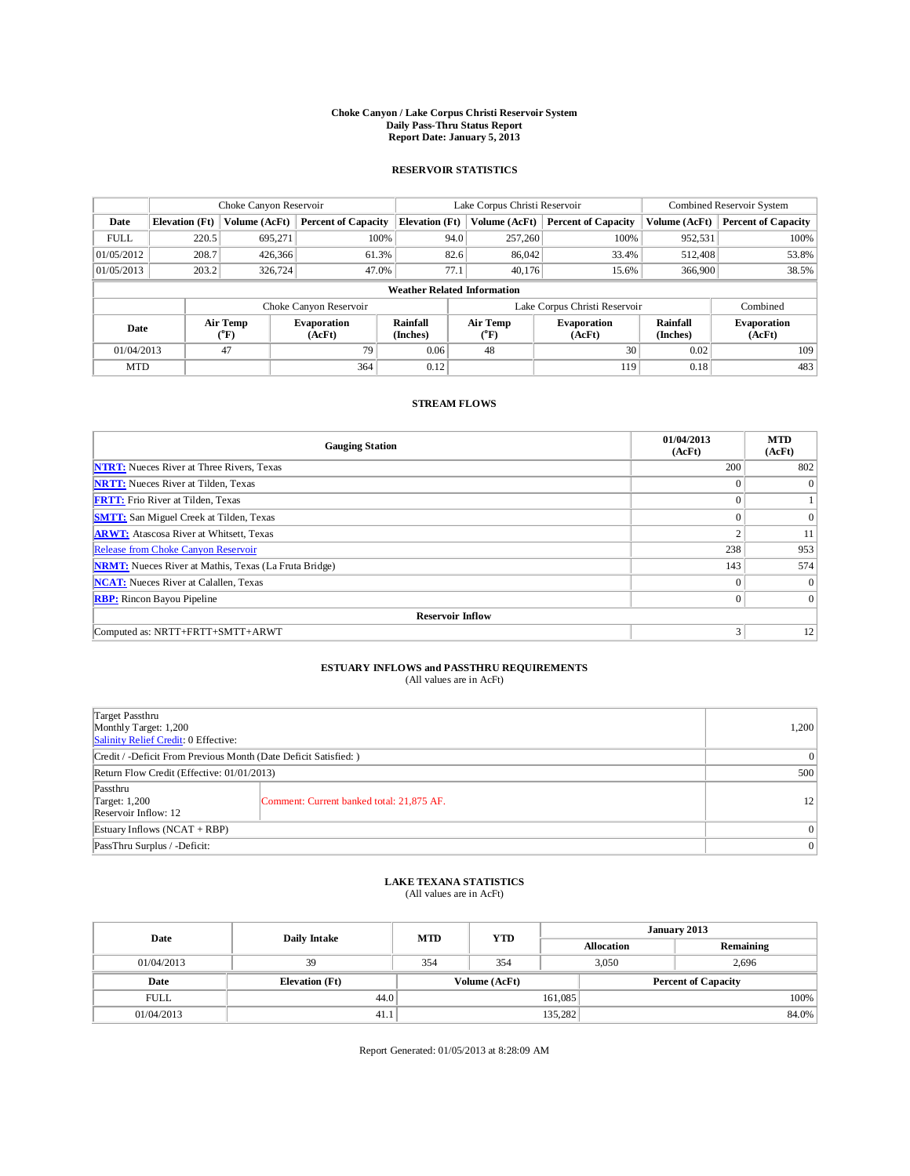## **Choke Canyon / Lake Corpus Christi Reservoir System Daily Pass-Thru Status Report Report Date: January 5, 2013**

### **RESERVOIR STATISTICS**

|             | Choke Canyon Reservoir             |                         |                              |                             | Lake Corpus Christi Reservoir |                        |                              |                      | Combined Reservoir System    |  |  |
|-------------|------------------------------------|-------------------------|------------------------------|-----------------------------|-------------------------------|------------------------|------------------------------|----------------------|------------------------------|--|--|
| Date        | <b>Elevation</b> (Ft)              | Volume (AcFt)           | <b>Percent of Capacity</b>   | <b>Elevation</b> (Ft)       |                               | Volume (AcFt)          | <b>Percent of Capacity</b>   | Volume (AcFt)        | <b>Percent of Capacity</b>   |  |  |
| <b>FULL</b> | 220.5                              | 695,271                 | 100%                         |                             | 94.0                          | 257,260                | 100%                         | 952,531              | 100%                         |  |  |
| 01/05/2012  | 208.7                              | 426,366                 | 61.3%                        |                             | 82.6                          | 86,042                 | 33.4%                        | 512,408              | 53.8%                        |  |  |
| 01/05/2013  | 203.2                              | 326,724                 | 47.0%                        |                             | 77.1                          | 40.176                 | 15.6%                        | 366,900              | 38.5%                        |  |  |
|             | <b>Weather Related Information</b> |                         |                              |                             |                               |                        |                              |                      |                              |  |  |
|             |                                    |                         | Choke Canyon Reservoir       |                             | Lake Corpus Christi Reservoir |                        |                              |                      | Combined                     |  |  |
| Date        |                                    | <b>Air Temp</b><br>(°F) | <b>Evaporation</b><br>(AcFt) | <b>Rainfall</b><br>(Inches) |                               | <b>Air Temp</b><br>(°F | <b>Evaporation</b><br>(AcFt) | Rainfall<br>(Inches) | <b>Evaporation</b><br>(AcFt) |  |  |
| 01/04/2013  |                                    | 47                      | 0.06<br>79<br>48             |                             | 30                            | 0.02                   | 109                          |                      |                              |  |  |
| <b>MTD</b>  |                                    |                         | 364                          | 0.12                        |                               |                        | 119                          | 0.18                 | 483                          |  |  |

### **STREAM FLOWS**

| <b>Gauging Station</b>                                       | 01/04/2013<br>(AcFt) | <b>MTD</b><br>(AcFt) |  |  |  |  |  |  |  |
|--------------------------------------------------------------|----------------------|----------------------|--|--|--|--|--|--|--|
| <b>NTRT:</b> Nueces River at Three Rivers, Texas             | 200                  | 802                  |  |  |  |  |  |  |  |
| <b>NRTT:</b> Nueces River at Tilden, Texas                   | $\theta$             | $\theta$             |  |  |  |  |  |  |  |
| <b>FRTT:</b> Frio River at Tilden, Texas                     | $\theta$             |                      |  |  |  |  |  |  |  |
| <b>SMTT:</b> San Miguel Creek at Tilden, Texas               | $\theta$             | $\Omega$             |  |  |  |  |  |  |  |
| <b>ARWT:</b> Atascosa River at Whitsett, Texas               | ◠                    | 11                   |  |  |  |  |  |  |  |
| Release from Choke Canyon Reservoir                          | 238                  | 953                  |  |  |  |  |  |  |  |
| <b>NRMT:</b> Nueces River at Mathis, Texas (La Fruta Bridge) | 143                  | 574                  |  |  |  |  |  |  |  |
| <b>NCAT:</b> Nueces River at Calallen, Texas                 | $\Omega$             | $\Omega$             |  |  |  |  |  |  |  |
| <b>RBP:</b> Rincon Bayou Pipeline                            | $\mathbf{0}$         | $\Omega$             |  |  |  |  |  |  |  |
| <b>Reservoir Inflow</b>                                      |                      |                      |  |  |  |  |  |  |  |
| Computed as: NRTT+FRTT+SMTT+ARWT                             | 3                    | 12                   |  |  |  |  |  |  |  |

## **ESTUARY INFLOWS and PASSTHRU REQUIREMENTS**<br>(All values are in AcFt)

| Target Passthru<br>Monthly Target: 1,200<br>Salinity Relief Credit: 0 Effective: |                                           |                |  |  |
|----------------------------------------------------------------------------------|-------------------------------------------|----------------|--|--|
| Credit / -Deficit From Previous Month (Date Deficit Satisfied: )                 |                                           |                |  |  |
| Return Flow Credit (Effective: 01/01/2013)                                       | 500                                       |                |  |  |
| Passthru<br>Target: 1,200<br>Reservoir Inflow: 12                                | Comment: Current banked total: 21,875 AF. | 12             |  |  |
| Estuary Inflows $(NCAT + RBP)$                                                   |                                           | $\overline{0}$ |  |  |
| PassThru Surplus / -Deficit:                                                     | 0                                         |                |  |  |

## **LAKE TEXANA STATISTICS** (All values are in AcFt)

| Date        | Daily Intake          | <b>MTD</b>    | <b>YTD</b> | January 2013      |  |                            |       |
|-------------|-----------------------|---------------|------------|-------------------|--|----------------------------|-------|
|             |                       |               |            | <b>Allocation</b> |  | Remaining                  |       |
| 01/04/2013  | 39                    | 354           | 354        | 3.050             |  | 2,696                      |       |
| Date        | <b>Elevation</b> (Ft) | Volume (AcFt) |            |                   |  | <b>Percent of Capacity</b> |       |
| <b>FULL</b> | 44.0                  |               |            | 161,085           |  |                            | 100%  |
| 01/04/2013  | 41.1                  |               |            | 135,282           |  |                            | 84.0% |

Report Generated: 01/05/2013 at 8:28:09 AM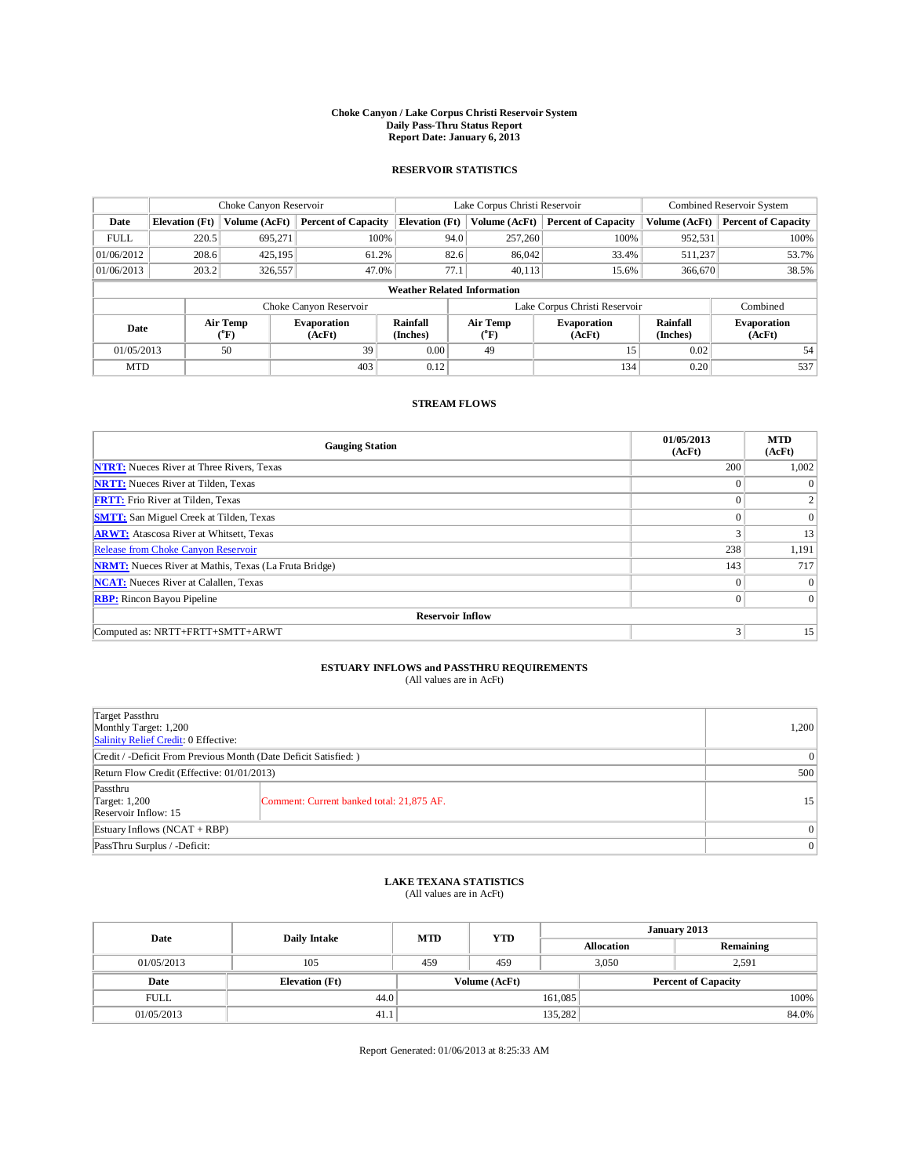## **Choke Canyon / Lake Corpus Christi Reservoir System Daily Pass-Thru Status Report Report Date: January 6, 2013**

### **RESERVOIR STATISTICS**

|             | Choke Canyon Reservoir             |                  |                              |                      | Lake Corpus Christi Reservoir          |                                     |                              |                             | Combined Reservoir System    |  |  |
|-------------|------------------------------------|------------------|------------------------------|----------------------|----------------------------------------|-------------------------------------|------------------------------|-----------------------------|------------------------------|--|--|
| Date        | <b>Elevation</b> (Ft)              | Volume (AcFt)    | <b>Percent of Capacity</b>   |                      | <b>Elevation</b> (Ft)<br>Volume (AcFt) |                                     | <b>Percent of Capacity</b>   | Volume (AcFt)               | <b>Percent of Capacity</b>   |  |  |
| <b>FULL</b> | 220.5                              | 695,271          | 100%                         |                      | 94.0                                   | 257,260                             | 100%                         | 952,531                     | 100%                         |  |  |
| 01/06/2012  | 208.6                              | 425.195          | 61.2%                        |                      | 82.6                                   | 86,042                              | 33.4%                        | 511,237                     | 53.7%                        |  |  |
| 01/06/2013  | 203.2                              | 326,557          | 47.0%                        |                      | 77.1                                   | 40,113                              | 15.6%                        | 366,670                     | 38.5%                        |  |  |
|             | <b>Weather Related Information</b> |                  |                              |                      |                                        |                                     |                              |                             |                              |  |  |
|             |                                    |                  | Choke Canyon Reservoir       |                      | Lake Corpus Christi Reservoir          |                                     |                              |                             | Combined                     |  |  |
| Date        |                                    | Air Temp<br>(°F) | <b>Evaporation</b><br>(AcFt) | Rainfall<br>(Inches) |                                        | <b>Air Temp</b><br>$\rm ^{(^o}\!F)$ | <b>Evaporation</b><br>(AcFt) | <b>Rainfall</b><br>(Inches) | <b>Evaporation</b><br>(AcFt) |  |  |
| 01/05/2013  |                                    | 50               | 39                           | 0.00                 |                                        | 49                                  | 15                           | 0.02                        | 54                           |  |  |
| <b>MTD</b>  |                                    |                  | 403                          | 0.12                 |                                        |                                     | 134                          | 0.20                        | 537                          |  |  |

### **STREAM FLOWS**

| <b>Gauging Station</b>                                       | 01/05/2013<br>(AcFt) | <b>MTD</b><br>(AcFt) |  |  |  |  |  |  |  |
|--------------------------------------------------------------|----------------------|----------------------|--|--|--|--|--|--|--|
| <b>NTRT:</b> Nueces River at Three Rivers, Texas             | 200                  | 1,002                |  |  |  |  |  |  |  |
| <b>NRTT:</b> Nueces River at Tilden, Texas                   | $\theta$             | $\theta$             |  |  |  |  |  |  |  |
| <b>FRTT:</b> Frio River at Tilden, Texas                     | $\theta$             |                      |  |  |  |  |  |  |  |
| <b>SMTT:</b> San Miguel Creek at Tilden, Texas               | $\theta$             | $\Omega$             |  |  |  |  |  |  |  |
| <b>ARWT:</b> Atascosa River at Whitsett, Texas               | 3                    | 13                   |  |  |  |  |  |  |  |
| Release from Choke Canyon Reservoir                          | 238                  | 1,191                |  |  |  |  |  |  |  |
| <b>NRMT:</b> Nueces River at Mathis, Texas (La Fruta Bridge) | 143                  | 717                  |  |  |  |  |  |  |  |
| <b>NCAT:</b> Nueces River at Calallen, Texas                 | $\Omega$             | $\Omega$             |  |  |  |  |  |  |  |
| <b>RBP:</b> Rincon Bayou Pipeline                            | $\mathbf{0}$         | $\Omega$             |  |  |  |  |  |  |  |
| <b>Reservoir Inflow</b>                                      |                      |                      |  |  |  |  |  |  |  |
| Computed as: NRTT+FRTT+SMTT+ARWT                             | 3                    | 15                   |  |  |  |  |  |  |  |

## **ESTUARY INFLOWS and PASSTHRU REQUIREMENTS**<br>(All values are in AcFt)

| Target Passthru<br>Monthly Target: 1,200<br>Salinity Relief Credit: 0 Effective: |                                           |    |  |  |
|----------------------------------------------------------------------------------|-------------------------------------------|----|--|--|
| Credit / -Deficit From Previous Month (Date Deficit Satisfied: )                 |                                           |    |  |  |
| Return Flow Credit (Effective: 01/01/2013)                                       | 500                                       |    |  |  |
| Passthru<br>Target: 1,200<br>Reservoir Inflow: 15                                | Comment: Current banked total: 21,875 AF. | 15 |  |  |
| Estuary Inflows $(NCAT + RBP)$                                                   | $\overline{0}$                            |    |  |  |
| PassThru Surplus / -Deficit:                                                     | 0                                         |    |  |  |

## **LAKE TEXANA STATISTICS** (All values are in AcFt)

| Date        | Daily Intake          | <b>MTD</b> | <b>YTD</b>    | January 2013      |  |                            |       |
|-------------|-----------------------|------------|---------------|-------------------|--|----------------------------|-------|
|             |                       |            |               | <b>Allocation</b> |  | Remaining                  |       |
| 01/05/2013  | 105                   | 459        | 459           | 3.050             |  | 2,591                      |       |
| Date        | <b>Elevation</b> (Ft) |            | Volume (AcFt) |                   |  | <b>Percent of Capacity</b> |       |
| <b>FULL</b> | 44.0                  |            |               | 161,085           |  |                            | 100%  |
| 01/05/2013  | 41.1                  |            |               | 135,282           |  |                            | 84.0% |

Report Generated: 01/06/2013 at 8:25:33 AM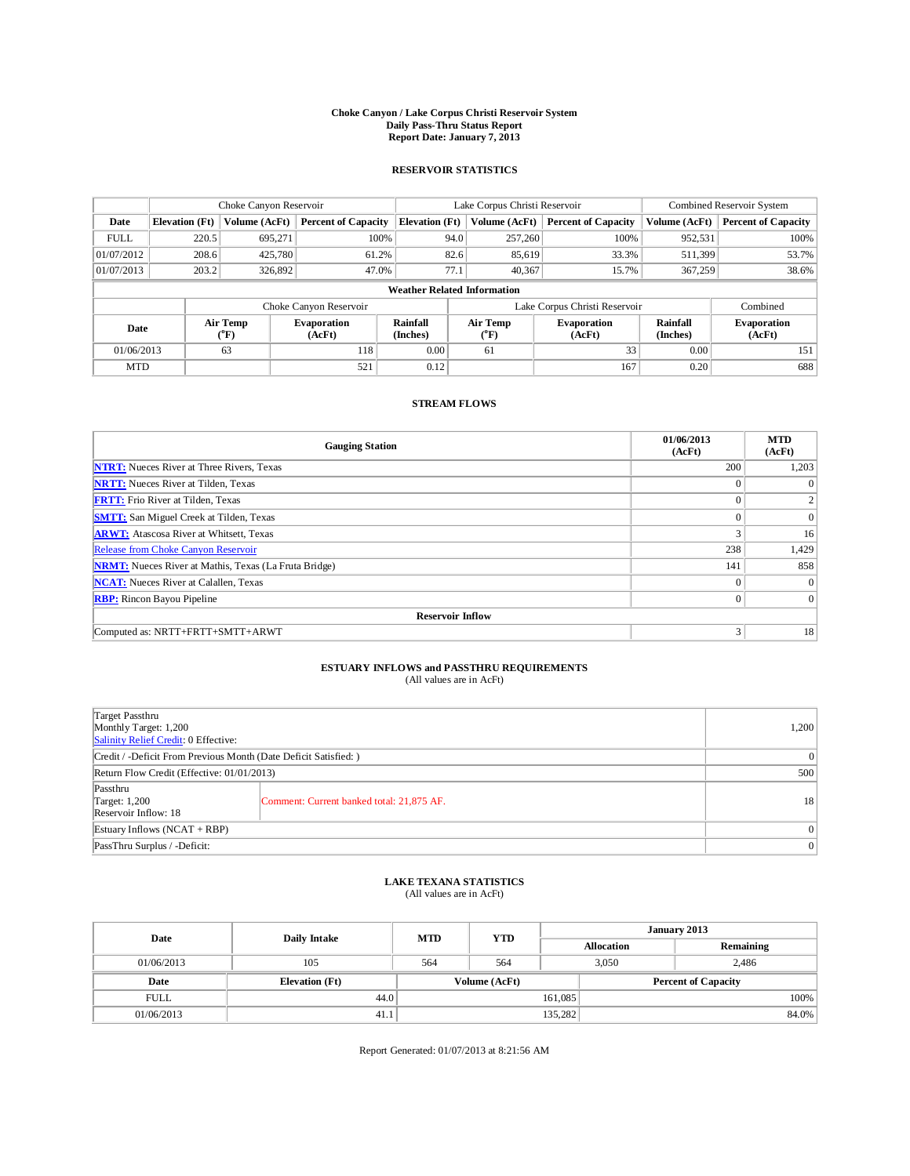## **Choke Canyon / Lake Corpus Christi Reservoir System Daily Pass-Thru Status Report Report Date: January 7, 2013**

### **RESERVOIR STATISTICS**

|             | Choke Canyon Reservoir             |                  |                              |                             | Lake Corpus Christi Reservoir |                                     |                              |                             | Combined Reservoir System    |  |  |
|-------------|------------------------------------|------------------|------------------------------|-----------------------------|-------------------------------|-------------------------------------|------------------------------|-----------------------------|------------------------------|--|--|
| Date        | <b>Elevation</b> (Ft)              | Volume (AcFt)    | <b>Percent of Capacity</b>   | <b>Elevation</b> (Ft)       |                               | Volume (AcFt)                       | <b>Percent of Capacity</b>   | Volume (AcFt)               | <b>Percent of Capacity</b>   |  |  |
| <b>FULL</b> | 220.5                              | 695,271          | 100%                         |                             | 94.0                          | 257,260                             | 100%                         | 952,531                     | 100%                         |  |  |
| 01/07/2012  | 208.6                              | 425,780          | 61.2%                        |                             | 82.6                          | 85,619                              | 33.3%                        | 511,399                     | 53.7%                        |  |  |
| 01/07/2013  | 203.2                              | 326,892          | 47.0%                        |                             | 77.1                          |                                     | 40,367<br>15.7%<br>367,259   |                             | 38.6%                        |  |  |
|             | <b>Weather Related Information</b> |                  |                              |                             |                               |                                     |                              |                             |                              |  |  |
|             |                                    |                  | Choke Canyon Reservoir       |                             | Lake Corpus Christi Reservoir |                                     |                              |                             | Combined                     |  |  |
| Date        |                                    | Air Temp<br>(°F) | <b>Evaporation</b><br>(AcFt) | <b>Rainfall</b><br>(Inches) |                               | <b>Air Temp</b><br>$\rm ^{(^o}\!F)$ | <b>Evaporation</b><br>(AcFt) | <b>Rainfall</b><br>(Inches) | <b>Evaporation</b><br>(AcFt) |  |  |
| 01/06/2013  |                                    | 63               | 118                          | 0.00                        |                               | 61                                  | 33                           | 0.00                        | 151                          |  |  |
| <b>MTD</b>  |                                    |                  | 521                          | 0.12                        |                               |                                     | 167                          | 0.20                        | 688                          |  |  |

#### **STREAM FLOWS**

| <b>Gauging Station</b>                                       | 01/06/2013<br>(AcFt) | <b>MTD</b><br>(AcFt) |  |  |  |  |  |  |  |
|--------------------------------------------------------------|----------------------|----------------------|--|--|--|--|--|--|--|
| <b>NTRT:</b> Nueces River at Three Rivers, Texas             | 200                  | 1,203                |  |  |  |  |  |  |  |
| <b>NRTT:</b> Nueces River at Tilden, Texas                   | $\Omega$             |                      |  |  |  |  |  |  |  |
| <b>FRTT:</b> Frio River at Tilden, Texas                     | $\Omega$             | $\overline{2}$       |  |  |  |  |  |  |  |
| <b>SMTT:</b> San Miguel Creek at Tilden, Texas               | $\Omega$             | $\theta$             |  |  |  |  |  |  |  |
| <b>ARWT:</b> Atascosa River at Whitsett, Texas               | 3                    | 16                   |  |  |  |  |  |  |  |
| Release from Choke Canyon Reservoir                          | 238                  | 1,429                |  |  |  |  |  |  |  |
| <b>NRMT:</b> Nueces River at Mathis, Texas (La Fruta Bridge) | 141                  | 858                  |  |  |  |  |  |  |  |
| <b>NCAT:</b> Nueces River at Calallen, Texas                 | $\Omega$             |                      |  |  |  |  |  |  |  |
| <b>RBP:</b> Rincon Bayou Pipeline                            | $\mathbf{0}$         | $\overline{0}$       |  |  |  |  |  |  |  |
| <b>Reservoir Inflow</b>                                      |                      |                      |  |  |  |  |  |  |  |
| Computed as: NRTT+FRTT+SMTT+ARWT                             | 3                    | 18                   |  |  |  |  |  |  |  |

# **ESTUARY INFLOWS and PASSTHRU REQUIREMENTS**<br>(All values are in AcFt)

| Target Passthru<br>Monthly Target: 1,200<br>Salinity Relief Credit: 0 Effective: |                                           |    |  |  |  |
|----------------------------------------------------------------------------------|-------------------------------------------|----|--|--|--|
| Credit / -Deficit From Previous Month (Date Deficit Satisfied: )                 |                                           |    |  |  |  |
| Return Flow Credit (Effective: 01/01/2013)                                       |                                           |    |  |  |  |
| Passthru<br>Target: 1,200<br>Reservoir Inflow: 18                                | Comment: Current banked total: 21,875 AF. | 18 |  |  |  |
| Estuary Inflows $(NCAT + RBP)$                                                   |                                           |    |  |  |  |
| PassThru Surplus / -Deficit:                                                     | $\overline{0}$                            |    |  |  |  |

## **LAKE TEXANA STATISTICS** (All values are in AcFt)

| Date        | Daily Intake          | <b>MTD</b> | <b>YTD</b>    | January 2013 |                   |                            |  |
|-------------|-----------------------|------------|---------------|--------------|-------------------|----------------------------|--|
|             |                       |            |               |              | <b>Allocation</b> | Remaining                  |  |
| 01/06/2013  | 105                   | 564        | 564           | 3.050        |                   | 2,486                      |  |
| Date        | <b>Elevation</b> (Ft) |            | Volume (AcFt) |              |                   | <b>Percent of Capacity</b> |  |
| <b>FULL</b> | 44.0                  |            |               | 161,085      |                   | $100\%$                    |  |
| 01/06/2013  | 41.1                  |            |               | 135,282      |                   | 84.0%                      |  |

Report Generated: 01/07/2013 at 8:21:56 AM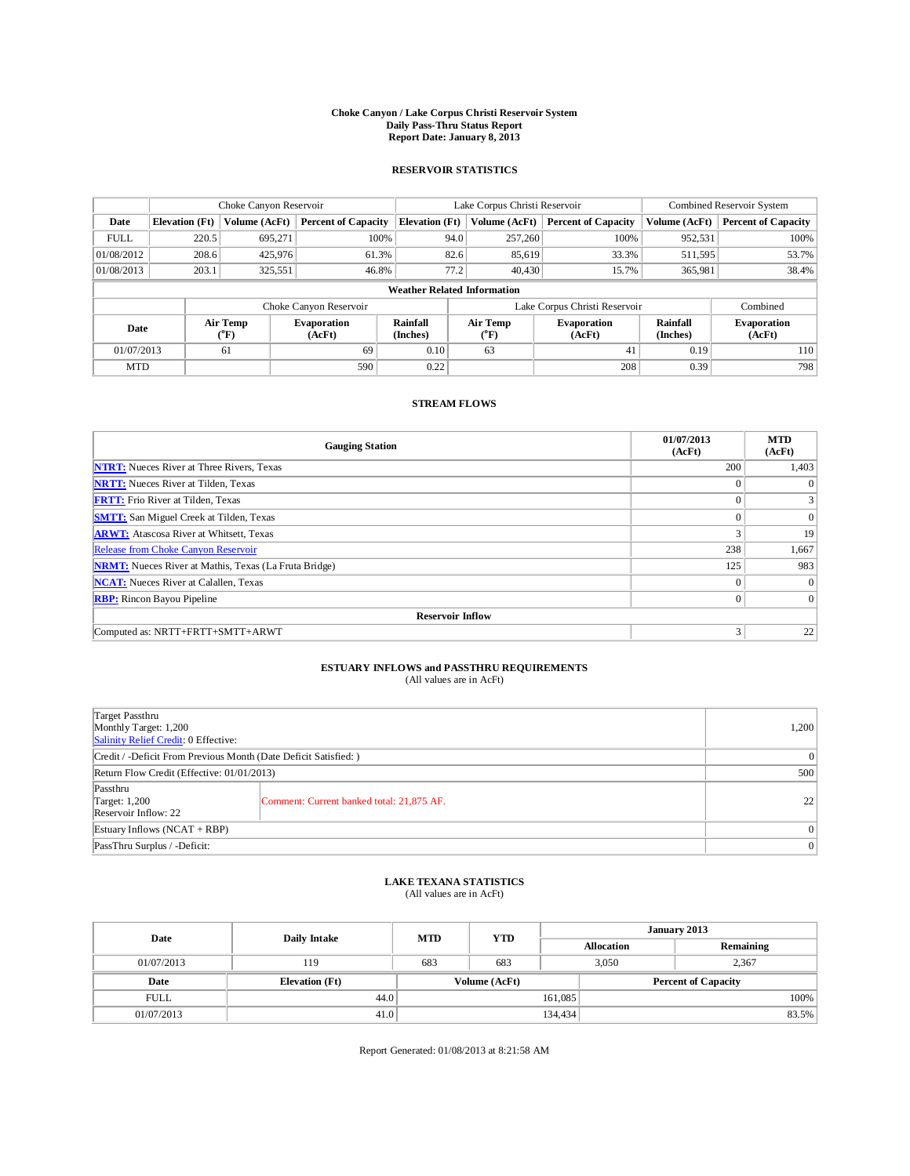## **Choke Canyon / Lake Corpus Christi Reservoir System Daily Pass-Thru Status Report Report Date: January 8, 2013**

### **RESERVOIR STATISTICS**

|             | Choke Canyon Reservoir             |                  |                              |                       | Lake Corpus Christi Reservoir |                        |                              |                             | Combined Reservoir System    |  |  |
|-------------|------------------------------------|------------------|------------------------------|-----------------------|-------------------------------|------------------------|------------------------------|-----------------------------|------------------------------|--|--|
| Date        | <b>Elevation</b> (Ft)              | Volume (AcFt)    | <b>Percent of Capacity</b>   | <b>Elevation</b> (Ft) |                               | Volume (AcFt)          | <b>Percent of Capacity</b>   | Volume (AcFt)               | <b>Percent of Capacity</b>   |  |  |
| <b>FULL</b> | 220.5                              | 695,271          | 100%                         |                       | 94.0                          | 257,260                | 100%                         | 952,531                     | 100%                         |  |  |
| 01/08/2012  | 208.6                              | 425,976          | 61.3%                        |                       | 82.6                          | 85,619                 | 33.3%                        | 511,595                     | 53.7%                        |  |  |
| 01/08/2013  | 203.1                              | 325,551          | 46.8%                        |                       | 77.2                          | 40,430                 | 15.7%                        | 365,981                     | 38.4%                        |  |  |
|             | <b>Weather Related Information</b> |                  |                              |                       |                               |                        |                              |                             |                              |  |  |
|             |                                    |                  | Choke Canyon Reservoir       |                       | Lake Corpus Christi Reservoir |                        |                              |                             | Combined                     |  |  |
| Date        |                                    | Air Temp<br>(°F) | <b>Evaporation</b><br>(AcFt) | Rainfall<br>(Inches)  |                               | <b>Air Temp</b><br>(°F | <b>Evaporation</b><br>(AcFt) | <b>Rainfall</b><br>(Inches) | <b>Evaporation</b><br>(AcFt) |  |  |
| 01/07/2013  |                                    | 61               | 69                           | 0.10                  |                               | 63<br>41               |                              | 0.19                        | 110                          |  |  |
| <b>MTD</b>  |                                    |                  | 590                          | 0.22                  |                               |                        | 208                          | 0.39                        | 798                          |  |  |

### **STREAM FLOWS**

| <b>Gauging Station</b>                                       | 01/07/2013<br>(AcFt) | <b>MTD</b><br>(AcFt) |
|--------------------------------------------------------------|----------------------|----------------------|
| <b>NTRT:</b> Nueces River at Three Rivers, Texas             | 200                  | 1,403                |
| <b>NRTT:</b> Nueces River at Tilden, Texas                   | $\theta$             | $\theta$             |
| <b>FRTT:</b> Frio River at Tilden, Texas                     | $\theta$             |                      |
| <b>SMTT:</b> San Miguel Creek at Tilden, Texas               | $\theta$             | $\overline{0}$       |
| <b>ARWT:</b> Atascosa River at Whitsett, Texas               | 3                    | 19                   |
| Release from Choke Canyon Reservoir                          | 238                  | 1,667                |
| <b>NRMT:</b> Nueces River at Mathis, Texas (La Fruta Bridge) | 125                  | 983                  |
| <b>NCAT:</b> Nueces River at Calallen, Texas                 | $\mathbf{0}$         | $\Omega$             |
| <b>RBP:</b> Rincon Bayou Pipeline                            | $\overline{0}$       | $\Omega$             |
| <b>Reservoir Inflow</b>                                      |                      |                      |
| Computed as: NRTT+FRTT+SMTT+ARWT                             | 3                    | 22                   |

# **ESTUARY INFLOWS and PASSTHRU REQUIREMENTS**<br>(All values are in AcFt)

| Target Passthru<br>Monthly Target: 1,200<br>Salinity Relief Credit: 0 Effective: |                                           |    |  |  |  |
|----------------------------------------------------------------------------------|-------------------------------------------|----|--|--|--|
| Credit / -Deficit From Previous Month (Date Deficit Satisfied: )                 |                                           |    |  |  |  |
| Return Flow Credit (Effective: 01/01/2013)                                       | 500                                       |    |  |  |  |
| Passthru<br>Target: 1,200<br>Reservoir Inflow: 22                                | Comment: Current banked total: 21,875 AF. | 22 |  |  |  |
| Estuary Inflows $(NCAT + RBP)$                                                   | $\overline{0}$                            |    |  |  |  |
| PassThru Surplus / -Deficit:                                                     |                                           | 0  |  |  |  |

## **LAKE TEXANA STATISTICS** (All values are in AcFt)

| Date        | Daily Intake          | <b>MTD</b> | <b>YTD</b>    | January 2013      |                            |           |       |
|-------------|-----------------------|------------|---------------|-------------------|----------------------------|-----------|-------|
|             |                       |            |               | <b>Allocation</b> |                            | Remaining |       |
| 01/07/2013  | 119                   | 683        | 683           | 3.050             |                            | 2,367     |       |
| Date        | <b>Elevation</b> (Ft) |            | Volume (AcFt) |                   | <b>Percent of Capacity</b> |           |       |
| <b>FULL</b> | 44.0                  |            |               | 161,085           |                            |           | 100%  |
| 01/07/2013  | 41.0                  |            |               | 134,434           |                            |           | 83.5% |

Report Generated: 01/08/2013 at 8:21:58 AM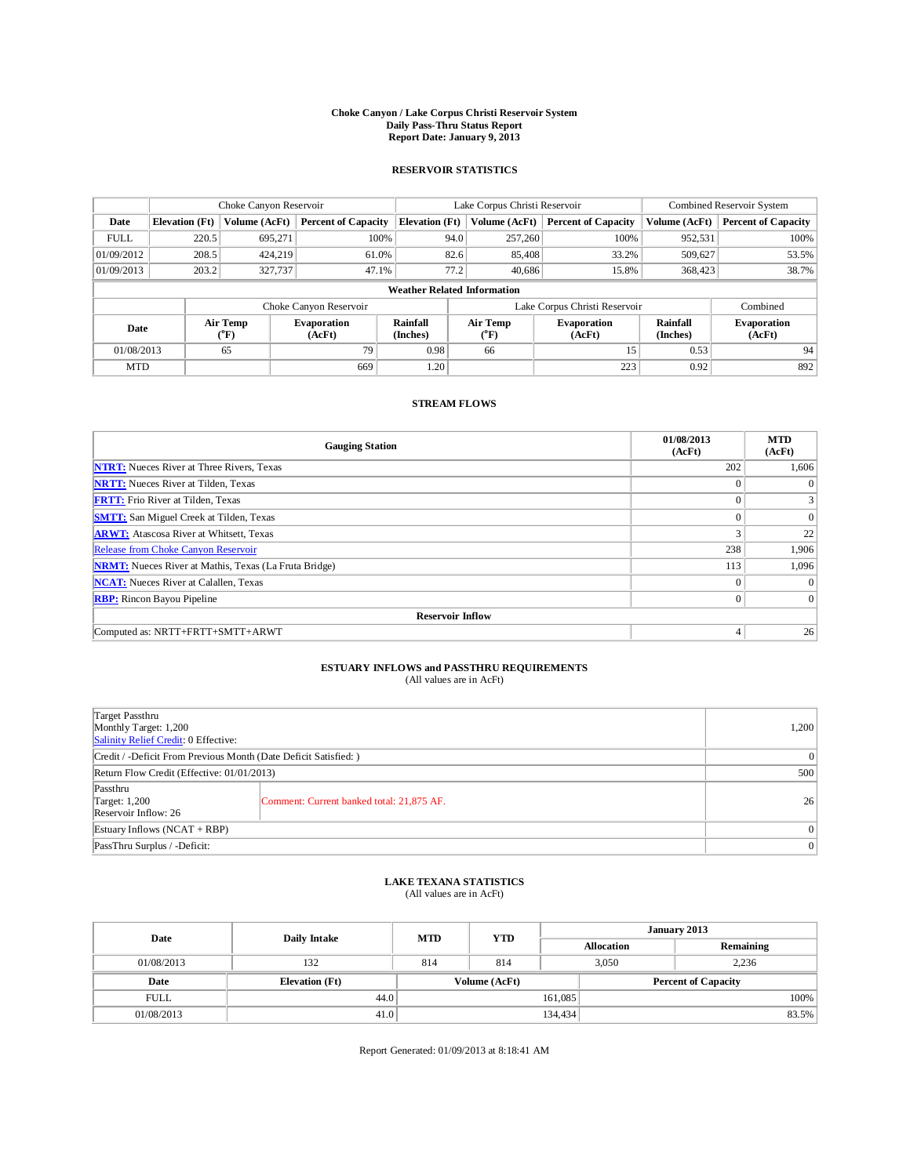## **Choke Canyon / Lake Corpus Christi Reservoir System Daily Pass-Thru Status Report Report Date: January 9, 2013**

### **RESERVOIR STATISTICS**

|             | Choke Canyon Reservoir             |                         |                              |                             | Lake Corpus Christi Reservoir |                        |                              |                      | Combined Reservoir System    |  |  |
|-------------|------------------------------------|-------------------------|------------------------------|-----------------------------|-------------------------------|------------------------|------------------------------|----------------------|------------------------------|--|--|
| Date        | <b>Elevation</b> (Ft)              | Volume (AcFt)           | <b>Percent of Capacity</b>   | <b>Elevation</b> (Ft)       |                               | Volume (AcFt)          | <b>Percent of Capacity</b>   | Volume (AcFt)        | <b>Percent of Capacity</b>   |  |  |
| <b>FULL</b> | 220.5                              | 695,271                 | 100%                         |                             | 94.0                          | 257,260                | 100%                         | 952,531              | 100%                         |  |  |
| 01/09/2012  | 208.5                              | 424,219                 | 61.0%                        |                             | 82.6                          | 85,408                 | 33.2%                        | 509,627              | 53.5%                        |  |  |
| 01/09/2013  | 203.2                              | 327,737                 | 47.1%                        |                             | 77.2                          | 40.686                 | 15.8%                        | 368,423              | 38.7%                        |  |  |
|             | <b>Weather Related Information</b> |                         |                              |                             |                               |                        |                              |                      |                              |  |  |
|             |                                    |                         | Choke Canyon Reservoir       |                             | Lake Corpus Christi Reservoir |                        |                              |                      | Combined                     |  |  |
| Date        |                                    | <b>Air Temp</b><br>(°F) | <b>Evaporation</b><br>(AcFt) | <b>Rainfall</b><br>(Inches) |                               | <b>Air Temp</b><br>(°F | <b>Evaporation</b><br>(AcFt) | Rainfall<br>(Inches) | <b>Evaporation</b><br>(AcFt) |  |  |
| 01/08/2013  |                                    | 65                      | 79                           | 0.98                        |                               | 66                     |                              | 0.53                 | 94                           |  |  |
| <b>MTD</b>  |                                    |                         | 669                          | 1.20                        |                               |                        | 223                          | 0.92                 | 892                          |  |  |

#### **STREAM FLOWS**

| <b>Gauging Station</b>                                       | 01/08/2013<br>(AcFt) | <b>MTD</b><br>(AcFt) |  |  |  |  |  |  |  |  |
|--------------------------------------------------------------|----------------------|----------------------|--|--|--|--|--|--|--|--|
| <b>NTRT:</b> Nueces River at Three Rivers, Texas             | 202                  | 1,606                |  |  |  |  |  |  |  |  |
| <b>NRTT:</b> Nueces River at Tilden, Texas                   | $\Omega$             | $\theta$             |  |  |  |  |  |  |  |  |
| <b>FRTT:</b> Frio River at Tilden, Texas                     | $\Omega$             | $\overline{3}$       |  |  |  |  |  |  |  |  |
| <b>SMTT:</b> San Miguel Creek at Tilden, Texas               | $\Omega$             | $\theta$             |  |  |  |  |  |  |  |  |
| <b>ARWT:</b> Atascosa River at Whitsett, Texas               | 3                    | 22                   |  |  |  |  |  |  |  |  |
| Release from Choke Canyon Reservoir                          | 238                  | 1,906                |  |  |  |  |  |  |  |  |
| <b>NRMT:</b> Nueces River at Mathis, Texas (La Fruta Bridge) | 113                  | 1,096                |  |  |  |  |  |  |  |  |
| <b>NCAT:</b> Nueces River at Calallen, Texas                 | $\Omega$             |                      |  |  |  |  |  |  |  |  |
| <b>RBP:</b> Rincon Bayou Pipeline                            | $\mathbf{0}$         | $\overline{0}$       |  |  |  |  |  |  |  |  |
| <b>Reservoir Inflow</b>                                      |                      |                      |  |  |  |  |  |  |  |  |
| Computed as: NRTT+FRTT+SMTT+ARWT                             | 4                    | 26                   |  |  |  |  |  |  |  |  |

# **ESTUARY INFLOWS and PASSTHRU REQUIREMENTS**<br>(All values are in AcFt)

| Target Passthru<br>Monthly Target: 1,200<br>Salinity Relief Credit: 0 Effective: |                                           |    |  |  |  |
|----------------------------------------------------------------------------------|-------------------------------------------|----|--|--|--|
| Credit / -Deficit From Previous Month (Date Deficit Satisfied: )                 |                                           |    |  |  |  |
| Return Flow Credit (Effective: 01/01/2013)                                       | 500                                       |    |  |  |  |
| Passthru<br>Target: 1,200<br>Reservoir Inflow: 26                                | Comment: Current banked total: 21,875 AF. | 26 |  |  |  |
| Estuary Inflows $(NCAT + RBP)$                                                   | 0                                         |    |  |  |  |
| PassThru Surplus / -Deficit:                                                     |                                           | 0  |  |  |  |

## **LAKE TEXANA STATISTICS** (All values are in AcFt)

| Date        | Daily Intake          | <b>MTD</b> | <b>YTD</b>    | January 2013      |  |                            |       |
|-------------|-----------------------|------------|---------------|-------------------|--|----------------------------|-------|
|             |                       |            |               | <b>Allocation</b> |  | Remaining                  |       |
| 01/08/2013  | 132                   | 814        | 814           | 3,050             |  | 2,236                      |       |
| Date        | <b>Elevation</b> (Ft) |            | Volume (AcFt) |                   |  | <b>Percent of Capacity</b> |       |
| <b>FULL</b> | 44.0                  |            |               | 161,085           |  |                            | 100%  |
| 01/08/2013  | 41.0                  |            |               | 134,434           |  |                            | 83.5% |

Report Generated: 01/09/2013 at 8:18:41 AM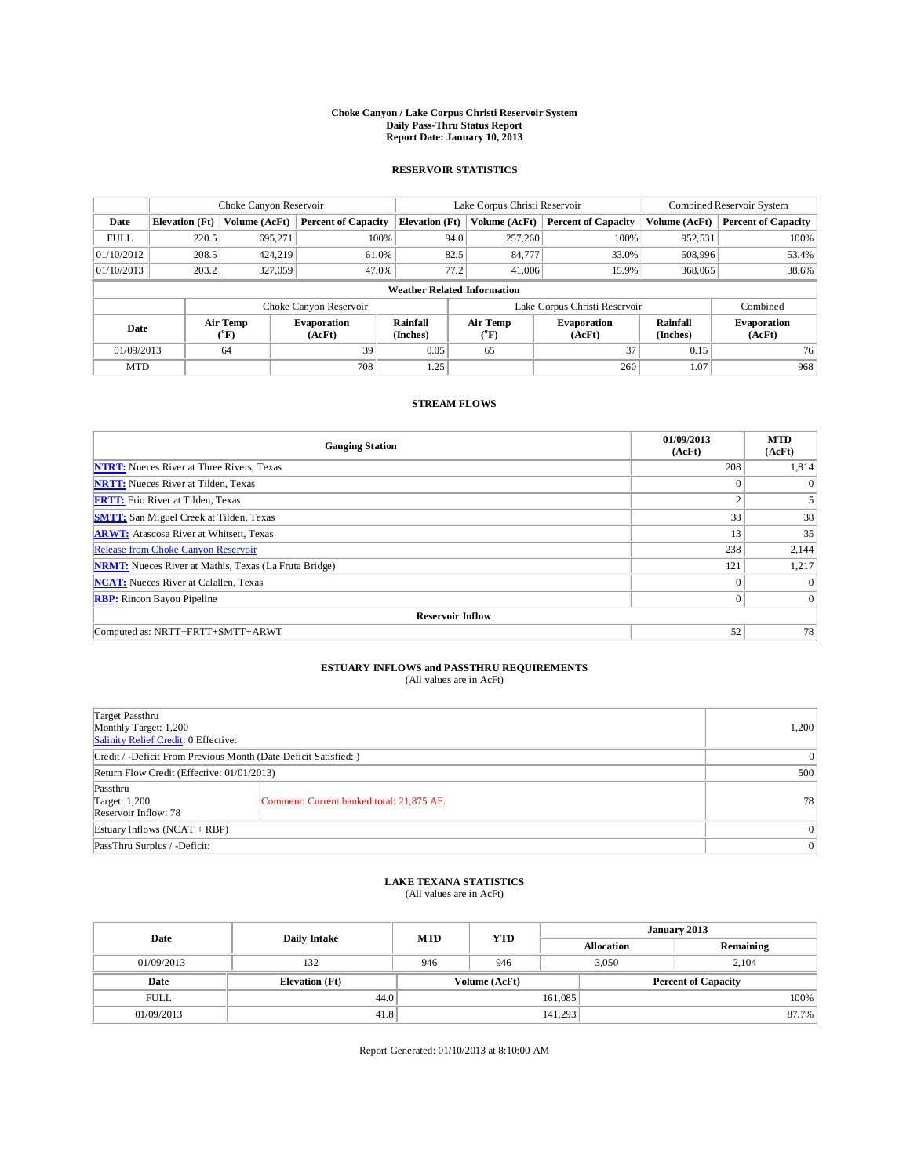## **Choke Canyon / Lake Corpus Christi Reservoir System Daily Pass-Thru Status Report Report Date: January 10, 2013**

### **RESERVOIR STATISTICS**

|             | Choke Canyon Reservoir             |                  | Lake Corpus Christi Reservoir |                             |                               |                         | Combined Reservoir System    |                             |                              |  |
|-------------|------------------------------------|------------------|-------------------------------|-----------------------------|-------------------------------|-------------------------|------------------------------|-----------------------------|------------------------------|--|
| Date        | <b>Elevation</b> (Ft)              | Volume (AcFt)    | <b>Percent of Capacity</b>    | <b>Elevation</b> (Ft)       |                               | Volume (AcFt)           | <b>Percent of Capacity</b>   | Volume (AcFt)               | <b>Percent of Capacity</b>   |  |
| <b>FULL</b> | 220.5                              | 695,271          | 100%                          |                             | 94.0                          | 257,260                 | 100%                         | 952,531                     | 100%                         |  |
| 01/10/2012  | 208.5                              | 424,219          | 61.0%                         |                             | 82.5                          | 84,777                  | 33.0%                        | 508,996                     | 53.4%                        |  |
| 01/10/2013  | 203.2                              | 327,059          | 47.0%                         |                             | 77.2                          | 41,006                  | 15.9%                        | 368,065                     | 38.6%                        |  |
|             | <b>Weather Related Information</b> |                  |                               |                             |                               |                         |                              |                             |                              |  |
|             |                                    |                  | Choke Canyon Reservoir        |                             | Lake Corpus Christi Reservoir |                         |                              |                             | Combined                     |  |
| Date        |                                    | Air Temp<br>(°F) | <b>Evaporation</b><br>(AcFt)  | <b>Rainfall</b><br>(Inches) |                               | <b>Air Temp</b><br>(°F) | <b>Evaporation</b><br>(AcFt) | <b>Rainfall</b><br>(Inches) | <b>Evaporation</b><br>(AcFt) |  |
| 01/09/2013  |                                    | 64               | 39                            | 0.05                        |                               | 65                      | 37                           | 0.15                        | 76                           |  |
| <b>MTD</b>  |                                    |                  | 708                           | 1.25                        |                               |                         | 260                          | 1.07                        | 968                          |  |

### **STREAM FLOWS**

| <b>Gauging Station</b>                                       | 01/09/2013<br>(AcFt) | <b>MTD</b><br>(AcFt) |  |  |  |  |  |  |  |
|--------------------------------------------------------------|----------------------|----------------------|--|--|--|--|--|--|--|
| <b>NTRT:</b> Nueces River at Three Rivers, Texas             | 208                  | 1,814                |  |  |  |  |  |  |  |
| <b>NRTT:</b> Nueces River at Tilden, Texas                   | $\Omega$             | $\theta$             |  |  |  |  |  |  |  |
| <b>FRTT:</b> Frio River at Tilden, Texas                     | ◠                    |                      |  |  |  |  |  |  |  |
| <b>SMTT:</b> San Miguel Creek at Tilden, Texas               | 38                   | 38                   |  |  |  |  |  |  |  |
| <b>ARWT:</b> Atascosa River at Whitsett, Texas               | 13                   | 35                   |  |  |  |  |  |  |  |
| Release from Choke Canyon Reservoir                          | 238                  | 2,144                |  |  |  |  |  |  |  |
| <b>NRMT:</b> Nueces River at Mathis, Texas (La Fruta Bridge) | 121                  | 1,217                |  |  |  |  |  |  |  |
| <b>NCAT:</b> Nueces River at Calallen, Texas                 | $\mathbf{0}$         | $\Omega$             |  |  |  |  |  |  |  |
| <b>RBP:</b> Rincon Bayou Pipeline                            | $\overline{0}$       | $\Omega$             |  |  |  |  |  |  |  |
| <b>Reservoir Inflow</b>                                      |                      |                      |  |  |  |  |  |  |  |
| Computed as: NRTT+FRTT+SMTT+ARWT                             | 52                   | 78                   |  |  |  |  |  |  |  |

# **ESTUARY INFLOWS and PASSTHRU REQUIREMENTS**<br>(All values are in AcFt)

| Target Passthru<br>Monthly Target: 1,200<br>Salinity Relief Credit: 0 Effective: |                                           |    |  |  |
|----------------------------------------------------------------------------------|-------------------------------------------|----|--|--|
| Credit / -Deficit From Previous Month (Date Deficit Satisfied: )                 |                                           |    |  |  |
| Return Flow Credit (Effective: 01/01/2013)                                       |                                           |    |  |  |
| Passthru<br>Target: 1,200<br>Reservoir Inflow: 78                                | Comment: Current banked total: 21,875 AF. | 78 |  |  |
| Estuary Inflows $(NCAT + RBP)$                                                   | 0 <sup>1</sup>                            |    |  |  |
| PassThru Surplus / -Deficit:                                                     | 0 <sup>1</sup>                            |    |  |  |

## **LAKE TEXANA STATISTICS** (All values are in AcFt)

| Date        | Daily Intake          | <b>MTD</b>    | <b>YTD</b> | January 2013 |                   |                            |       |
|-------------|-----------------------|---------------|------------|--------------|-------------------|----------------------------|-------|
|             |                       |               |            |              | <b>Allocation</b> | Remaining                  |       |
| 01/09/2013  | 132                   | 946           | 946        |              | 3.050<br>2.104    |                            |       |
| Date        | <b>Elevation</b> (Ft) | Volume (AcFt) |            |              |                   | <b>Percent of Capacity</b> |       |
| <b>FULL</b> | 44.0                  |               |            | 161,085      |                   |                            | 100%  |
| 01/09/2013  | 41.8                  |               |            | 141,293      |                   |                            | 87.7% |

Report Generated: 01/10/2013 at 8:10:00 AM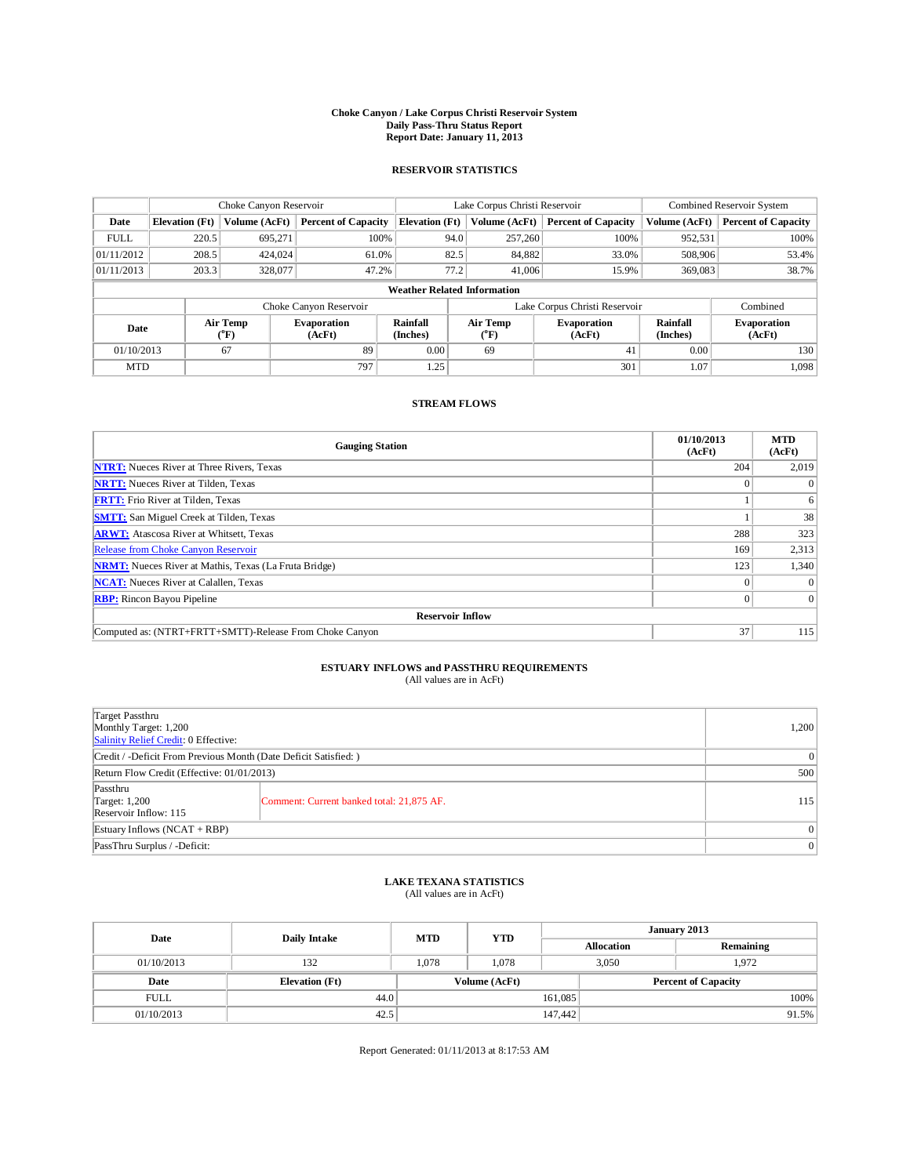## **Choke Canyon / Lake Corpus Christi Reservoir System Daily Pass-Thru Status Report Report Date: January 11, 2013**

### **RESERVOIR STATISTICS**

|             | Choke Canyon Reservoir             |                  |                              |                             | Lake Corpus Christi Reservoir |                         |                              |                             | Combined Reservoir System    |  |  |
|-------------|------------------------------------|------------------|------------------------------|-----------------------------|-------------------------------|-------------------------|------------------------------|-----------------------------|------------------------------|--|--|
| Date        | <b>Elevation</b> (Ft)              | Volume (AcFt)    | <b>Percent of Capacity</b>   | <b>Elevation</b> (Ft)       |                               | Volume (AcFt)           | <b>Percent of Capacity</b>   | Volume (AcFt)               | <b>Percent of Capacity</b>   |  |  |
| <b>FULL</b> | 220.5                              | 695,271          | 100%                         |                             | 94.0                          | 257,260                 | 100%                         | 952,531                     | 100%                         |  |  |
| 01/11/2012  | 208.5                              | 424,024          | 61.0%                        |                             | 82.5                          | 84,882                  | 33.0%                        | 508,906                     | 53.4%                        |  |  |
| 01/11/2013  | 203.3                              | 328,077          | 47.2%                        |                             | 77.2                          | 41,006                  | 15.9%                        | 369,083                     | 38.7%                        |  |  |
|             | <b>Weather Related Information</b> |                  |                              |                             |                               |                         |                              |                             |                              |  |  |
|             |                                    |                  | Choke Canyon Reservoir       |                             | Lake Corpus Christi Reservoir |                         |                              |                             | Combined                     |  |  |
| Date        |                                    | Air Temp<br>(°F) | <b>Evaporation</b><br>(AcFt) | <b>Rainfall</b><br>(Inches) |                               | <b>Air Temp</b><br>(°F) | <b>Evaporation</b><br>(AcFt) | <b>Rainfall</b><br>(Inches) | <b>Evaporation</b><br>(AcFt) |  |  |
| 01/10/2013  |                                    | 67               | 89                           | 0.00                        |                               | 69                      | 41                           | 0.00                        | 130                          |  |  |
| <b>MTD</b>  |                                    |                  | 797                          | 1.25                        |                               |                         | 301                          | 1.07                        | 1,098                        |  |  |

#### **STREAM FLOWS**

| <b>Gauging Station</b>                                       | 01/10/2013<br>(AcFt) | <b>MTD</b><br>(AcFt) |  |  |  |  |  |  |
|--------------------------------------------------------------|----------------------|----------------------|--|--|--|--|--|--|
| <b>NTRT:</b> Nueces River at Three Rivers, Texas             | 204                  | 2,019                |  |  |  |  |  |  |
| <b>NRTT:</b> Nueces River at Tilden, Texas                   |                      | $\theta$             |  |  |  |  |  |  |
| <b>FRTT:</b> Frio River at Tilden, Texas                     |                      | 6                    |  |  |  |  |  |  |
| <b>SMTT:</b> San Miguel Creek at Tilden, Texas               |                      | 38                   |  |  |  |  |  |  |
| <b>ARWT:</b> Atascosa River at Whitsett, Texas               | 288                  | 323                  |  |  |  |  |  |  |
| <b>Release from Choke Canyon Reservoir</b>                   | 169                  | 2,313                |  |  |  |  |  |  |
| <b>NRMT:</b> Nueces River at Mathis, Texas (La Fruta Bridge) | 123                  | 1,340                |  |  |  |  |  |  |
| <b>NCAT:</b> Nueces River at Calallen, Texas                 | $\Omega$             | $\theta$             |  |  |  |  |  |  |
| <b>RBP:</b> Rincon Bayou Pipeline                            | $\Omega$             | $\Omega$             |  |  |  |  |  |  |
| <b>Reservoir Inflow</b>                                      |                      |                      |  |  |  |  |  |  |
| Computed as: (NTRT+FRTT+SMTT)-Release From Choke Canyon      | 37                   | 115                  |  |  |  |  |  |  |

# **ESTUARY INFLOWS and PASSTHRU REQUIREMENTS**<br>(All values are in AcFt)

| Target Passthru<br>Monthly Target: 1,200<br>Salinity Relief Credit: 0 Effective: |                                           |     |  |  |  |
|----------------------------------------------------------------------------------|-------------------------------------------|-----|--|--|--|
| Credit / -Deficit From Previous Month (Date Deficit Satisfied: )                 |                                           |     |  |  |  |
| Return Flow Credit (Effective: 01/01/2013)                                       |                                           |     |  |  |  |
| Passthru<br>Target: $1,200$<br>Reservoir Inflow: 115                             | Comment: Current banked total: 21,875 AF. | 115 |  |  |  |
| Estuary Inflows $(NCAT + RBP)$                                                   | 0 <sup>1</sup>                            |     |  |  |  |
| PassThru Surplus / -Deficit:                                                     |                                           |     |  |  |  |

## **LAKE TEXANA STATISTICS** (All values are in AcFt)

| Date        | <b>Daily Intake</b>   | <b>MTD</b> | <b>YTD</b>    | January 2013 |                   |                            |       |
|-------------|-----------------------|------------|---------------|--------------|-------------------|----------------------------|-------|
|             |                       |            |               |              | <b>Allocation</b> | Remaining                  |       |
| 01/10/2013  | 132                   | 1.078      | 1.078         | 3,050        |                   | 1.972                      |       |
| Date        | <b>Elevation</b> (Ft) |            | Volume (AcFt) |              |                   | <b>Percent of Capacity</b> |       |
| <b>FULL</b> | 44.0                  |            |               | 161,085      |                   |                            | 100%  |
| 01/10/2013  | 42.5                  |            |               | 147,442      |                   |                            | 91.5% |

Report Generated: 01/11/2013 at 8:17:53 AM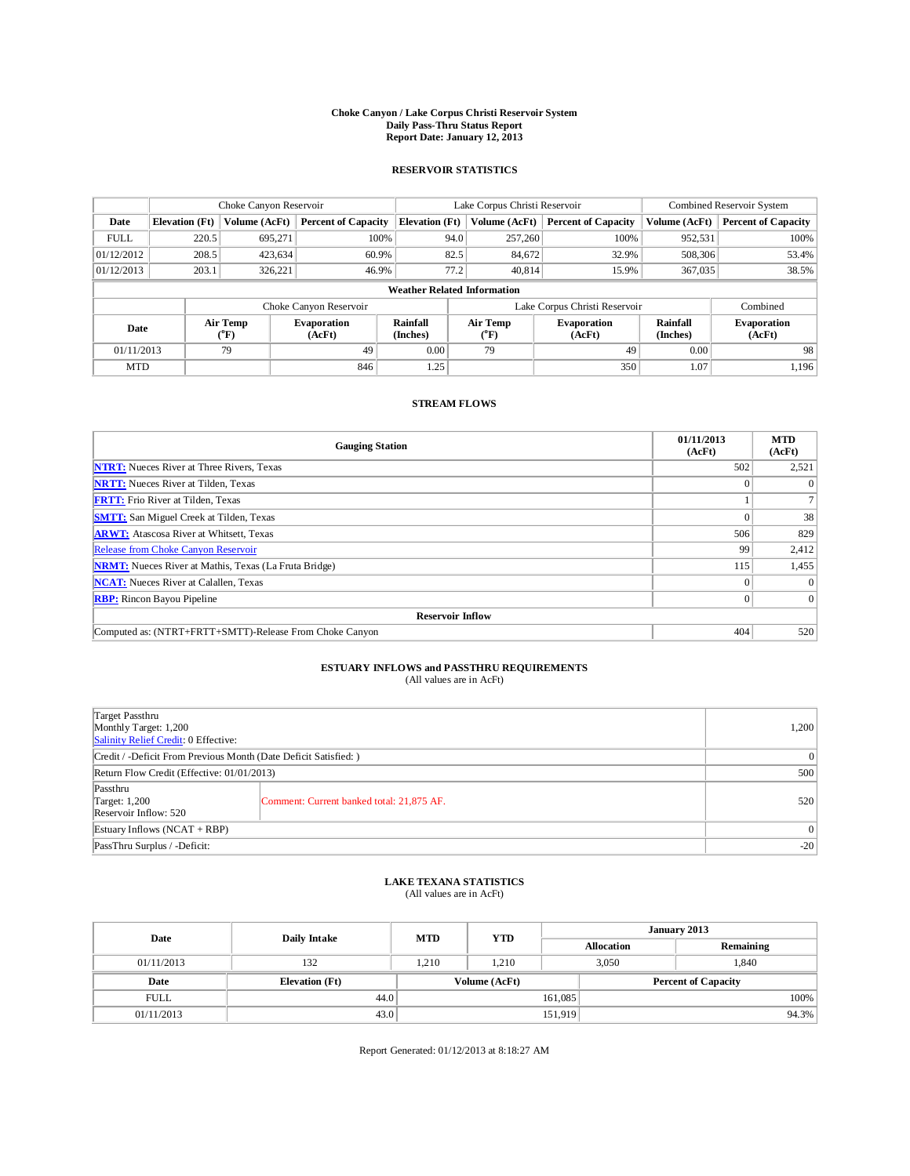## **Choke Canyon / Lake Corpus Christi Reservoir System Daily Pass-Thru Status Report Report Date: January 12, 2013**

### **RESERVOIR STATISTICS**

|             |                                    | Choke Canyon Reservoir |                              |                       | Lake Corpus Christi Reservoir | Combined Reservoir System    |                      |                              |  |  |
|-------------|------------------------------------|------------------------|------------------------------|-----------------------|-------------------------------|------------------------------|----------------------|------------------------------|--|--|
| Date        | <b>Elevation</b> (Ft)              | Volume (AcFt)          | <b>Percent of Capacity</b>   | <b>Elevation</b> (Ft) | Volume (AcFt)                 | <b>Percent of Capacity</b>   | Volume (AcFt)        | <b>Percent of Capacity</b>   |  |  |
| <b>FULL</b> | 220.5                              | 695,271                | 100%                         | 94.0                  | 257,260                       | 100%                         | 952,531              | 100%                         |  |  |
| 01/12/2012  | 208.5                              | 423,634                | 60.9%                        | 82.5                  | 84,672                        | 32.9%                        | 508,306              | 53.4%                        |  |  |
| 01/12/2013  | 203.1                              | 326,221                | 46.9%                        | 77.2                  | 40.814                        | 15.9%                        | 367,035              | 38.5%                        |  |  |
|             | <b>Weather Related Information</b> |                        |                              |                       |                               |                              |                      |                              |  |  |
|             |                                    |                        | Choke Canyon Reservoir       |                       | Lake Corpus Christi Reservoir |                              | Combined             |                              |  |  |
| Date        |                                    | Air Temp<br>(°F)       | <b>Evaporation</b><br>(AcFt) | Rainfall<br>(Inches)  | Air Temp<br>$\rm ^{(^oF)}$    | <b>Evaporation</b><br>(AcFt) | Rainfall<br>(Inches) | <b>Evaporation</b><br>(AcFt) |  |  |
| 01/11/2013  |                                    | 79                     | 49                           | 0.00                  | 79                            | 49                           | 0.00                 | 98                           |  |  |
| <b>MTD</b>  |                                    |                        | 846                          | 1.25                  |                               | 350                          | 1.07                 | 1,196                        |  |  |

#### **STREAM FLOWS**

| <b>Gauging Station</b>                                       | 01/11/2013<br>(AcFt) | <b>MTD</b><br>(AcFt) |  |  |  |  |  |  |
|--------------------------------------------------------------|----------------------|----------------------|--|--|--|--|--|--|
| <b>NTRT:</b> Nueces River at Three Rivers, Texas             | 502                  | 2,521                |  |  |  |  |  |  |
| <b>NRTT:</b> Nueces River at Tilden, Texas                   |                      | $\theta$             |  |  |  |  |  |  |
| <b>FRTT:</b> Frio River at Tilden, Texas                     |                      |                      |  |  |  |  |  |  |
| <b>SMTT:</b> San Miguel Creek at Tilden, Texas               |                      | 38                   |  |  |  |  |  |  |
| <b>ARWT:</b> Atascosa River at Whitsett, Texas               | 506                  | 829                  |  |  |  |  |  |  |
| <b>Release from Choke Canyon Reservoir</b>                   | 99                   | 2,412                |  |  |  |  |  |  |
| <b>NRMT:</b> Nueces River at Mathis, Texas (La Fruta Bridge) | 115                  | 1,455                |  |  |  |  |  |  |
| <b>NCAT:</b> Nueces River at Calallen, Texas                 | $\Omega$             | $\theta$             |  |  |  |  |  |  |
| <b>RBP:</b> Rincon Bayou Pipeline                            |                      | $\Omega$             |  |  |  |  |  |  |
| <b>Reservoir Inflow</b>                                      |                      |                      |  |  |  |  |  |  |
| Computed as: (NTRT+FRTT+SMTT)-Release From Choke Canyon      | 404                  | 520                  |  |  |  |  |  |  |

## **ESTUARY INFLOWS and PASSTHRU REQUIREMENTS**<br>(All values are in AcFt)

| Target Passthru<br>Monthly Target: 1,200<br>Salinity Relief Credit: 0 Effective: |                                           |     |  |  |
|----------------------------------------------------------------------------------|-------------------------------------------|-----|--|--|
| Credit / -Deficit From Previous Month (Date Deficit Satisfied: )                 |                                           |     |  |  |
| Return Flow Credit (Effective: 01/01/2013)                                       |                                           |     |  |  |
| Passthru<br>Target: $1,200$<br>Reservoir Inflow: 520                             | Comment: Current banked total: 21,875 AF. | 520 |  |  |
| Estuary Inflows $(NCAT + RBP)$                                                   |                                           |     |  |  |
| PassThru Surplus / -Deficit:                                                     | $-20$                                     |     |  |  |

## **LAKE TEXANA STATISTICS** (All values are in AcFt)

| Date        | <b>Daily Intake</b>   | <b>MTD</b> | <b>YTD</b>    | January 2013 |                   |                            |       |
|-------------|-----------------------|------------|---------------|--------------|-------------------|----------------------------|-------|
|             |                       |            |               |              | <b>Allocation</b> | Remaining                  |       |
| 01/11/2013  | 132                   | 1.210      | 1.210         |              | 3,050<br>1.840    |                            |       |
| Date        | <b>Elevation</b> (Ft) |            | Volume (AcFt) |              |                   | <b>Percent of Capacity</b> |       |
| <b>FULL</b> | 44.0                  |            |               | 161,085      |                   |                            | 100%  |
| 01/11/2013  | 43.0                  |            |               | 151,919      |                   |                            | 94.3% |

Report Generated: 01/12/2013 at 8:18:27 AM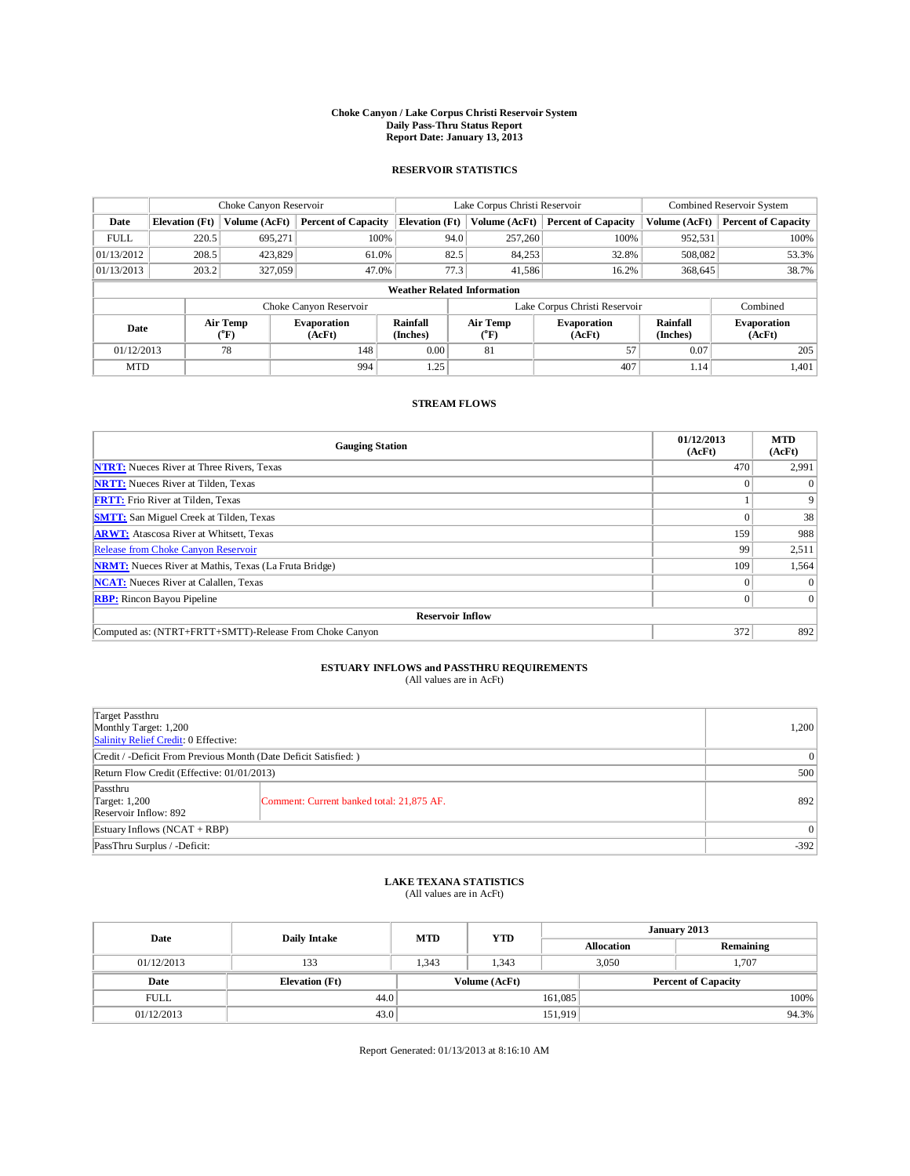## **Choke Canyon / Lake Corpus Christi Reservoir System Daily Pass-Thru Status Report Report Date: January 13, 2013**

### **RESERVOIR STATISTICS**

|             | Choke Canyon Reservoir             |                              | Lake Corpus Christi Reservoir |                             |                               |                  | Combined Reservoir System    |                             |                              |  |  |
|-------------|------------------------------------|------------------------------|-------------------------------|-----------------------------|-------------------------------|------------------|------------------------------|-----------------------------|------------------------------|--|--|
| Date        | <b>Elevation</b> (Ft)              | Volume (AcFt)                | <b>Percent of Capacity</b>    | <b>Elevation</b> (Ft)       |                               | Volume (AcFt)    | <b>Percent of Capacity</b>   | Volume (AcFt)               | <b>Percent of Capacity</b>   |  |  |
| <b>FULL</b> | 220.5                              | 695,271                      | 100%                          |                             | 94.0                          | 257,260          | 100%                         | 952,531                     | 100%                         |  |  |
| 01/13/2012  | 208.5                              | 423,829                      | 61.0%                         |                             | 82.5                          | 84,253           | 32.8%                        | 508,082                     | 53.3%                        |  |  |
| 01/13/2013  | 203.2                              | 327,059                      | 47.0%                         |                             | 77.3                          | 41,586           | 16.2%                        | 368,645                     | 38.7%                        |  |  |
|             | <b>Weather Related Information</b> |                              |                               |                             |                               |                  |                              |                             |                              |  |  |
|             |                                    |                              | Choke Canyon Reservoir        |                             | Lake Corpus Christi Reservoir |                  |                              |                             | Combined                     |  |  |
| Date        |                                    | Air Temp<br>$({}^0\text{F})$ | <b>Evaporation</b><br>(AcFt)  | <b>Rainfall</b><br>(Inches) |                               | Air Temp<br>(°F) | <b>Evaporation</b><br>(AcFt) | <b>Rainfall</b><br>(Inches) | <b>Evaporation</b><br>(AcFt) |  |  |
| 01/12/2013  |                                    | 78                           | 148                           | 0.00                        |                               | 81               | 57                           | 0.07                        | 205                          |  |  |
| <b>MTD</b>  |                                    |                              | 994                           | 1.25                        |                               |                  | 407                          | 1.14                        | 1,401                        |  |  |

#### **STREAM FLOWS**

| <b>Gauging Station</b>                                       | 01/12/2013<br>(AcFt) | <b>MTD</b><br>(AcFt) |  |  |  |  |  |  |
|--------------------------------------------------------------|----------------------|----------------------|--|--|--|--|--|--|
| <b>NTRT:</b> Nueces River at Three Rivers, Texas             | 470                  | 2,991                |  |  |  |  |  |  |
| <b>NRTT:</b> Nueces River at Tilden, Texas                   |                      | $\theta$             |  |  |  |  |  |  |
| <b>FRTT:</b> Frio River at Tilden, Texas                     |                      | 9                    |  |  |  |  |  |  |
| <b>SMTT:</b> San Miguel Creek at Tilden, Texas               |                      | 38                   |  |  |  |  |  |  |
| <b>ARWT:</b> Atascosa River at Whitsett, Texas               | 159                  | 988                  |  |  |  |  |  |  |
| <b>Release from Choke Canyon Reservoir</b>                   | 99                   | 2,511                |  |  |  |  |  |  |
| <b>NRMT:</b> Nueces River at Mathis, Texas (La Fruta Bridge) | 109                  | 1,564                |  |  |  |  |  |  |
| <b>NCAT:</b> Nueces River at Calallen, Texas                 | $\Omega$             | $\theta$             |  |  |  |  |  |  |
| <b>RBP:</b> Rincon Bayou Pipeline                            | $\Omega$             | $\Omega$             |  |  |  |  |  |  |
| <b>Reservoir Inflow</b>                                      |                      |                      |  |  |  |  |  |  |
| Computed as: (NTRT+FRTT+SMTT)-Release From Choke Canyon      | 372                  | 892                  |  |  |  |  |  |  |

## **ESTUARY INFLOWS and PASSTHRU REQUIREMENTS**<br>(All values are in AcFt)

| Target Passthru<br>Monthly Target: 1,200<br>Salinity Relief Credit: 0 Effective: |                                           |        |  |  |
|----------------------------------------------------------------------------------|-------------------------------------------|--------|--|--|
| Credit / -Deficit From Previous Month (Date Deficit Satisfied: )                 |                                           |        |  |  |
| Return Flow Credit (Effective: 01/01/2013)                                       |                                           |        |  |  |
| Passthru<br>Target: 1,200<br>Reservoir Inflow: 892                               | Comment: Current banked total: 21,875 AF. | 892    |  |  |
| Estuary Inflows $(NCAT + RBP)$                                                   | $\vert$ 0                                 |        |  |  |
| PassThru Surplus / -Deficit:                                                     |                                           | $-392$ |  |  |

## **LAKE TEXANA STATISTICS** (All values are in AcFt)

| Date        | <b>Daily Intake</b>   | <b>MTD</b> | <b>YTD</b>    | January 2013               |  |           |       |
|-------------|-----------------------|------------|---------------|----------------------------|--|-----------|-------|
|             |                       |            |               | <b>Allocation</b>          |  | Remaining |       |
| 01/12/2013  | 133                   | 1.343      | 1.343         | 3,050                      |  | 1.707     |       |
| Date        | <b>Elevation</b> (Ft) |            | Volume (AcFt) | <b>Percent of Capacity</b> |  |           |       |
| <b>FULL</b> | 44.0                  |            |               | 161,085                    |  |           | 100%  |
| 01/12/2013  | 43.0                  |            |               | 151,919                    |  |           | 94.3% |

Report Generated: 01/13/2013 at 8:16:10 AM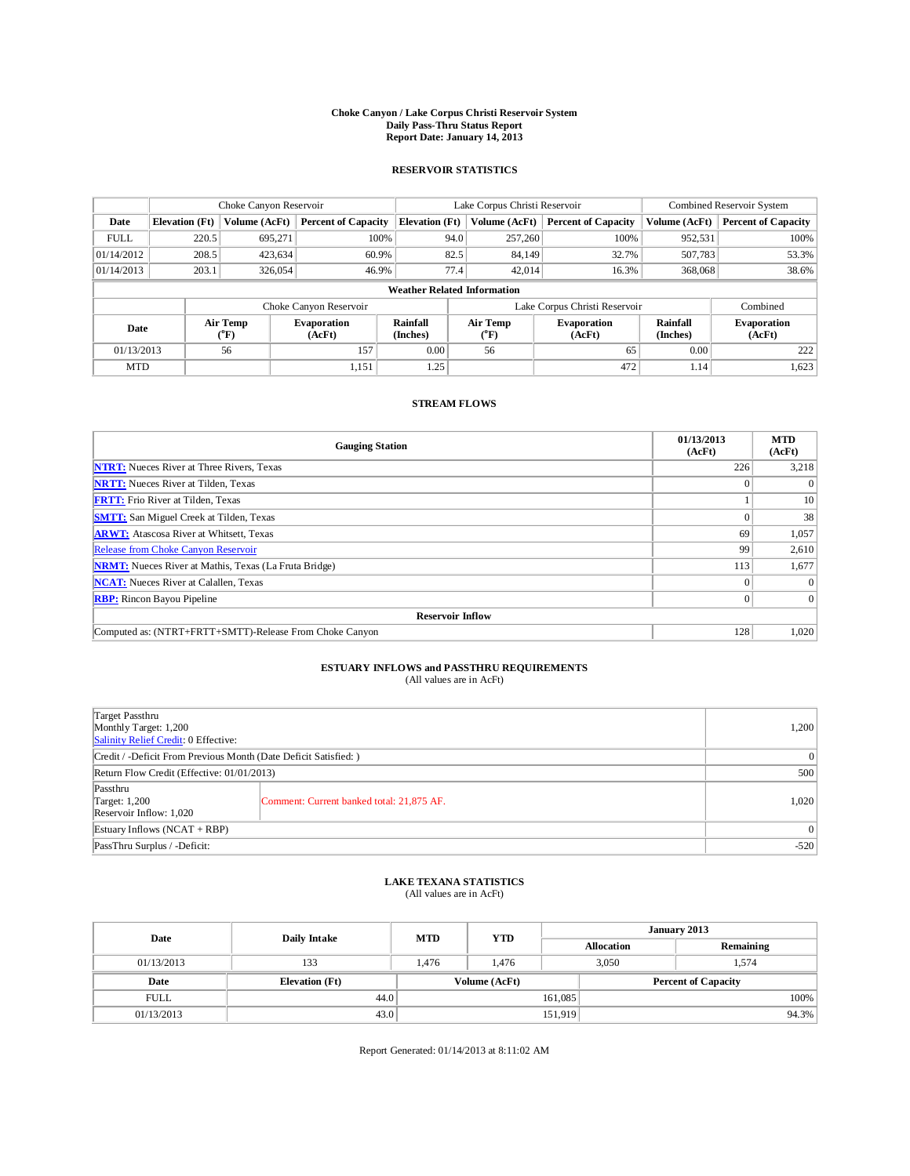## **Choke Canyon / Lake Corpus Christi Reservoir System Daily Pass-Thru Status Report Report Date: January 14, 2013**

### **RESERVOIR STATISTICS**

|             |                                    | Choke Canyon Reservoir       |                              |                             | Lake Corpus Christi Reservoir | Combined Reservoir System    |                             |                              |  |  |  |
|-------------|------------------------------------|------------------------------|------------------------------|-----------------------------|-------------------------------|------------------------------|-----------------------------|------------------------------|--|--|--|
| Date        | <b>Elevation</b> (Ft)              | Volume (AcFt)                | <b>Percent of Capacity</b>   | <b>Elevation</b> (Ft)       | Volume (AcFt)                 | <b>Percent of Capacity</b>   | Volume (AcFt)               | <b>Percent of Capacity</b>   |  |  |  |
| <b>FULL</b> | 220.5                              | 695,271                      | 100%                         | 94.0                        | 257,260                       | 100%                         | 952,531                     | 100%                         |  |  |  |
| 01/14/2012  | 208.5                              | 423,634                      | 60.9%                        | 82.5                        | 84.149                        | 32.7%                        | 507,783                     | 53.3%                        |  |  |  |
| 01/14/2013  | 203.1                              | 326,054                      | 46.9%                        | 77.4                        | 42,014                        | 16.3%                        | 368,068                     | 38.6%                        |  |  |  |
|             | <b>Weather Related Information</b> |                              |                              |                             |                               |                              |                             |                              |  |  |  |
|             |                                    |                              | Choke Canyon Reservoir       |                             | Lake Corpus Christi Reservoir |                              | Combined                    |                              |  |  |  |
| Date        |                                    | Air Temp<br>$({}^0\text{F})$ | <b>Evaporation</b><br>(AcFt) | <b>Rainfall</b><br>(Inches) | <b>Air Temp</b><br>(°F)       | <b>Evaporation</b><br>(AcFt) | <b>Rainfall</b><br>(Inches) | <b>Evaporation</b><br>(AcFt) |  |  |  |
| 01/13/2013  |                                    | 56                           | 157                          | 0.00                        | 56                            | 65                           | 0.00                        | 222                          |  |  |  |
| <b>MTD</b>  |                                    |                              | 1,151                        | 1.25                        |                               | 472                          | 1.14                        | 1,623                        |  |  |  |

### **STREAM FLOWS**

| <b>Gauging Station</b>                                       | 01/13/2013<br>(AcFt) | <b>MTD</b><br>(AcFt) |  |  |  |  |  |  |
|--------------------------------------------------------------|----------------------|----------------------|--|--|--|--|--|--|
| <b>NTRT:</b> Nueces River at Three Rivers, Texas             | 226                  | 3,218                |  |  |  |  |  |  |
| <b>NRTT:</b> Nueces River at Tilden, Texas                   |                      | $\theta$             |  |  |  |  |  |  |
| <b>FRTT:</b> Frio River at Tilden, Texas                     |                      | 10                   |  |  |  |  |  |  |
| <b>SMTT:</b> San Miguel Creek at Tilden, Texas               |                      | 38                   |  |  |  |  |  |  |
| <b>ARWT:</b> Atascosa River at Whitsett, Texas               | 69                   | 1,057                |  |  |  |  |  |  |
| Release from Choke Canyon Reservoir                          | 99                   | 2,610                |  |  |  |  |  |  |
| <b>NRMT:</b> Nueces River at Mathis, Texas (La Fruta Bridge) | 113                  | 1,677                |  |  |  |  |  |  |
| <b>NCAT:</b> Nueces River at Calallen, Texas                 | $\Omega$             | $\Omega$             |  |  |  |  |  |  |
| <b>RBP:</b> Rincon Bayou Pipeline                            | $\Omega$             | $\Omega$             |  |  |  |  |  |  |
| <b>Reservoir Inflow</b>                                      |                      |                      |  |  |  |  |  |  |
| Computed as: (NTRT+FRTT+SMTT)-Release From Choke Canyon      | 128                  | 1,020                |  |  |  |  |  |  |

## **ESTUARY INFLOWS and PASSTHRU REQUIREMENTS**<br>(All values are in AcFt)

| Target Passthru<br>Monthly Target: 1,200<br>Salinity Relief Credit: 0 Effective: | 1,200                                     |       |  |  |  |
|----------------------------------------------------------------------------------|-------------------------------------------|-------|--|--|--|
| Credit / -Deficit From Previous Month (Date Deficit Satisfied: )                 |                                           |       |  |  |  |
| Return Flow Credit (Effective: 01/01/2013)                                       | 500                                       |       |  |  |  |
| Passthru<br>Target: 1,200<br>Reservoir Inflow: 1,020                             | Comment: Current banked total: 21,875 AF. | 1,020 |  |  |  |
| Estuary Inflows $(NCAT + RBP)$                                                   | 0                                         |       |  |  |  |
| PassThru Surplus / -Deficit:                                                     |                                           |       |  |  |  |

## **LAKE TEXANA STATISTICS** (All values are in AcFt)

| Date        | <b>Daily Intake</b>   | <b>MTD</b> | <b>YTD</b>    | January 2013               |  |           |       |
|-------------|-----------------------|------------|---------------|----------------------------|--|-----------|-------|
|             |                       |            |               | <b>Allocation</b>          |  | Remaining |       |
| 01/13/2013  | 133                   | 1.476      | 1.476         | 3,050                      |  | 1,574     |       |
| Date        | <b>Elevation</b> (Ft) |            | Volume (AcFt) | <b>Percent of Capacity</b> |  |           |       |
| <b>FULL</b> | 44.0                  |            |               | 161,085                    |  |           | 100%  |
| 01/13/2013  | 43.0                  |            |               | 151,919                    |  |           | 94.3% |

Report Generated: 01/14/2013 at 8:11:02 AM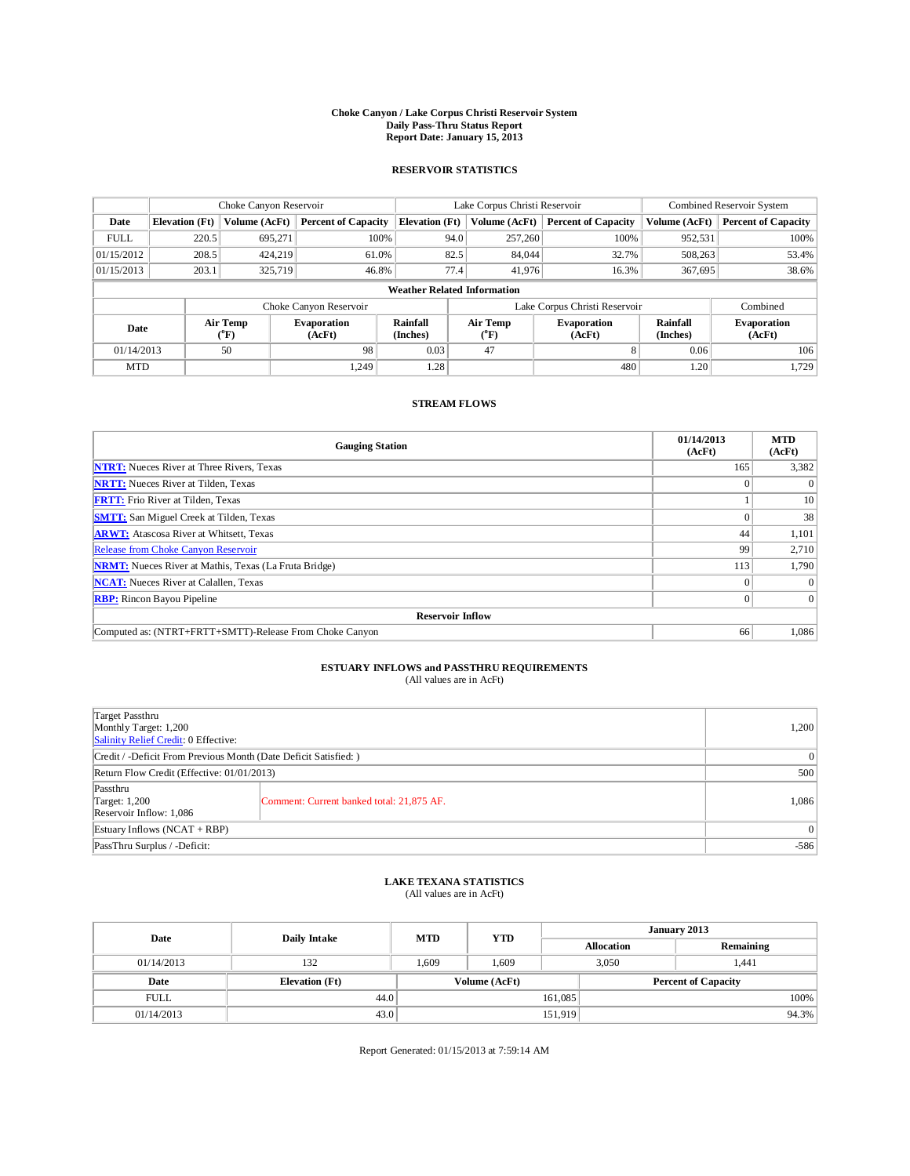## **Choke Canyon / Lake Corpus Christi Reservoir System Daily Pass-Thru Status Report Report Date: January 15, 2013**

### **RESERVOIR STATISTICS**

|             | Choke Canyon Reservoir             |                  | Lake Corpus Christi Reservoir |                       |                               |               | Combined Reservoir System    |                      |                              |  |  |
|-------------|------------------------------------|------------------|-------------------------------|-----------------------|-------------------------------|---------------|------------------------------|----------------------|------------------------------|--|--|
| Date        | <b>Elevation</b> (Ft)              | Volume (AcFt)    | <b>Percent of Capacity</b>    | <b>Elevation</b> (Ft) |                               | Volume (AcFt) | <b>Percent of Capacity</b>   | Volume (AcFt)        | <b>Percent of Capacity</b>   |  |  |
| <b>FULL</b> | 220.5                              | 695,271          | 100%                          |                       | 94.0                          | 257,260       | 100%                         | 952,531              | 100%                         |  |  |
| 01/15/2012  | 208.5                              | 424,219          | 61.0%                         |                       | 82.5                          | 84.044        | 32.7%                        | 508,263              | 53.4%                        |  |  |
| 01/15/2013  | 203.1                              | 325,719          | 46.8%                         |                       | 77.4                          | 41,976        | 16.3%                        | 367,695              | 38.6%                        |  |  |
|             | <b>Weather Related Information</b> |                  |                               |                       |                               |               |                              |                      |                              |  |  |
|             |                                    |                  | Choke Canyon Reservoir        |                       | Lake Corpus Christi Reservoir |               |                              |                      | Combined                     |  |  |
| Date        |                                    | Air Temp<br>(°F) | <b>Evaporation</b><br>(AcFt)  | Rainfall<br>(Inches)  | Air Temp<br>$\rm ^{(^o}\!F)$  |               | <b>Evaporation</b><br>(AcFt) | Rainfall<br>(Inches) | <b>Evaporation</b><br>(AcFt) |  |  |
| 01/14/2013  |                                    | 50               | 98                            | 0.03                  | 47                            |               | 8                            | 0.06                 | 106                          |  |  |
| <b>MTD</b>  |                                    |                  | 1.249                         | 1.28                  |                               |               | 480                          | 1.20                 | 1,729                        |  |  |

### **STREAM FLOWS**

| <b>Gauging Station</b>                                       | 01/14/2013<br>(AcFt) | <b>MTD</b><br>(AcFt) |  |  |  |  |  |  |
|--------------------------------------------------------------|----------------------|----------------------|--|--|--|--|--|--|
| <b>NTRT:</b> Nueces River at Three Rivers, Texas             | 165                  | 3,382                |  |  |  |  |  |  |
| <b>NRTT:</b> Nueces River at Tilden, Texas                   |                      | $\theta$             |  |  |  |  |  |  |
| <b>FRTT:</b> Frio River at Tilden, Texas                     |                      | 10                   |  |  |  |  |  |  |
| <b>SMTT:</b> San Miguel Creek at Tilden, Texas               |                      | 38                   |  |  |  |  |  |  |
| <b>ARWT:</b> Atascosa River at Whitsett, Texas               | 44                   | 1,101                |  |  |  |  |  |  |
| Release from Choke Canyon Reservoir                          | 99                   | 2,710                |  |  |  |  |  |  |
| <b>NRMT:</b> Nueces River at Mathis, Texas (La Fruta Bridge) | 113                  | 1,790                |  |  |  |  |  |  |
| <b>NCAT:</b> Nueces River at Calallen, Texas                 | $\Omega$             | $\theta$             |  |  |  |  |  |  |
| <b>RBP:</b> Rincon Bayou Pipeline                            | $\Omega$             | $\Omega$             |  |  |  |  |  |  |
| <b>Reservoir Inflow</b>                                      |                      |                      |  |  |  |  |  |  |
| Computed as: (NTRT+FRTT+SMTT)-Release From Choke Canyon      | 66                   | 1,086                |  |  |  |  |  |  |

## **ESTUARY INFLOWS and PASSTHRU REQUIREMENTS**<br>(All values are in AcFt)

| Target Passthru<br>Monthly Target: 1,200<br>Salinity Relief Credit: 0 Effective: |                                           |       |  |  |  |
|----------------------------------------------------------------------------------|-------------------------------------------|-------|--|--|--|
| Credit / -Deficit From Previous Month (Date Deficit Satisfied: )                 |                                           |       |  |  |  |
| Return Flow Credit (Effective: 01/01/2013)                                       |                                           |       |  |  |  |
| Passthru<br>Target: 1,200<br>Reservoir Inflow: 1,086                             | Comment: Current banked total: 21,875 AF. | 1,086 |  |  |  |
| Estuary Inflows $(NCAT + RBP)$                                                   | 0 <sup>1</sup>                            |       |  |  |  |
| PassThru Surplus / -Deficit:                                                     |                                           |       |  |  |  |

## **LAKE TEXANA STATISTICS** (All values are in AcFt)

| Date        | <b>Daily Intake</b>   | <b>MTD</b>                                  | <b>YTD</b> | January 2013      |  |           |       |
|-------------|-----------------------|---------------------------------------------|------------|-------------------|--|-----------|-------|
|             |                       |                                             |            | <b>Allocation</b> |  | Remaining |       |
| 01/14/2013  | 132                   | 1.609                                       | 1,609      | 3,050             |  | 1.441     |       |
| Date        | <b>Elevation</b> (Ft) | Volume (AcFt)<br><b>Percent of Capacity</b> |            |                   |  |           |       |
| <b>FULL</b> | 44.0                  |                                             |            | 161,085           |  |           | 100%  |
| 01/14/2013  | 43.0                  |                                             |            | 151,919           |  |           | 94.3% |

Report Generated: 01/15/2013 at 7:59:14 AM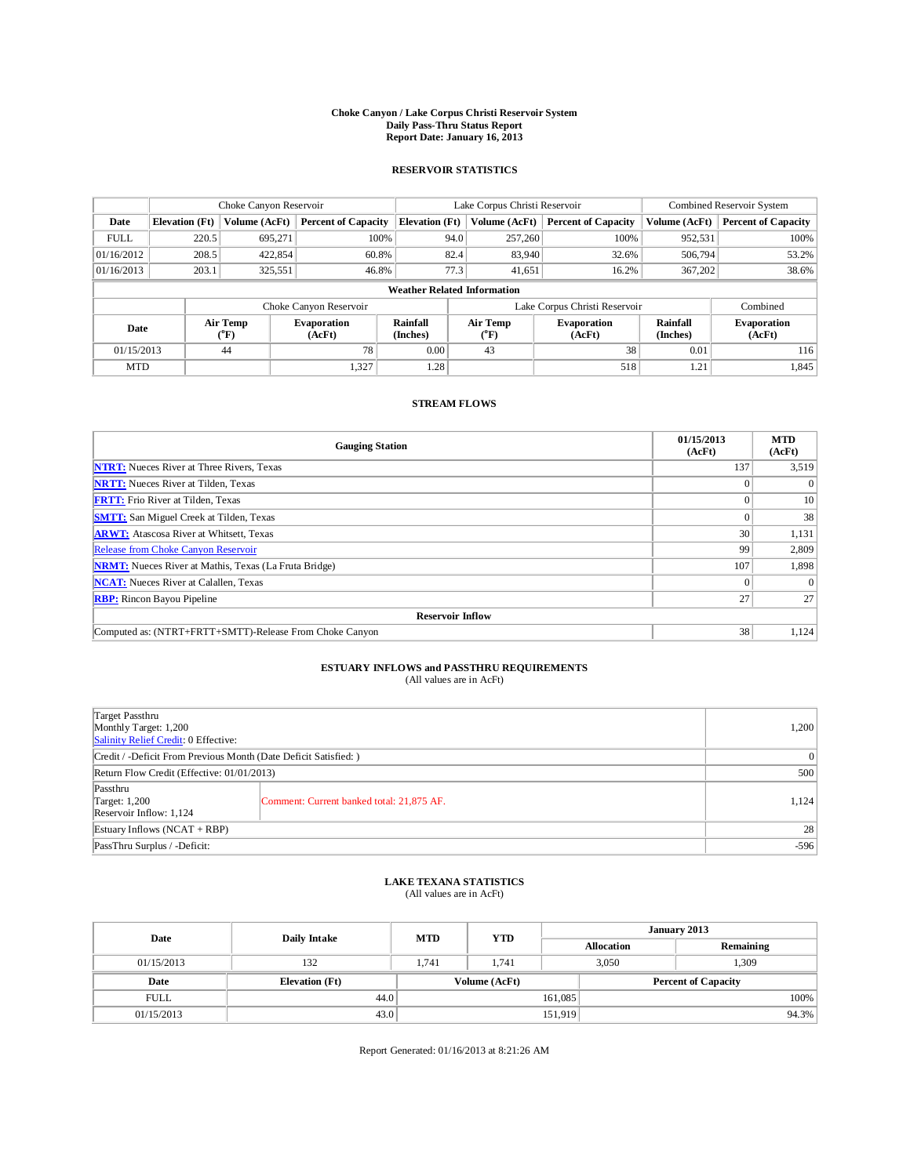## **Choke Canyon / Lake Corpus Christi Reservoir System Daily Pass-Thru Status Report Report Date: January 16, 2013**

### **RESERVOIR STATISTICS**

|             | Choke Canyon Reservoir |                              | Lake Corpus Christi Reservoir |                                    |                               |                         | Combined Reservoir System    |                             |                              |
|-------------|------------------------|------------------------------|-------------------------------|------------------------------------|-------------------------------|-------------------------|------------------------------|-----------------------------|------------------------------|
| Date        | <b>Elevation</b> (Ft)  | Volume (AcFt)                | <b>Percent of Capacity</b>    | <b>Elevation</b> (Ft)              |                               | Volume (AcFt)           | <b>Percent of Capacity</b>   | Volume (AcFt)               | <b>Percent of Capacity</b>   |
| <b>FULL</b> | 220.5                  | 695,271                      | 100%                          |                                    | 94.0                          | 257,260                 | 100%                         | 952,531                     | 100%                         |
| 01/16/2012  | 208.5                  | 422,854                      | 60.8%                         |                                    | 82.4                          | 83,940                  | 32.6%                        | 506,794                     | 53.2%                        |
| 01/16/2013  | 203.1                  | 325,551                      | 46.8%                         |                                    | 77.3                          | 41,651                  | 16.2%                        | 367,202                     | 38.6%                        |
|             |                        |                              |                               | <b>Weather Related Information</b> |                               |                         |                              |                             |                              |
|             |                        |                              | Choke Canyon Reservoir        |                                    | Lake Corpus Christi Reservoir |                         |                              |                             | Combined                     |
| Date        |                        | Air Temp<br>$({}^0\text{F})$ | <b>Evaporation</b><br>(AcFt)  | <b>Rainfall</b><br>(Inches)        |                               | <b>Air Temp</b><br>(°F) | <b>Evaporation</b><br>(AcFt) | <b>Rainfall</b><br>(Inches) | <b>Evaporation</b><br>(AcFt) |
| 01/15/2013  |                        | 44                           | 78                            | 0.00                               |                               | 43                      | 38                           | 0.01                        | 116                          |
| <b>MTD</b>  |                        |                              | 1,327                         | 1.28                               |                               |                         | 518                          | 1.21                        | 1,845                        |

### **STREAM FLOWS**

| <b>Gauging Station</b>                                       | 01/15/2013<br>(AcFt) | <b>MTD</b><br>(AcFt) |  |  |  |  |  |
|--------------------------------------------------------------|----------------------|----------------------|--|--|--|--|--|
| <b>NTRT:</b> Nueces River at Three Rivers, Texas             | 137                  | 3,519                |  |  |  |  |  |
| <b>NRTT:</b> Nueces River at Tilden, Texas                   |                      | $\Omega$             |  |  |  |  |  |
| <b>FRTT:</b> Frio River at Tilden, Texas                     |                      | 10                   |  |  |  |  |  |
| <b>SMTT:</b> San Miguel Creek at Tilden, Texas               |                      | 38                   |  |  |  |  |  |
| <b>ARWT:</b> Atascosa River at Whitsett, Texas               | 30                   | 1,131                |  |  |  |  |  |
| Release from Choke Canyon Reservoir                          | 99                   | 2,809                |  |  |  |  |  |
| <b>NRMT:</b> Nueces River at Mathis, Texas (La Fruta Bridge) | 107                  | 1,898                |  |  |  |  |  |
| <b>NCAT:</b> Nueces River at Calallen, Texas                 | $\Omega$             | $\theta$             |  |  |  |  |  |
| <b>RBP:</b> Rincon Bayou Pipeline                            | 27                   | 27                   |  |  |  |  |  |
| <b>Reservoir Inflow</b>                                      |                      |                      |  |  |  |  |  |
| Computed as: (NTRT+FRTT+SMTT)-Release From Choke Canyon      | 38                   | 1,124                |  |  |  |  |  |

## **ESTUARY INFLOWS and PASSTHRU REQUIREMENTS**<br>(All values are in AcFt)

| Target Passthru<br>Monthly Target: 1,200<br>Salinity Relief Credit: 0 Effective: |                                           |       |  |  |
|----------------------------------------------------------------------------------|-------------------------------------------|-------|--|--|
| Credit / -Deficit From Previous Month (Date Deficit Satisfied: )                 |                                           |       |  |  |
| Return Flow Credit (Effective: 01/01/2013)                                       | 500                                       |       |  |  |
| Passthru<br>Target: $1,200$<br>Reservoir Inflow: 1,124                           | Comment: Current banked total: 21,875 AF. | 1,124 |  |  |
| Estuary Inflows $(NCAT + RBP)$                                                   |                                           |       |  |  |
| PassThru Surplus / -Deficit:                                                     | $-596$                                    |       |  |  |

## **LAKE TEXANA STATISTICS** (All values are in AcFt)

| Date        | <b>Daily Intake</b>   | <b>MTD</b> | <b>YTD</b>    | January 2013      |                            |           |  |
|-------------|-----------------------|------------|---------------|-------------------|----------------------------|-----------|--|
|             |                       |            |               | <b>Allocation</b> |                            | Remaining |  |
| 01/15/2013  | 132                   | 1.741      | 1.741         | 3,050             |                            | 1,309     |  |
| Date        | <b>Elevation</b> (Ft) |            | Volume (AcFt) |                   | <b>Percent of Capacity</b> |           |  |
| <b>FULL</b> | 44.0                  |            |               | 161,085           |                            | 100%      |  |
| 01/15/2013  | 43.0                  |            |               | 151,919           |                            | 94.3%     |  |

Report Generated: 01/16/2013 at 8:21:26 AM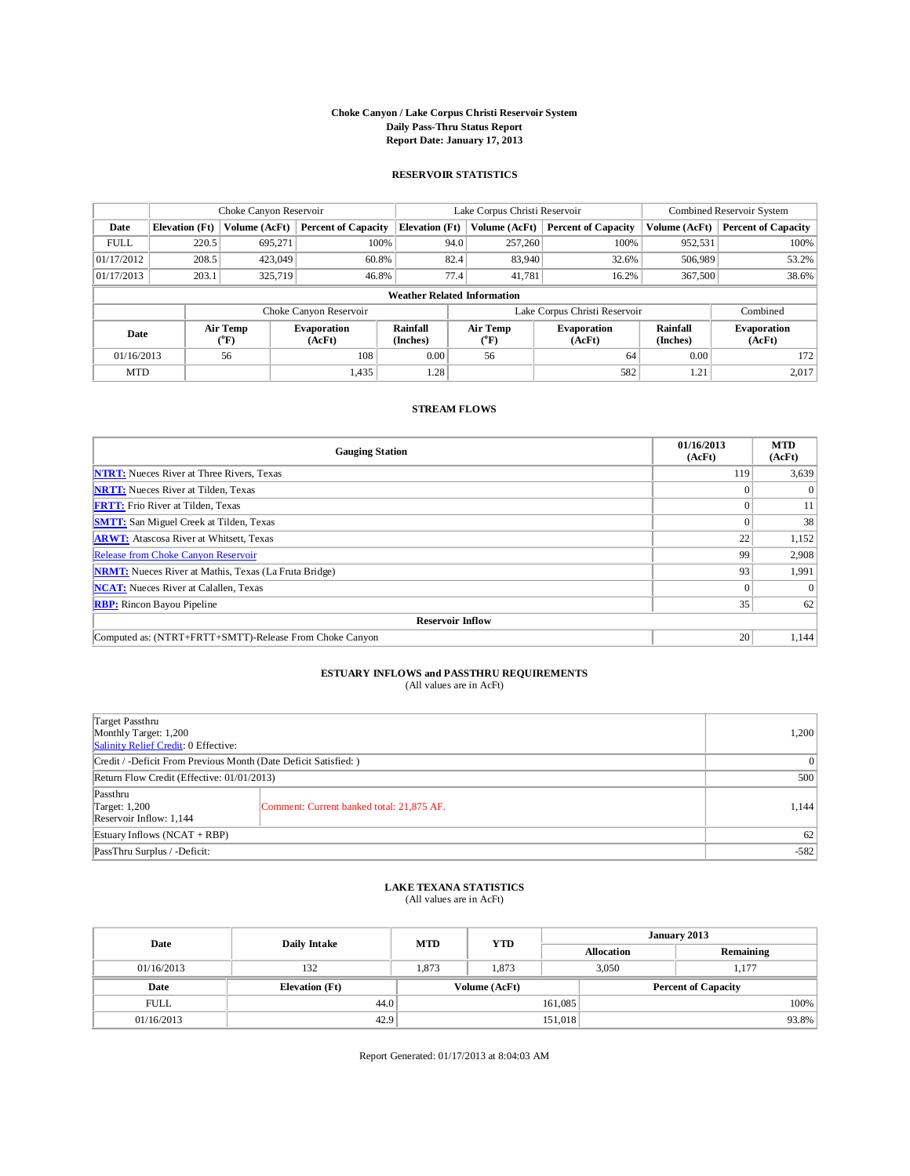#### **Choke Canyon / Lake Corpus Christi Reservoir System Daily Pass-Thru Status Report Report Date: January 17, 2013**

#### **RESERVOIR STATISTICS**

|             |                                    | Choke Canyon Reservoir   |                              |                       | Lake Corpus Christi Reservoir | Combined Reservoir System    |                             |                              |  |  |
|-------------|------------------------------------|--------------------------|------------------------------|-----------------------|-------------------------------|------------------------------|-----------------------------|------------------------------|--|--|
| Date        | <b>Elevation</b> (Ft)              | Volume (AcFt)            | <b>Percent of Capacity</b>   | <b>Elevation</b> (Ft) | Volume (AcFt)                 | <b>Percent of Capacity</b>   | Volume (AcFt)               | <b>Percent of Capacity</b>   |  |  |
| <b>FULL</b> | 220.5                              | 695.271                  | 100%                         | 94.0                  | 257,260                       | 100%                         | 952,531                     | 100%                         |  |  |
| 01/17/2012  | 208.5                              | 423,049                  | 60.8%                        | 82.4                  | 83,940                        | 32.6%                        | 506,989                     | 53.2%                        |  |  |
| 01/17/2013  | 203.1                              | 325,719                  | 46.8%                        | 77.4                  | 41.781                        | 16.2%                        | 367,500                     | 38.6%                        |  |  |
|             | <b>Weather Related Information</b> |                          |                              |                       |                               |                              |                             |                              |  |  |
|             |                                    |                          | Choke Canyon Reservoir       |                       | Lake Corpus Christi Reservoir |                              |                             |                              |  |  |
| Date        |                                    | Air Temp<br>$\rm ^{o}F)$ | <b>Evaporation</b><br>(AcFt) | Rainfall<br>(Inches)  | Air Temp<br>$\rm ^{(o}F)$     | <b>Evaporation</b><br>(AcFt) | <b>Rainfall</b><br>(Inches) | <b>Evaporation</b><br>(AcFt) |  |  |
| 01/16/2013  |                                    | 56                       | 108                          | 0.00                  | 56                            | 64                           | 0.00                        | 172                          |  |  |
| <b>MTD</b>  |                                    |                          | 1,435                        | 1.28                  |                               | 582                          | 1.21                        | 2.017                        |  |  |

### **STREAM FLOWS**

| <b>Gauging Station</b>                                       | 01/16/2013<br>(AcFt) | <b>MTD</b><br>(AcFt) |  |  |  |  |  |
|--------------------------------------------------------------|----------------------|----------------------|--|--|--|--|--|
| <b>NTRT:</b> Nueces River at Three Rivers, Texas             | 119                  | 3,639                |  |  |  |  |  |
| <b>NRTT:</b> Nueces River at Tilden, Texas                   |                      | $\theta$             |  |  |  |  |  |
| <b>FRTT:</b> Frio River at Tilden, Texas                     |                      | 11                   |  |  |  |  |  |
| <b>SMTT:</b> San Miguel Creek at Tilden, Texas               |                      | 38                   |  |  |  |  |  |
| <b>ARWT:</b> Atascosa River at Whitsett, Texas               | 22                   | 1,152                |  |  |  |  |  |
| <b>Release from Choke Canyon Reservoir</b>                   | 99                   | 2,908                |  |  |  |  |  |
| <b>NRMT:</b> Nueces River at Mathis, Texas (La Fruta Bridge) | 93                   | 1,991                |  |  |  |  |  |
| <b>NCAT:</b> Nueces River at Calallen, Texas                 |                      | $\Omega$             |  |  |  |  |  |
| <b>RBP:</b> Rincon Bayou Pipeline                            | 35                   | 62                   |  |  |  |  |  |
| <b>Reservoir Inflow</b>                                      |                      |                      |  |  |  |  |  |
| Computed as: (NTRT+FRTT+SMTT)-Release From Choke Canyon      | 20                   | 1,144                |  |  |  |  |  |

### **ESTUARY INFLOWS and PASSTHRU REQUIREMENTS**

(All values are in AcFt)

| Target Passthru<br>Monthly Target: 1,200<br>Salinity Relief Credit: 0 Effective: |                                           |       |  |  |
|----------------------------------------------------------------------------------|-------------------------------------------|-------|--|--|
| Credit / -Deficit From Previous Month (Date Deficit Satisfied: )                 |                                           |       |  |  |
| Return Flow Credit (Effective: 01/01/2013)                                       |                                           |       |  |  |
| Passthru<br>Target: $1,200$<br>Reservoir Inflow: 1,144                           | Comment: Current banked total: 21,875 AF. | 1,144 |  |  |
| Estuary Inflows $(NCAT + RBP)$                                                   |                                           |       |  |  |
| PassThru Surplus / -Deficit:                                                     | $-582$                                    |       |  |  |

#### **LAKE TEXANA STATISTICS** (All values are in AcFt)

| Date        | Daily Intake          | <b>MTD</b> | <b>YTD</b>    | January 2013      |                            |           |  |
|-------------|-----------------------|------------|---------------|-------------------|----------------------------|-----------|--|
|             |                       |            |               | <b>Allocation</b> |                            | Remaining |  |
| 01/16/2013  | 132                   | 1.873      | 1,873         |                   | 3,050                      | 1,177     |  |
| Date        | <b>Elevation</b> (Ft) |            | Volume (AcFt) |                   | <b>Percent of Capacity</b> |           |  |
| <b>FULL</b> | 44.0                  |            |               | 161,085           |                            | 100%      |  |
| 01/16/2013  | 42.9                  |            |               | 151,018           |                            | 93.8%     |  |

Report Generated: 01/17/2013 at 8:04:03 AM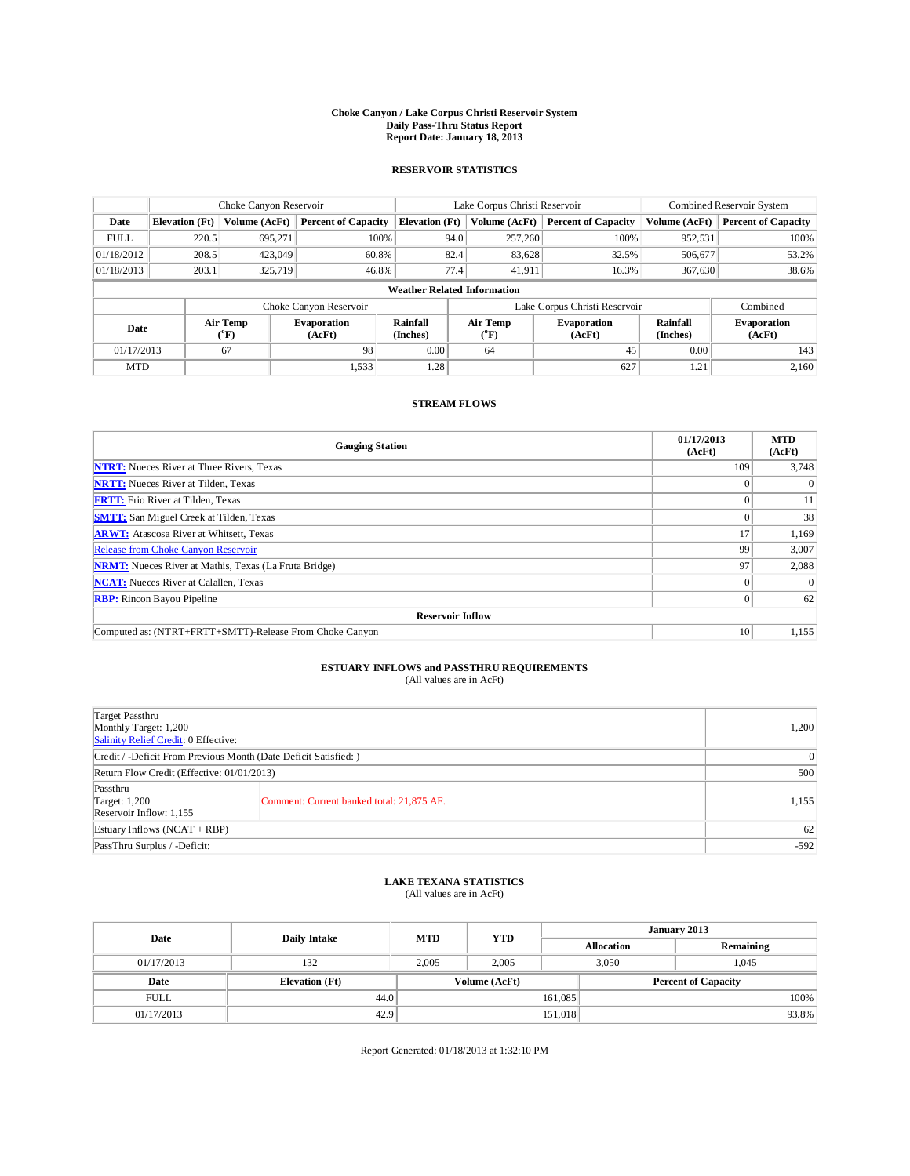## **Choke Canyon / Lake Corpus Christi Reservoir System Daily Pass-Thru Status Report Report Date: January 18, 2013**

### **RESERVOIR STATISTICS**

|             |                                    | Choke Canyon Reservoir       |                              |                             | Lake Corpus Christi Reservoir | Combined Reservoir System    |                             |                              |  |
|-------------|------------------------------------|------------------------------|------------------------------|-----------------------------|-------------------------------|------------------------------|-----------------------------|------------------------------|--|
| Date        | <b>Elevation</b> (Ft)              | Volume (AcFt)                | <b>Percent of Capacity</b>   | <b>Elevation</b> (Ft)       | Volume (AcFt)                 | <b>Percent of Capacity</b>   | Volume (AcFt)               | <b>Percent of Capacity</b>   |  |
| <b>FULL</b> | 220.5                              | 695,271                      | 100%                         | 94.0                        | 257,260                       | 100%                         | 952,531                     | 100%                         |  |
| 01/18/2012  | 208.5                              | 423,049                      | 60.8%                        | 82.4                        | 83,628                        | 32.5%                        | 506,677                     | 53.2%                        |  |
| 01/18/2013  | 203.1                              | 325,719                      | 46.8%                        | 77.4                        | 41,911                        | 16.3%                        | 367,630                     | 38.6%                        |  |
|             | <b>Weather Related Information</b> |                              |                              |                             |                               |                              |                             |                              |  |
|             |                                    |                              | Choke Canyon Reservoir       |                             | Lake Corpus Christi Reservoir |                              |                             |                              |  |
| Date        |                                    | Air Temp<br>$({}^0\text{F})$ | <b>Evaporation</b><br>(AcFt) | <b>Rainfall</b><br>(Inches) | Air Temp<br>(°F)              | <b>Evaporation</b><br>(AcFt) | <b>Rainfall</b><br>(Inches) | <b>Evaporation</b><br>(AcFt) |  |
| 01/17/2013  |                                    | 67                           | 98                           | 0.00                        | 64                            | 45                           | 0.00                        | 143                          |  |
| <b>MTD</b>  |                                    |                              | 1,533                        | 1.28                        |                               | 627                          | 1.21                        | 2,160                        |  |

### **STREAM FLOWS**

| <b>Gauging Station</b>                                       | 01/17/2013<br>(AcFt) | <b>MTD</b><br>(AcFt) |  |  |  |  |  |
|--------------------------------------------------------------|----------------------|----------------------|--|--|--|--|--|
| <b>NTRT:</b> Nueces River at Three Rivers, Texas             | 109                  | 3,748                |  |  |  |  |  |
| <b>NRTT:</b> Nueces River at Tilden, Texas                   |                      | $\theta$             |  |  |  |  |  |
| <b>FRTT:</b> Frio River at Tilden, Texas                     |                      | 11                   |  |  |  |  |  |
| <b>SMTT:</b> San Miguel Creek at Tilden, Texas               |                      | 38                   |  |  |  |  |  |
| <b>ARWT:</b> Atascosa River at Whitsett, Texas               | 17                   | 1,169                |  |  |  |  |  |
| Release from Choke Canyon Reservoir                          | 99                   | 3,007                |  |  |  |  |  |
| <b>NRMT:</b> Nueces River at Mathis, Texas (La Fruta Bridge) | 97                   | 2,088                |  |  |  |  |  |
| <b>NCAT:</b> Nueces River at Calallen, Texas                 | $\Omega$             | $\theta$             |  |  |  |  |  |
| <b>RBP:</b> Rincon Bayou Pipeline                            | $\Omega$             | 62                   |  |  |  |  |  |
| <b>Reservoir Inflow</b>                                      |                      |                      |  |  |  |  |  |
| Computed as: (NTRT+FRTT+SMTT)-Release From Choke Canyon      | 10                   | 1,155                |  |  |  |  |  |

# **ESTUARY INFLOWS and PASSTHRU REQUIREMENTS**<br>(All values are in AcFt)

| Target Passthru<br>Monthly Target: 1,200<br>Salinity Relief Credit: 0 Effective: |                                           |       |  |  |
|----------------------------------------------------------------------------------|-------------------------------------------|-------|--|--|
| Credit / -Deficit From Previous Month (Date Deficit Satisfied: )                 |                                           |       |  |  |
| Return Flow Credit (Effective: 01/01/2013)                                       | 500                                       |       |  |  |
| Passthru<br>Target: 1,200<br>Reservoir Inflow: 1,155                             | Comment: Current banked total: 21,875 AF. | 1,155 |  |  |
| Estuary Inflows $(NCAT + RBP)$                                                   | 62                                        |       |  |  |
| PassThru Surplus / -Deficit:                                                     | $-592$                                    |       |  |  |

## **LAKE TEXANA STATISTICS** (All values are in AcFt)

| Date        | <b>Daily Intake</b>   | <b>MTD</b> | <b>YTD</b>    | January 2013 |                   |                            |       |
|-------------|-----------------------|------------|---------------|--------------|-------------------|----------------------------|-------|
|             |                       |            |               |              | <b>Allocation</b> | Remaining                  |       |
| 01/17/2013  | 132                   | 2,005      | 2,005         | 3,050        |                   | 1,045                      |       |
| Date        | <b>Elevation</b> (Ft) |            | Volume (AcFt) |              |                   | <b>Percent of Capacity</b> |       |
| <b>FULL</b> | 44.0                  |            |               | 161,085      |                   |                            | 100%  |
| 01/17/2013  | 42.9                  |            |               | 151,018      |                   |                            | 93.8% |

Report Generated: 01/18/2013 at 1:32:10 PM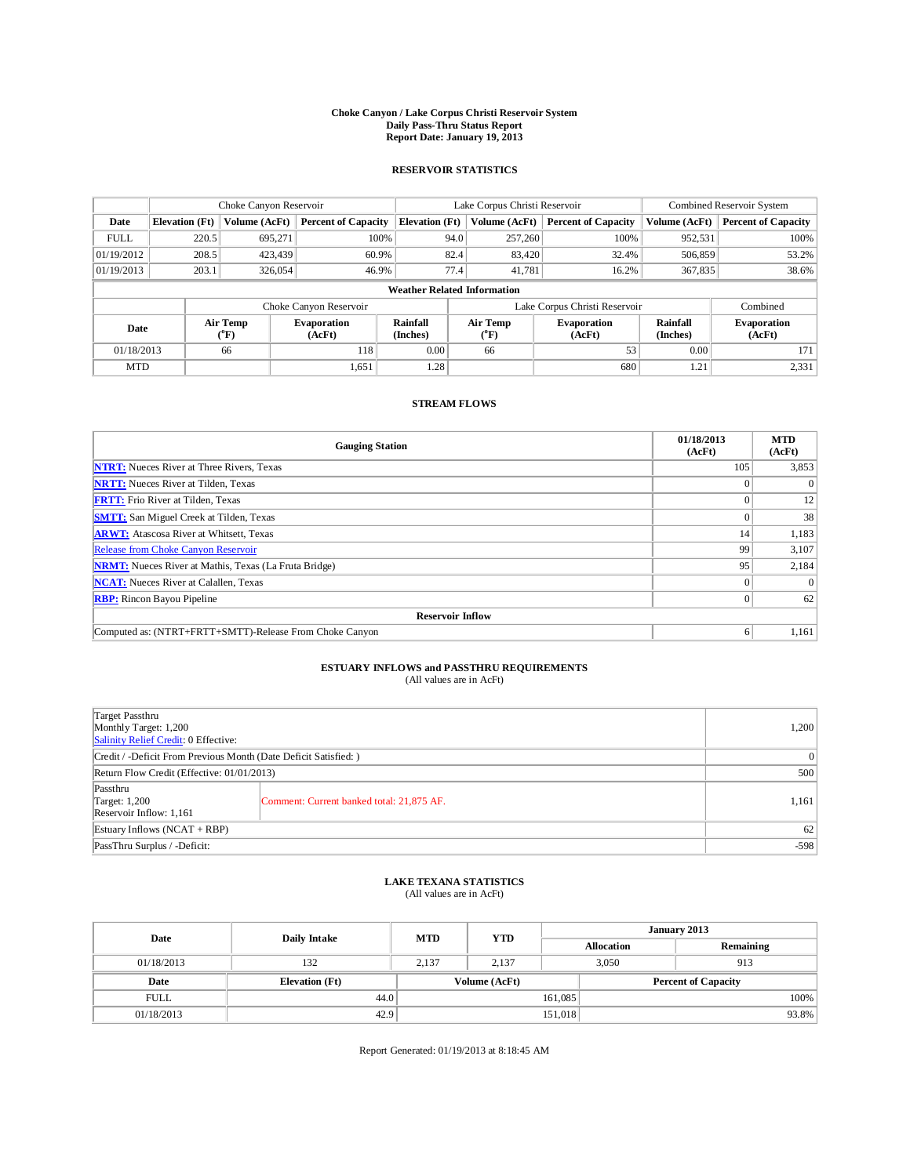## **Choke Canyon / Lake Corpus Christi Reservoir System Daily Pass-Thru Status Report Report Date: January 19, 2013**

### **RESERVOIR STATISTICS**

|             | Choke Canyon Reservoir             |                              | Lake Corpus Christi Reservoir |                             |                               |                         | Combined Reservoir System    |                             |                              |  |
|-------------|------------------------------------|------------------------------|-------------------------------|-----------------------------|-------------------------------|-------------------------|------------------------------|-----------------------------|------------------------------|--|
| Date        | <b>Elevation</b> (Ft)              | Volume (AcFt)                | <b>Percent of Capacity</b>    | <b>Elevation</b> (Ft)       |                               | Volume (AcFt)           | <b>Percent of Capacity</b>   | Volume (AcFt)               | <b>Percent of Capacity</b>   |  |
| <b>FULL</b> | 220.5                              | 695,271                      | 100%                          |                             | 94.0                          | 257,260                 | 100%                         | 952,531                     | 100%                         |  |
| 01/19/2012  | 208.5                              | 423.439                      | 60.9%                         |                             | 82.4                          | 83,420                  | 32.4%                        | 506,859                     | 53.2%                        |  |
| 01/19/2013  | 203.1                              | 326,054                      | 46.9%                         |                             | 77.4                          | 41,781                  | 16.2%                        | 367,835                     | 38.6%                        |  |
|             | <b>Weather Related Information</b> |                              |                               |                             |                               |                         |                              |                             |                              |  |
|             |                                    |                              | Choke Canyon Reservoir        |                             | Lake Corpus Christi Reservoir |                         |                              |                             | Combined                     |  |
| Date        |                                    | Air Temp<br>$({}^0\text{F})$ | <b>Evaporation</b><br>(AcFt)  | <b>Rainfall</b><br>(Inches) |                               | <b>Air Temp</b><br>(°F) | <b>Evaporation</b><br>(AcFt) | <b>Rainfall</b><br>(Inches) | <b>Evaporation</b><br>(AcFt) |  |
| 01/18/2013  |                                    | 66                           | 118                           | 0.00                        |                               | 66                      | 53                           | 0.00                        | 171                          |  |
| <b>MTD</b>  |                                    |                              | 1,651                         | 1.28                        |                               |                         | 680                          | 1.21                        | 2,331                        |  |

### **STREAM FLOWS**

| <b>Gauging Station</b>                                       | 01/18/2013<br>(AcFt) | <b>MTD</b><br>(AcFt) |
|--------------------------------------------------------------|----------------------|----------------------|
| <b>NTRT:</b> Nueces River at Three Rivers, Texas             | 105                  | 3,853                |
| <b>NRTT:</b> Nueces River at Tilden, Texas                   |                      | $\theta$             |
| <b>FRTT:</b> Frio River at Tilden, Texas                     |                      | 12                   |
| <b>SMTT:</b> San Miguel Creek at Tilden, Texas               |                      | 38                   |
| <b>ARWT:</b> Atascosa River at Whitsett, Texas               | 14                   | 1,183                |
| Release from Choke Canyon Reservoir                          | 99                   | 3,107                |
| <b>NRMT:</b> Nueces River at Mathis, Texas (La Fruta Bridge) | 95                   | 2,184                |
| <b>NCAT:</b> Nueces River at Calallen, Texas                 | $\Omega$             | $\theta$             |
| <b>RBP:</b> Rincon Bayou Pipeline                            |                      | 62                   |
| <b>Reservoir Inflow</b>                                      |                      |                      |
| Computed as: (NTRT+FRTT+SMTT)-Release From Choke Canyon      | 6                    | 1,161                |

## **ESTUARY INFLOWS and PASSTHRU REQUIREMENTS**<br>(All values are in AcFt)

| Target Passthru<br>Monthly Target: 1,200<br>Salinity Relief Credit: 0 Effective: |                                           |       |  |  |
|----------------------------------------------------------------------------------|-------------------------------------------|-------|--|--|
| Credit / -Deficit From Previous Month (Date Deficit Satisfied: )                 |                                           |       |  |  |
| Return Flow Credit (Effective: 01/01/2013)                                       |                                           |       |  |  |
| Passthru<br>Target: $1,200$<br>Reservoir Inflow: 1,161                           | Comment: Current banked total: 21,875 AF. | 1,161 |  |  |
| Estuary Inflows $(NCAT + RBP)$                                                   |                                           |       |  |  |
| PassThru Surplus / -Deficit:                                                     |                                           |       |  |  |

## **LAKE TEXANA STATISTICS** (All values are in AcFt)

| Date        | Daily Intake          | <b>MTD</b> | <b>YTD</b>    | January 2013 |                   |                            |       |
|-------------|-----------------------|------------|---------------|--------------|-------------------|----------------------------|-------|
|             |                       |            |               |              | <b>Allocation</b> | Remaining                  |       |
| 01/18/2013  | 132                   | 2,137      | 2.137         | 3,050        |                   | 913                        |       |
| Date        | <b>Elevation</b> (Ft) |            | Volume (AcFt) |              |                   | <b>Percent of Capacity</b> |       |
| <b>FULL</b> | 44.0                  |            |               | 161,085      |                   |                            | 100%  |
| 01/18/2013  | 42.9                  |            |               | 151,018      |                   |                            | 93.8% |

Report Generated: 01/19/2013 at 8:18:45 AM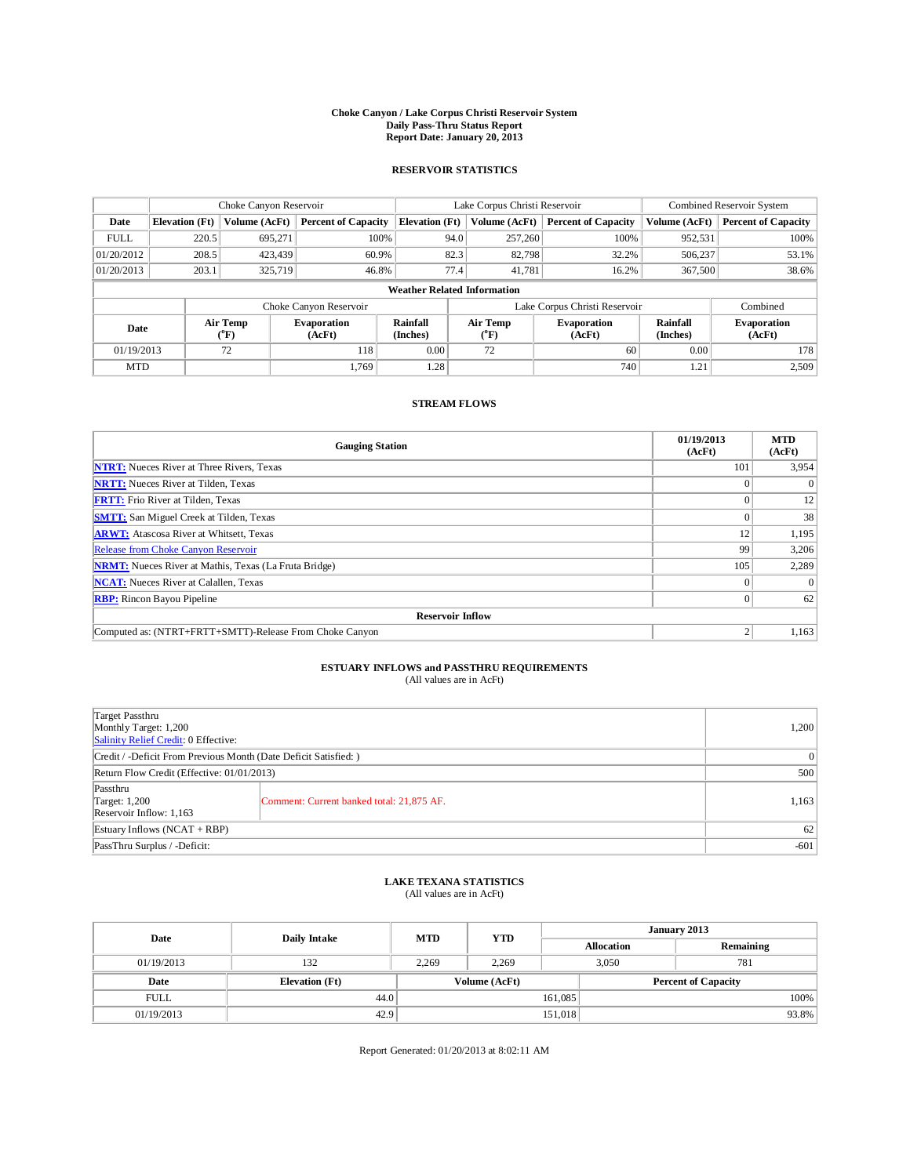## **Choke Canyon / Lake Corpus Christi Reservoir System Daily Pass-Thru Status Report Report Date: January 20, 2013**

### **RESERVOIR STATISTICS**

|             | Choke Canyon Reservoir             |                              | Lake Corpus Christi Reservoir |                             |                               |                  | Combined Reservoir System    |                             |                              |  |
|-------------|------------------------------------|------------------------------|-------------------------------|-----------------------------|-------------------------------|------------------|------------------------------|-----------------------------|------------------------------|--|
| Date        | <b>Elevation</b> (Ft)              | Volume (AcFt)                | <b>Percent of Capacity</b>    | <b>Elevation</b> (Ft)       |                               | Volume (AcFt)    | <b>Percent of Capacity</b>   | Volume (AcFt)               | <b>Percent of Capacity</b>   |  |
| <b>FULL</b> | 220.5                              | 695,271                      | 100%                          |                             | 94.0                          | 257,260          | 100%                         | 952,531                     | 100%                         |  |
| 01/20/2012  | 208.5                              | 423.439                      | 60.9%                         |                             | 82.3                          | 82,798           | 32.2%                        | 506,237                     | 53.1%                        |  |
| 01/20/2013  | 203.1                              | 325,719                      | 46.8%                         |                             | 77.4                          | 41,781           | 16.2%                        | 367,500                     | 38.6%                        |  |
|             | <b>Weather Related Information</b> |                              |                               |                             |                               |                  |                              |                             |                              |  |
|             |                                    |                              | Choke Canyon Reservoir        |                             | Lake Corpus Christi Reservoir |                  |                              |                             | Combined                     |  |
| Date        |                                    | Air Temp<br>$({}^0\text{F})$ | <b>Evaporation</b><br>(AcFt)  | <b>Rainfall</b><br>(Inches) |                               | Air Temp<br>(°F) | <b>Evaporation</b><br>(AcFt) | <b>Rainfall</b><br>(Inches) | <b>Evaporation</b><br>(AcFt) |  |
| 01/19/2013  |                                    | 72                           | 118                           | 0.00                        |                               | 72               | 60                           | 0.00                        | 178                          |  |
| <b>MTD</b>  |                                    |                              | 1.769                         | 1.28                        |                               |                  | 740                          | 1.21                        | 2,509                        |  |

### **STREAM FLOWS**

| <b>Gauging Station</b>                                       | 01/19/2013<br>(AcFt) | <b>MTD</b><br>(AcFt) |
|--------------------------------------------------------------|----------------------|----------------------|
| <b>NTRT:</b> Nueces River at Three Rivers, Texas             | 101                  | 3,954                |
| <b>NRTT:</b> Nueces River at Tilden, Texas                   |                      | $\theta$             |
| <b>FRTT:</b> Frio River at Tilden, Texas                     |                      | 12                   |
| <b>SMTT:</b> San Miguel Creek at Tilden, Texas               |                      | 38                   |
| <b>ARWT:</b> Atascosa River at Whitsett, Texas               | 12                   | 1,195                |
| Release from Choke Canyon Reservoir                          | 99                   | 3,206                |
| <b>NRMT:</b> Nueces River at Mathis, Texas (La Fruta Bridge) | 105                  | 2,289                |
| <b>NCAT:</b> Nueces River at Calallen, Texas                 | $\Omega$             | $\theta$             |
| <b>RBP:</b> Rincon Bayou Pipeline                            | $\Omega$             | 62                   |
| <b>Reservoir Inflow</b>                                      |                      |                      |
| Computed as: (NTRT+FRTT+SMTT)-Release From Choke Canyon      | h                    | 1,163                |

# **ESTUARY INFLOWS and PASSTHRU REQUIREMENTS**<br>(All values are in AcFt)

| Target Passthru<br>Monthly Target: 1,200<br>Salinity Relief Credit: 0 Effective: | 1,200                                     |       |  |  |
|----------------------------------------------------------------------------------|-------------------------------------------|-------|--|--|
| Credit / -Deficit From Previous Month (Date Deficit Satisfied: )                 |                                           |       |  |  |
| Return Flow Credit (Effective: 01/01/2013)                                       | 500                                       |       |  |  |
| Passthru<br>Target: 1,200<br>Reservoir Inflow: 1,163                             | Comment: Current banked total: 21,875 AF. | 1,163 |  |  |
| Estuary Inflows $(NCAT + RBP)$                                                   | 62                                        |       |  |  |
| PassThru Surplus / -Deficit:                                                     | $-601$                                    |       |  |  |

## **LAKE TEXANA STATISTICS** (All values are in AcFt)

| Date        | <b>Daily Intake</b>   | <b>MTD</b> | <b>YTD</b>    | January 2013 |                   |                            |  |
|-------------|-----------------------|------------|---------------|--------------|-------------------|----------------------------|--|
|             |                       |            |               |              | <b>Allocation</b> | Remaining                  |  |
| 01/19/2013  | 132                   | 2.269      | 2.269         |              | 3,050             | 781                        |  |
| Date        | <b>Elevation</b> (Ft) |            | Volume (AcFt) |              |                   | <b>Percent of Capacity</b> |  |
| <b>FULL</b> | 44.0                  |            |               | 161,085      |                   | 100%                       |  |
| 01/19/2013  | 42.9                  |            |               | 151,018      |                   | 93.8%                      |  |

Report Generated: 01/20/2013 at 8:02:11 AM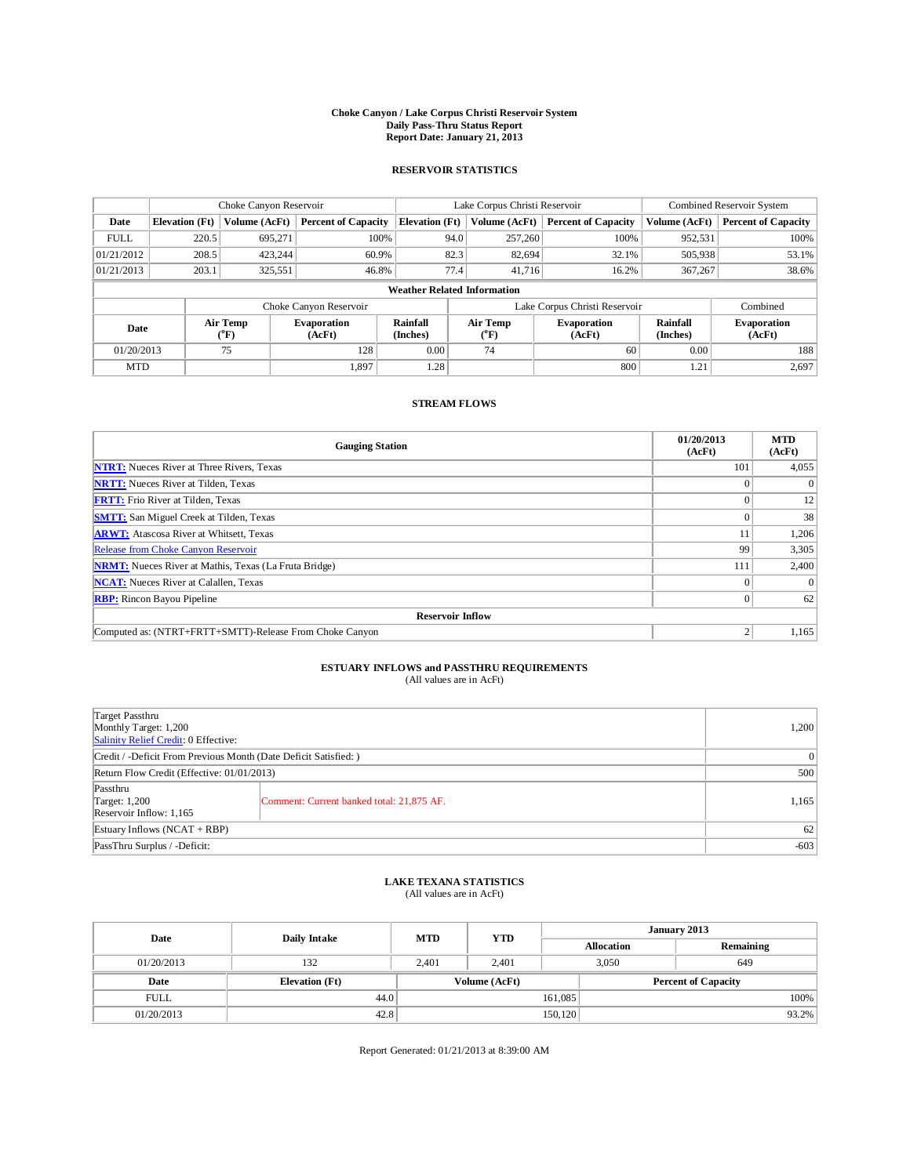## **Choke Canyon / Lake Corpus Christi Reservoir System Daily Pass-Thru Status Report Report Date: January 21, 2013**

### **RESERVOIR STATISTICS**

|             | Choke Canyon Reservoir             |                  | Lake Corpus Christi Reservoir |                       |                               |                 | Combined Reservoir System    |                      |                              |  |
|-------------|------------------------------------|------------------|-------------------------------|-----------------------|-------------------------------|-----------------|------------------------------|----------------------|------------------------------|--|
| Date        | <b>Elevation</b> (Ft)              | Volume (AcFt)    | <b>Percent of Capacity</b>    | <b>Elevation</b> (Ft) |                               | Volume (AcFt)   | <b>Percent of Capacity</b>   | Volume (AcFt)        | <b>Percent of Capacity</b>   |  |
| <b>FULL</b> | 220.5                              | 695,271          | 100%                          |                       | 94.0                          | 257,260         | 100%                         | 952,531              | 100%                         |  |
| 01/21/2012  | 208.5                              | 423.244          | 60.9%                         |                       | 82.3                          | 82,694          | 32.1%                        | 505,938              | 53.1%                        |  |
| 01/21/2013  | 203.1                              | 325,551          | 46.8%                         |                       | 77.4                          | 41.716          | 16.2%                        | 367,267              | 38.6%                        |  |
|             | <b>Weather Related Information</b> |                  |                               |                       |                               |                 |                              |                      |                              |  |
|             |                                    |                  | Choke Canyon Reservoir        |                       | Lake Corpus Christi Reservoir |                 |                              |                      | Combined                     |  |
| Date        |                                    | Air Temp<br>(°F) | <b>Evaporation</b><br>(AcFt)  | Rainfall<br>(Inches)  |                               | Air Temp<br>(°F | <b>Evaporation</b><br>(AcFt) | Rainfall<br>(Inches) | <b>Evaporation</b><br>(AcFt) |  |
| 01/20/2013  |                                    | 75               | 128                           | 0.00                  |                               | 74              | 60                           | 0.00                 | 188                          |  |
| <b>MTD</b>  |                                    |                  | 1,897                         | 1.28                  |                               |                 | 800                          | 1.21                 | 2,697                        |  |

### **STREAM FLOWS**

| <b>Gauging Station</b>                                       | 01/20/2013<br>(AcFt) | <b>MTD</b><br>(AcFt) |
|--------------------------------------------------------------|----------------------|----------------------|
| <b>NTRT:</b> Nueces River at Three Rivers, Texas             | 101                  | 4,055                |
| <b>NRTT:</b> Nueces River at Tilden, Texas                   |                      | $\theta$             |
| <b>FRTT:</b> Frio River at Tilden, Texas                     |                      | 12                   |
| <b>SMTT:</b> San Miguel Creek at Tilden, Texas               |                      | 38                   |
| <b>ARWT:</b> Atascosa River at Whitsett, Texas               | 11                   | 1,206                |
| Release from Choke Canyon Reservoir                          | 99                   | 3,305                |
| <b>NRMT:</b> Nueces River at Mathis, Texas (La Fruta Bridge) | 111                  | 2,400                |
| <b>NCAT:</b> Nueces River at Calallen, Texas                 | $\Omega$             | $\Omega$             |
| <b>RBP:</b> Rincon Bayou Pipeline                            | $\Omega$             | 62                   |
| <b>Reservoir Inflow</b>                                      |                      |                      |
| Computed as: (NTRT+FRTT+SMTT)-Release From Choke Canyon      |                      | 1,165                |

## **ESTUARY INFLOWS and PASSTHRU REQUIREMENTS**<br>(All values are in AcFt)

| Target Passthru<br>Monthly Target: 1,200<br>Salinity Relief Credit: 0 Effective: | 1,200                                     |       |  |  |
|----------------------------------------------------------------------------------|-------------------------------------------|-------|--|--|
| Credit / -Deficit From Previous Month (Date Deficit Satisfied: )                 |                                           |       |  |  |
| Return Flow Credit (Effective: 01/01/2013)                                       | 500                                       |       |  |  |
| Passthru<br>Target: 1,200<br>Reservoir Inflow: 1,165                             | Comment: Current banked total: 21,875 AF. | 1,165 |  |  |
| Estuary Inflows $(NCAT + RBP)$                                                   | 62                                        |       |  |  |
| PassThru Surplus / -Deficit:                                                     | $-603$                                    |       |  |  |

## **LAKE TEXANA STATISTICS** (All values are in AcFt)

| Date        | Daily Intake          | <b>MTD</b> | <b>YTD</b>    | January 2013 |                   |                            |       |
|-------------|-----------------------|------------|---------------|--------------|-------------------|----------------------------|-------|
|             |                       |            |               |              | <b>Allocation</b> | Remaining                  |       |
| 01/20/2013  | 132                   | 2.401      | 2.401         | 3,050        |                   | 649                        |       |
| Date        | <b>Elevation</b> (Ft) |            | Volume (AcFt) |              |                   | <b>Percent of Capacity</b> |       |
| <b>FULL</b> | 44.0                  |            |               | 161,085      |                   |                            | 100%  |
| 01/20/2013  | 42.8                  |            |               | 150,120      |                   |                            | 93.2% |

Report Generated: 01/21/2013 at 8:39:00 AM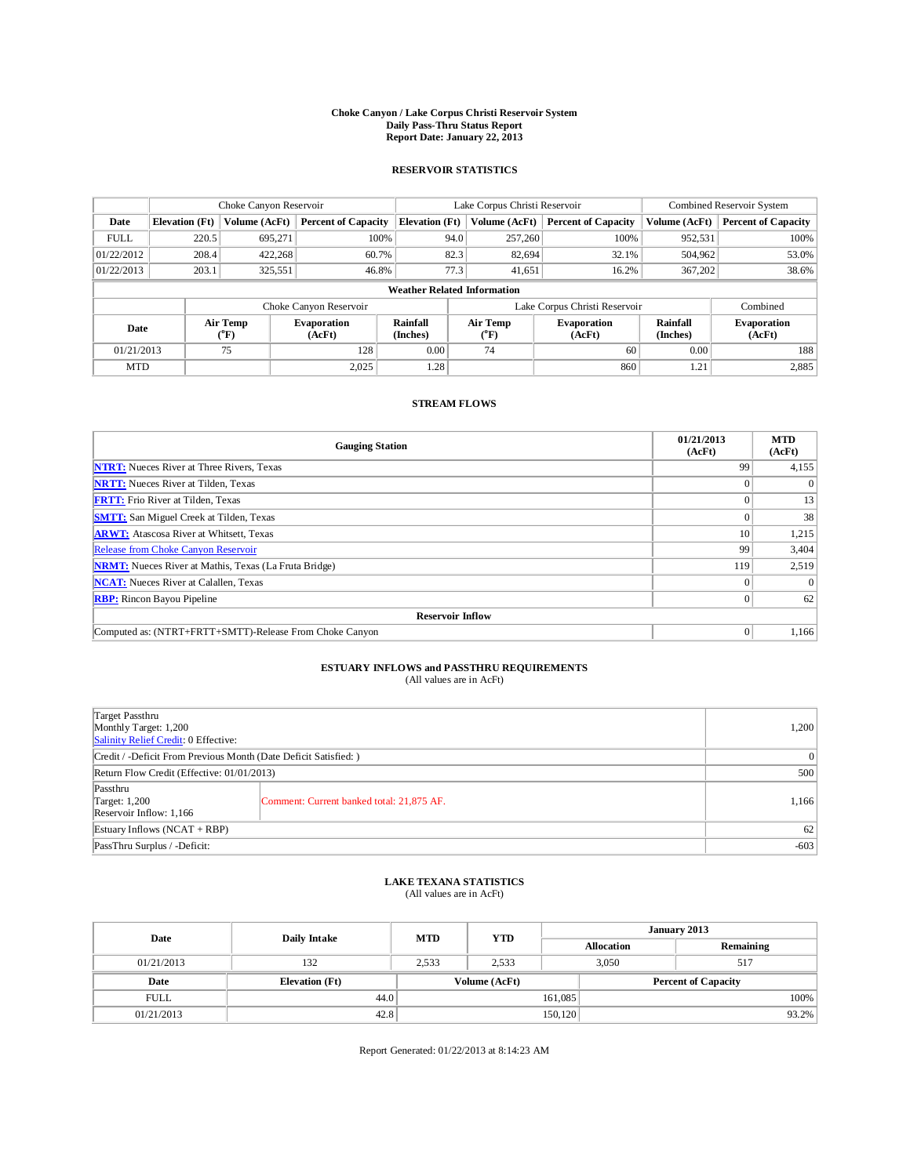## **Choke Canyon / Lake Corpus Christi Reservoir System Daily Pass-Thru Status Report Report Date: January 22, 2013**

### **RESERVOIR STATISTICS**

|             | Choke Canyon Reservoir             |                  | Lake Corpus Christi Reservoir |                       |                               |                              | Combined Reservoir System    |                      |                              |  |
|-------------|------------------------------------|------------------|-------------------------------|-----------------------|-------------------------------|------------------------------|------------------------------|----------------------|------------------------------|--|
| Date        | <b>Elevation</b> (Ft)              | Volume (AcFt)    | <b>Percent of Capacity</b>    | <b>Elevation</b> (Ft) |                               | Volume (AcFt)                | <b>Percent of Capacity</b>   | Volume (AcFt)        | <b>Percent of Capacity</b>   |  |
| <b>FULL</b> | 220.5                              | 695,271          | 100%                          |                       | 94.0                          | 257,260                      | 100%                         | 952,531              | 100%                         |  |
| 01/22/2012  | 208.4                              | 422.268          | 60.7%                         |                       | 82.3                          | 82.694                       | 32.1%                        | 504,962              | 53.0%                        |  |
| 01/22/2013  | 203.1                              | 325,551          | 46.8%                         |                       | 77.3                          | 41.651                       | 16.2%                        | 367,202              | 38.6%                        |  |
|             | <b>Weather Related Information</b> |                  |                               |                       |                               |                              |                              |                      |                              |  |
|             |                                    |                  | Choke Canyon Reservoir        |                       | Lake Corpus Christi Reservoir |                              |                              |                      | Combined                     |  |
| Date        |                                    | Air Temp<br>(°F) | <b>Evaporation</b><br>(AcFt)  | Rainfall<br>(Inches)  |                               | Air Temp<br>$\rm ^{(^o}\!F)$ | <b>Evaporation</b><br>(AcFt) | Rainfall<br>(Inches) | <b>Evaporation</b><br>(AcFt) |  |
| 01/21/2013  |                                    | 75               | 128                           | 0.00                  |                               | 74                           | 60                           | 0.00                 | 188                          |  |
| <b>MTD</b>  |                                    |                  | 2.025                         | 1.28                  |                               |                              | 860                          | 1.21                 | 2,885                        |  |

#### **STREAM FLOWS**

| <b>Gauging Station</b>                                       | 01/21/2013<br>(AcFt) | <b>MTD</b><br>(AcFt) |
|--------------------------------------------------------------|----------------------|----------------------|
| <b>NTRT:</b> Nueces River at Three Rivers, Texas             | 99                   | 4,155                |
| <b>NRTT:</b> Nueces River at Tilden, Texas                   |                      | $\theta$             |
| <b>FRTT:</b> Frio River at Tilden, Texas                     |                      | 13                   |
| <b>SMTT:</b> San Miguel Creek at Tilden, Texas               |                      | 38                   |
| <b>ARWT:</b> Atascosa River at Whitsett, Texas               | 10                   | 1,215                |
| Release from Choke Canyon Reservoir                          | 99                   | 3,404                |
| <b>NRMT:</b> Nueces River at Mathis, Texas (La Fruta Bridge) | 119                  | 2,519                |
| <b>NCAT:</b> Nueces River at Calallen, Texas                 | $\Omega$             | $\theta$             |
| <b>RBP:</b> Rincon Bayou Pipeline                            | $\theta$             | 62                   |
| <b>Reservoir Inflow</b>                                      |                      |                      |
| Computed as: (NTRT+FRTT+SMTT)-Release From Choke Canyon      | $\Omega$             | 1,166                |

## **ESTUARY INFLOWS and PASSTHRU REQUIREMENTS**<br>(All values are in AcFt)

| Target Passthru<br>Monthly Target: 1,200<br>Salinity Relief Credit: 0 Effective: |                                           |       |  |  |
|----------------------------------------------------------------------------------|-------------------------------------------|-------|--|--|
| Credit / -Deficit From Previous Month (Date Deficit Satisfied: )                 |                                           |       |  |  |
| Return Flow Credit (Effective: 01/01/2013)                                       | 500                                       |       |  |  |
| Passthru<br>Target: 1,200<br>Reservoir Inflow: 1,166                             | Comment: Current banked total: 21,875 AF. | 1,166 |  |  |
| Estuary Inflows $(NCAT + RBP)$                                                   | 62                                        |       |  |  |
| PassThru Surplus / -Deficit:                                                     | $-603$                                    |       |  |  |

## **LAKE TEXANA STATISTICS** (All values are in AcFt)

| Date        | <b>Daily Intake</b>   | <b>MTD</b> | <b>YTD</b>    | January 2013      |  |                            |  |
|-------------|-----------------------|------------|---------------|-------------------|--|----------------------------|--|
|             |                       |            |               | <b>Allocation</b> |  | Remaining                  |  |
| 01/21/2013  | 132                   | 2,533      | 2,533         | 3,050             |  | 517                        |  |
| Date        | <b>Elevation</b> (Ft) |            | Volume (AcFt) |                   |  | <b>Percent of Capacity</b> |  |
| <b>FULL</b> | 44.0                  |            |               | 161,085           |  | 100%                       |  |
| 01/21/2013  | 42.8                  |            |               | 150,120           |  | 93.2%                      |  |

Report Generated: 01/22/2013 at 8:14:23 AM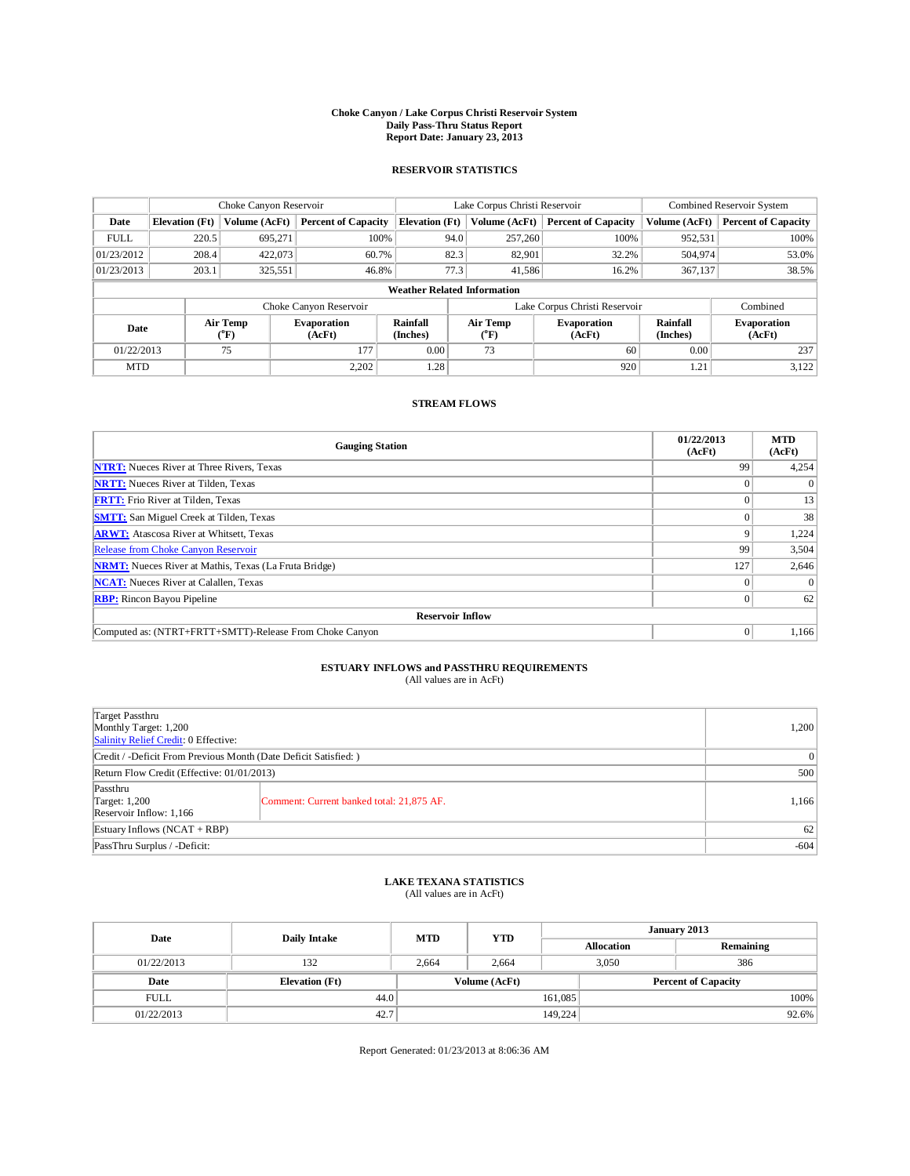## **Choke Canyon / Lake Corpus Christi Reservoir System Daily Pass-Thru Status Report Report Date: January 23, 2013**

### **RESERVOIR STATISTICS**

|             | Choke Canyon Reservoir             |                              | Lake Corpus Christi Reservoir |                             |                               |               | Combined Reservoir System    |                             |                              |  |  |
|-------------|------------------------------------|------------------------------|-------------------------------|-----------------------------|-------------------------------|---------------|------------------------------|-----------------------------|------------------------------|--|--|
| Date        | <b>Elevation</b> (Ft)              | Volume (AcFt)                | <b>Percent of Capacity</b>    | <b>Elevation</b> (Ft)       |                               | Volume (AcFt) | <b>Percent of Capacity</b>   | Volume (AcFt)               | <b>Percent of Capacity</b>   |  |  |
| <b>FULL</b> | 220.5                              | 695,271                      | 100%                          |                             | 94.0                          | 257,260       | 100%                         | 952,531                     | 100%                         |  |  |
| 01/23/2012  | 208.4                              | 422,073                      | 60.7%                         |                             | 82.3                          | 82,901        | 32.2%                        | 504,974                     | 53.0%                        |  |  |
| 01/23/2013  | 203.1                              | 325,551                      | 46.8%                         |                             | 77.3                          | 41,586        | 16.2%                        | 367,137                     | 38.5%                        |  |  |
|             | <b>Weather Related Information</b> |                              |                               |                             |                               |               |                              |                             |                              |  |  |
|             |                                    |                              | Choke Canyon Reservoir        |                             | Lake Corpus Christi Reservoir |               |                              |                             | Combined                     |  |  |
| Date        |                                    | Air Temp<br>$({}^0\text{F})$ | <b>Evaporation</b><br>(AcFt)  | <b>Rainfall</b><br>(Inches) | Air Temp<br>(°F)              |               | <b>Evaporation</b><br>(AcFt) | <b>Rainfall</b><br>(Inches) | <b>Evaporation</b><br>(AcFt) |  |  |
| 01/22/2013  |                                    | 75                           | 177                           | 0.00                        | 73                            | 60            |                              | 0.00                        | 237                          |  |  |
| <b>MTD</b>  |                                    |                              | 2.202                         | 1.28                        |                               |               | 920                          | 1.21                        | 3,122                        |  |  |

### **STREAM FLOWS**

| <b>Gauging Station</b>                                       | 01/22/2013<br>(AcFt) | <b>MTD</b><br>(AcFt) |
|--------------------------------------------------------------|----------------------|----------------------|
| <b>NTRT:</b> Nueces River at Three Rivers, Texas             | 99                   | 4,254                |
| <b>NRTT:</b> Nueces River at Tilden, Texas                   |                      | $\theta$             |
| <b>FRTT:</b> Frio River at Tilden, Texas                     |                      | 13                   |
| <b>SMTT:</b> San Miguel Creek at Tilden, Texas               |                      | 38                   |
| <b>ARWT:</b> Atascosa River at Whitsett, Texas               | 9                    | 1,224                |
| Release from Choke Canyon Reservoir                          | 99                   | 3,504                |
| <b>NRMT:</b> Nueces River at Mathis, Texas (La Fruta Bridge) | 127                  | 2,646                |
| <b>NCAT:</b> Nueces River at Calallen, Texas                 | $\Omega$             | $\Omega$             |
| <b>RBP:</b> Rincon Bayou Pipeline                            | $\Omega$             | 62                   |
| <b>Reservoir Inflow</b>                                      |                      |                      |
| Computed as: (NTRT+FRTT+SMTT)-Release From Choke Canyon      | $\Omega$             | 1,166                |

# **ESTUARY INFLOWS and PASSTHRU REQUIREMENTS**<br>(All values are in AcFt)

| Target Passthru<br>Monthly Target: 1,200<br>Salinity Relief Credit: 0 Effective: |                                           |       |  |  |
|----------------------------------------------------------------------------------|-------------------------------------------|-------|--|--|
| Credit / -Deficit From Previous Month (Date Deficit Satisfied: )                 |                                           |       |  |  |
| Return Flow Credit (Effective: 01/01/2013)                                       |                                           |       |  |  |
| Passthru<br>Target: 1,200<br>Reservoir Inflow: 1,166                             | Comment: Current banked total: 21,875 AF. | 1,166 |  |  |
| Estuary Inflows $(NCAT + RBP)$                                                   | 62                                        |       |  |  |
| PassThru Surplus / -Deficit:                                                     | $-604$                                    |       |  |  |

## **LAKE TEXANA STATISTICS** (All values are in AcFt)

| Date        |                       | <b>MTD</b>    | <b>YTD</b> | January 2013      |  |                            |       |
|-------------|-----------------------|---------------|------------|-------------------|--|----------------------------|-------|
|             | <b>Daily Intake</b>   |               |            | <b>Allocation</b> |  | Remaining                  |       |
| 01/22/2013  | 132                   | 2,664         | 2,664      | 3,050             |  | 386                        |       |
| Date        | <b>Elevation</b> (Ft) | Volume (AcFt) |            |                   |  | <b>Percent of Capacity</b> |       |
| <b>FULL</b> | 44.0                  |               |            | 161,085           |  |                            | 100%  |
| 01/22/2013  | 42.7                  |               |            | 149,224           |  |                            | 92.6% |

Report Generated: 01/23/2013 at 8:06:36 AM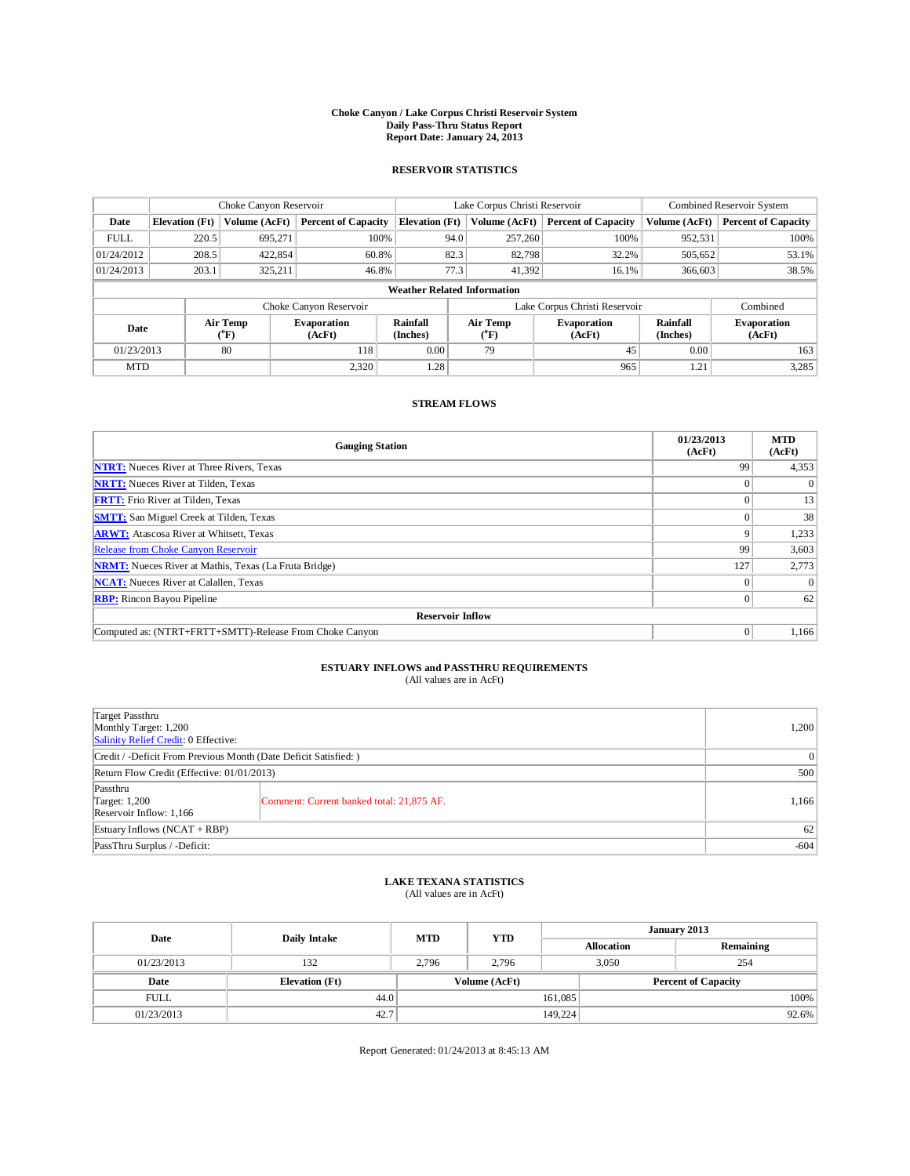## **Choke Canyon / Lake Corpus Christi Reservoir System Daily Pass-Thru Status Report Report Date: January 24, 2013**

### **RESERVOIR STATISTICS**

|             | Choke Canyon Reservoir             |                  | Lake Corpus Christi Reservoir |                             |                               |                        | Combined Reservoir System    |                             |                              |  |
|-------------|------------------------------------|------------------|-------------------------------|-----------------------------|-------------------------------|------------------------|------------------------------|-----------------------------|------------------------------|--|
| Date        | <b>Elevation</b> (Ft)              | Volume (AcFt)    | <b>Percent of Capacity</b>    | <b>Elevation</b> (Ft)       |                               | Volume (AcFt)          | <b>Percent of Capacity</b>   | Volume (AcFt)               | <b>Percent of Capacity</b>   |  |
| <b>FULL</b> | 220.5                              | 695,271          | 100%                          |                             | 94.0                          | 257,260                | 100%                         | 952,531                     | 100%                         |  |
| 01/24/2012  | 208.5                              | 422,854          | 60.8%                         |                             | 82.3                          | 82,798                 | 32.2%                        | 505,652                     | 53.1%                        |  |
| 01/24/2013  | 203.1                              | 325.211          | 46.8%                         |                             | 77.3                          | 41,392                 | 16.1%                        | 366,603                     | 38.5%                        |  |
|             | <b>Weather Related Information</b> |                  |                               |                             |                               |                        |                              |                             |                              |  |
|             |                                    |                  | Choke Canyon Reservoir        |                             | Lake Corpus Christi Reservoir |                        |                              |                             | Combined                     |  |
| Date        |                                    | Air Temp<br>(°F) | <b>Evaporation</b><br>(AcFt)  | <b>Rainfall</b><br>(Inches) |                               | <b>Air Temp</b><br>(°F | <b>Evaporation</b><br>(AcFt) | <b>Rainfall</b><br>(Inches) | <b>Evaporation</b><br>(AcFt) |  |
| 01/23/2013  |                                    | 80               | 118                           | 0.00                        |                               | 79                     | 45                           | 0.00                        | 163                          |  |
| <b>MTD</b>  |                                    |                  | 2.320                         | 1.28                        |                               |                        | 965                          | 1.21                        | 3,285                        |  |

### **STREAM FLOWS**

| <b>Gauging Station</b>                                       | 01/23/2013<br>(AcFt) | <b>MTD</b><br>(AcFt) |
|--------------------------------------------------------------|----------------------|----------------------|
| <b>NTRT:</b> Nueces River at Three Rivers, Texas             | 99                   | 4,353                |
| <b>NRTT:</b> Nueces River at Tilden, Texas                   |                      | $\theta$             |
| <b>FRTT:</b> Frio River at Tilden, Texas                     |                      | 13                   |
| <b>SMTT:</b> San Miguel Creek at Tilden, Texas               |                      | 38                   |
| <b>ARWT:</b> Atascosa River at Whitsett, Texas               | 9                    | 1,233                |
| Release from Choke Canyon Reservoir                          | 99                   | 3,603                |
| <b>NRMT:</b> Nueces River at Mathis, Texas (La Fruta Bridge) | 127                  | 2,773                |
| <b>NCAT:</b> Nueces River at Calallen, Texas                 | $\Omega$             | $\theta$             |
| <b>RBP:</b> Rincon Bayou Pipeline                            | $\Omega$             | 62                   |
| <b>Reservoir Inflow</b>                                      |                      |                      |
| Computed as: (NTRT+FRTT+SMTT)-Release From Choke Canyon      | $\Omega$             | 1,166                |

# **ESTUARY INFLOWS and PASSTHRU REQUIREMENTS**<br>(All values are in AcFt)

| Target Passthru<br>Monthly Target: 1,200<br>Salinity Relief Credit: 0 Effective: | 1,200                                     |       |  |  |
|----------------------------------------------------------------------------------|-------------------------------------------|-------|--|--|
| Credit / -Deficit From Previous Month (Date Deficit Satisfied: )                 |                                           |       |  |  |
| Return Flow Credit (Effective: 01/01/2013)                                       | 500                                       |       |  |  |
| Passthru<br>Target: 1,200<br>Reservoir Inflow: 1,166                             | Comment: Current banked total: 21,875 AF. | 1,166 |  |  |
| Estuary Inflows $(NCAT + RBP)$                                                   | 62                                        |       |  |  |
| PassThru Surplus / -Deficit:                                                     | $-604$                                    |       |  |  |

## **LAKE TEXANA STATISTICS** (All values are in AcFt)

| Date        | <b>Daily Intake</b>   | <b>MTD</b> | <b>YTD</b>    | January 2013      |  |                            |          |
|-------------|-----------------------|------------|---------------|-------------------|--|----------------------------|----------|
|             |                       |            |               | <b>Allocation</b> |  | Remaining                  |          |
| 01/23/2013  | 132                   | 2,796      | 2,796         | 3,050             |  | 254                        |          |
| Date        | <b>Elevation</b> (Ft) |            | Volume (AcFt) |                   |  | <b>Percent of Capacity</b> |          |
| <b>FULL</b> | 44.0                  |            |               | 161,085           |  |                            | 100%     |
| 01/23/2013  | 42.7                  |            |               | 149,224           |  |                            | $92.6\%$ |

Report Generated: 01/24/2013 at 8:45:13 AM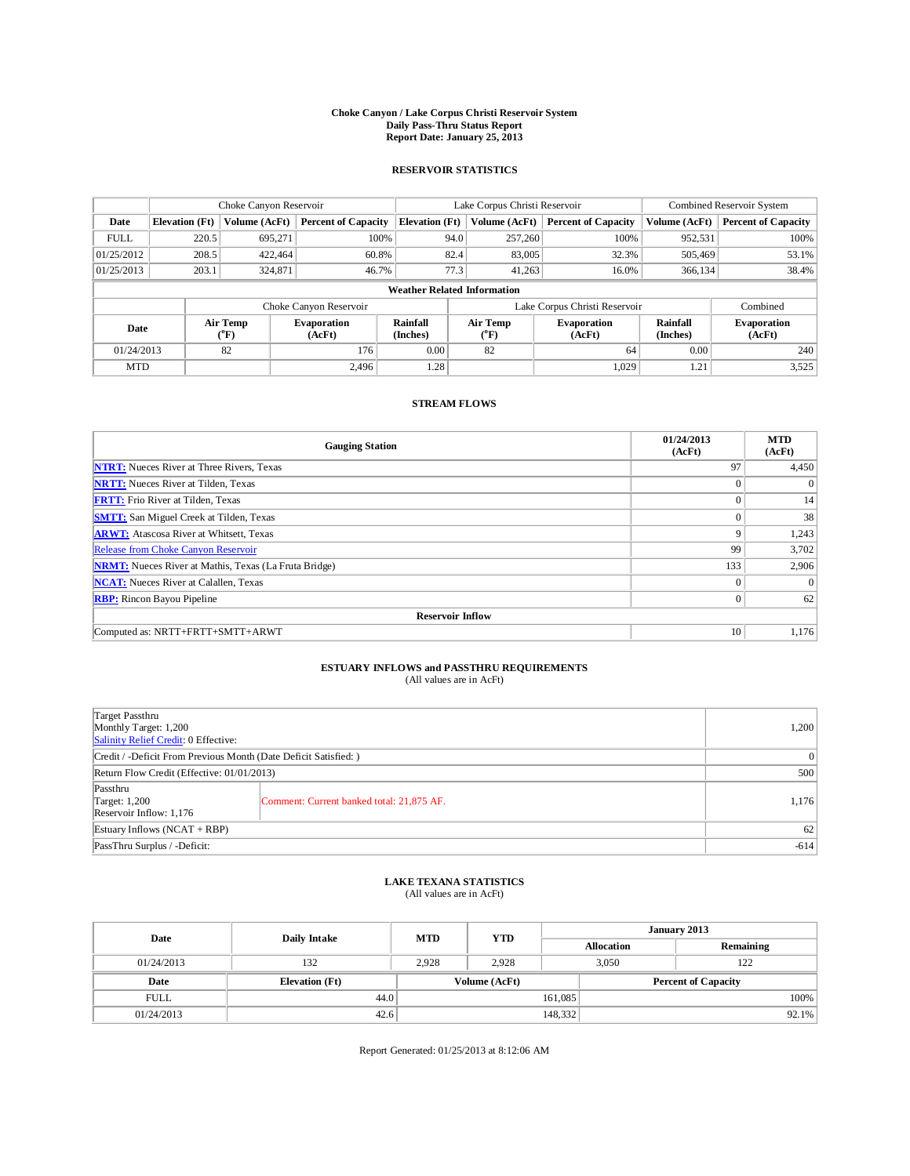## **Choke Canyon / Lake Corpus Christi Reservoir System Daily Pass-Thru Status Report Report Date: January 25, 2013**

### **RESERVOIR STATISTICS**

|             | Choke Canyon Reservoir |                              | Lake Corpus Christi Reservoir |                                    |      |                         | Combined Reservoir System     |                             |                              |
|-------------|------------------------|------------------------------|-------------------------------|------------------------------------|------|-------------------------|-------------------------------|-----------------------------|------------------------------|
| Date        | <b>Elevation</b> (Ft)  | Volume (AcFt)                | <b>Percent of Capacity</b>    | <b>Elevation</b> (Ft)              |      | Volume (AcFt)           | <b>Percent of Capacity</b>    | Volume (AcFt)               | <b>Percent of Capacity</b>   |
| <b>FULL</b> | 220.5                  | 695,271                      | 100%                          |                                    | 94.0 | 257,260                 | 100%                          | 952,531                     | 100%                         |
| 01/25/2012  | 208.5                  | 422.464                      | 60.8%                         |                                    | 82.4 | 83,005                  | 32.3%                         | 505,469                     | 53.1%                        |
| 01/25/2013  | 203.1                  | 324,871                      | 46.7%                         |                                    | 77.3 | 41,263                  | 16.0%                         | 366,134                     | 38.4%                        |
|             |                        |                              |                               | <b>Weather Related Information</b> |      |                         |                               |                             |                              |
|             |                        |                              | Choke Canyon Reservoir        |                                    |      |                         | Lake Corpus Christi Reservoir |                             | Combined                     |
| Date        |                        | Air Temp<br>$({}^0\text{F})$ | <b>Evaporation</b><br>(AcFt)  | <b>Rainfall</b><br>(Inches)        |      | <b>Air Temp</b><br>(°F) | <b>Evaporation</b><br>(AcFt)  | <b>Rainfall</b><br>(Inches) | <b>Evaporation</b><br>(AcFt) |
| 01/24/2013  |                        | 82                           | 0.00<br>82<br>176             |                                    | 64   | 0.00                    | 240                           |                             |                              |
| <b>MTD</b>  |                        |                              | 2.496                         | 1.28                               |      |                         | 1.029                         | 1.21                        | 3,525                        |

#### **STREAM FLOWS**

| <b>Gauging Station</b>                                       | 01/24/2013<br>(AcFt) | <b>MTD</b><br>(AcFt) |
|--------------------------------------------------------------|----------------------|----------------------|
| <b>NTRT:</b> Nueces River at Three Rivers, Texas             | 97                   | 4,450                |
| <b>NRTT:</b> Nueces River at Tilden, Texas                   | $\theta$             | $\Omega$             |
| <b>FRTT:</b> Frio River at Tilden, Texas                     | $\theta$             | 14                   |
| <b>SMTT:</b> San Miguel Creek at Tilden, Texas               | $\Omega$             | 38                   |
| <b>ARWT:</b> Atascosa River at Whitsett, Texas               | 9                    | 1,243                |
| Release from Choke Canyon Reservoir                          | 99                   | 3,702                |
| <b>NRMT:</b> Nueces River at Mathis, Texas (La Fruta Bridge) | 133                  | 2,906                |
| <b>NCAT:</b> Nueces River at Calallen, Texas                 | $\Omega$             | $\Omega$             |
| <b>RBP:</b> Rincon Bayou Pipeline                            | $\theta$             | 62                   |
| <b>Reservoir Inflow</b>                                      |                      |                      |
| Computed as: NRTT+FRTT+SMTT+ARWT                             | 10                   | 1,176                |

# **ESTUARY INFLOWS and PASSTHRU REQUIREMENTS**<br>(All values are in AcFt)

| Target Passthru<br>Monthly Target: 1,200<br>Salinity Relief Credit: 0 Effective: | 1,200                                     |        |
|----------------------------------------------------------------------------------|-------------------------------------------|--------|
| Credit / -Deficit From Previous Month (Date Deficit Satisfied: )                 | $\overline{0}$                            |        |
| Return Flow Credit (Effective: 01/01/2013)                                       | 500                                       |        |
| Passthru<br>Target: 1,200<br>Reservoir Inflow: 1,176                             | Comment: Current banked total: 21,875 AF. | 1,176  |
| Estuary Inflows $(NCAT + RBP)$                                                   | 62                                        |        |
| PassThru Surplus / -Deficit:                                                     |                                           | $-614$ |

## **LAKE TEXANA STATISTICS** (All values are in AcFt)

| Date        | <b>Daily Intake</b>   | <b>MTD</b> | <b>YTD</b>                                  | January 2013 |                   |           |  |
|-------------|-----------------------|------------|---------------------------------------------|--------------|-------------------|-----------|--|
|             |                       |            |                                             |              | <b>Allocation</b> | Remaining |  |
| 01/24/2013  | 132                   | 2,928      | 2.928                                       | 3,050        |                   | 122       |  |
| Date        | <b>Elevation</b> (Ft) |            | Volume (AcFt)<br><b>Percent of Capacity</b> |              |                   |           |  |
| <b>FULL</b> | 44.0                  |            |                                             | 161,085      |                   | 100%      |  |
| 01/24/2013  | 42.6                  |            |                                             | 148,332      |                   | $92.1\%$  |  |

Report Generated: 01/25/2013 at 8:12:06 AM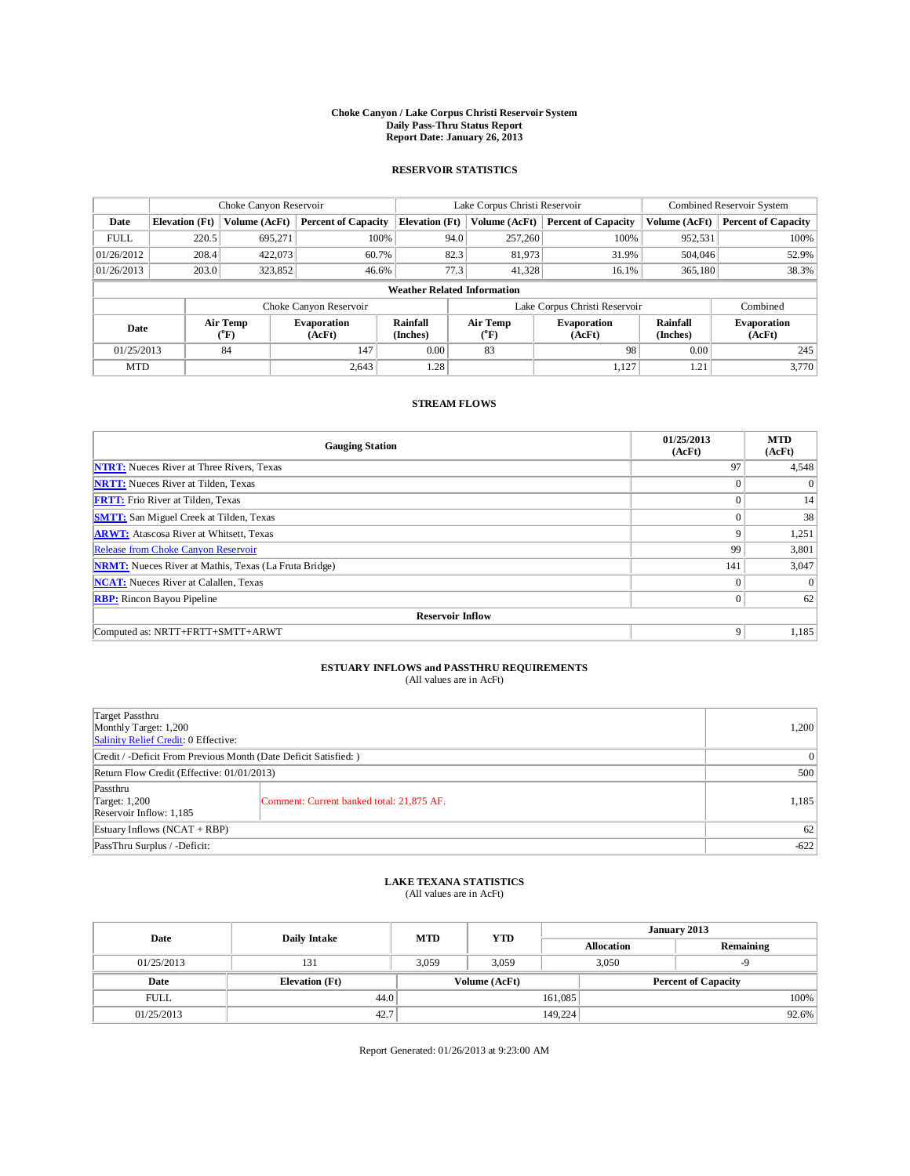## **Choke Canyon / Lake Corpus Christi Reservoir System Daily Pass-Thru Status Report Report Date: January 26, 2013**

### **RESERVOIR STATISTICS**

|             | Choke Canyon Reservoir |                              | Lake Corpus Christi Reservoir |                                    |      |                  | Combined Reservoir System     |                             |                              |
|-------------|------------------------|------------------------------|-------------------------------|------------------------------------|------|------------------|-------------------------------|-----------------------------|------------------------------|
| Date        | <b>Elevation</b> (Ft)  | Volume (AcFt)                | <b>Percent of Capacity</b>    | <b>Elevation</b> (Ft)              |      | Volume (AcFt)    | <b>Percent of Capacity</b>    | Volume (AcFt)               | <b>Percent of Capacity</b>   |
| <b>FULL</b> | 220.5                  | 695,271                      | 100%                          |                                    | 94.0 | 257,260          | 100%                          | 952,531                     | 100%                         |
| 01/26/2012  | 208.4                  | 422,073                      | 60.7%                         |                                    | 82.3 | 81,973           | 31.9%                         | 504,046                     | 52.9%                        |
| 01/26/2013  | 203.0                  | 323,852                      | 46.6%                         |                                    | 77.3 | 41,328           | 16.1%                         | 365,180                     | 38.3%                        |
|             |                        |                              |                               | <b>Weather Related Information</b> |      |                  |                               |                             |                              |
|             |                        |                              | Choke Canyon Reservoir        |                                    |      |                  | Lake Corpus Christi Reservoir |                             | Combined                     |
| Date        |                        | Air Temp<br>$({}^0\text{F})$ | <b>Evaporation</b><br>(AcFt)  | <b>Rainfall</b><br>(Inches)        |      | Air Temp<br>(°F) | <b>Evaporation</b><br>(AcFt)  | <b>Rainfall</b><br>(Inches) | <b>Evaporation</b><br>(AcFt) |
| 01/25/2013  |                        | 84                           | 147                           | 0.00                               | 83   |                  | 98                            | 0.00                        | 245                          |
| <b>MTD</b>  |                        |                              | 2.643                         | 1.28                               |      |                  | 1,127                         | 1.21                        | 3.770                        |

#### **STREAM FLOWS**

| <b>Gauging Station</b>                                       | 01/25/2013<br>(AcFt) | <b>MTD</b><br>(AcFt) |
|--------------------------------------------------------------|----------------------|----------------------|
| <b>NTRT:</b> Nueces River at Three Rivers, Texas             | 97                   | 4,548                |
| <b>NRTT:</b> Nueces River at Tilden, Texas                   | $\theta$             | $\theta$             |
| <b>FRTT:</b> Frio River at Tilden, Texas                     | $\theta$             | 14                   |
| <b>SMTT:</b> San Miguel Creek at Tilden, Texas               | $\theta$             | 38                   |
| <b>ARWT:</b> Atascosa River at Whitsett, Texas               | 9                    | 1,251                |
| Release from Choke Canyon Reservoir                          | 99                   | 3,801                |
| <b>NRMT:</b> Nueces River at Mathis, Texas (La Fruta Bridge) | 141                  | 3,047                |
| <b>NCAT:</b> Nueces River at Calallen, Texas                 | $\mathbf{0}$         | $\Omega$             |
| <b>RBP:</b> Rincon Bayou Pipeline                            | $\overline{0}$       | 62                   |
| <b>Reservoir Inflow</b>                                      |                      |                      |
| Computed as: NRTT+FRTT+SMTT+ARWT                             | 9                    | 1,185                |

# **ESTUARY INFLOWS and PASSTHRU REQUIREMENTS**<br>(All values are in AcFt)

| Target Passthru<br>Monthly Target: 1,200<br>Salinity Relief Credit: 0 Effective: | 1,200                                     |        |
|----------------------------------------------------------------------------------|-------------------------------------------|--------|
| Credit / -Deficit From Previous Month (Date Deficit Satisfied: )                 | $\Omega$                                  |        |
| Return Flow Credit (Effective: 01/01/2013)                                       | 500                                       |        |
| Passthru<br>Target: $1,200$<br>Reservoir Inflow: 1,185                           | Comment: Current banked total: 21,875 AF. | 1,185  |
| Estuary Inflows $(NCAT + RBP)$                                                   | 62                                        |        |
| PassThru Surplus / -Deficit:                                                     |                                           | $-622$ |

## **LAKE TEXANA STATISTICS** (All values are in AcFt)

| Date        | <b>Daily Intake</b>   | <b>MTD</b> | <b>YTD</b>    | January 2013 |                            |           |  |
|-------------|-----------------------|------------|---------------|--------------|----------------------------|-----------|--|
|             |                       |            |               |              | <b>Allocation</b>          | Remaining |  |
| 01/25/2013  | 131                   | 3.059      | 3.059         |              | 3,050                      |           |  |
| Date        | <b>Elevation</b> (Ft) |            | Volume (AcFt) |              | <b>Percent of Capacity</b> |           |  |
| <b>FULL</b> | 44.0                  |            |               | 161,085      |                            | $100\%$   |  |
| 01/25/2013  | 42.7                  |            |               | 149,224      |                            | $92.6\%$  |  |

Report Generated: 01/26/2013 at 9:23:00 AM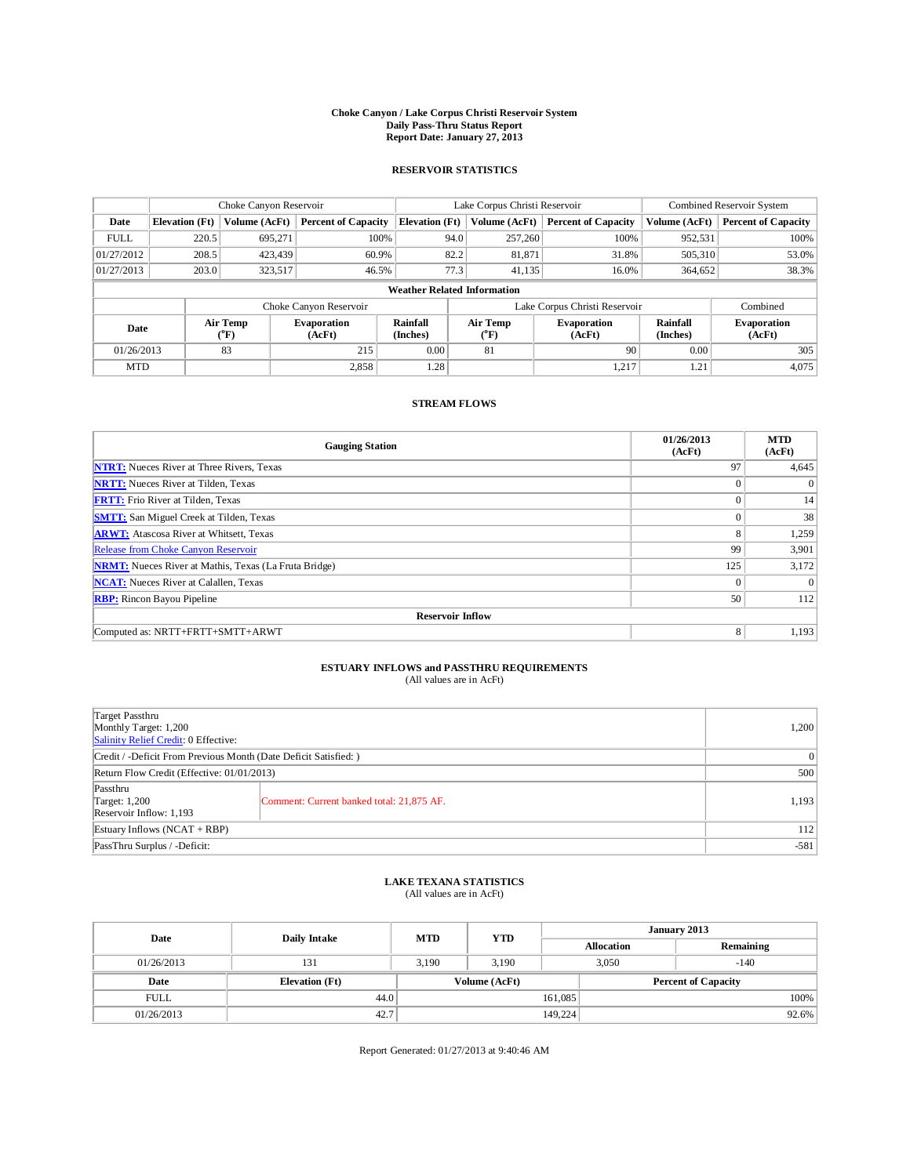## **Choke Canyon / Lake Corpus Christi Reservoir System Daily Pass-Thru Status Report Report Date: January 27, 2013**

### **RESERVOIR STATISTICS**

|             | Choke Canyon Reservoir |                             | Lake Corpus Christi Reservoir |                                    |      |                            | Combined Reservoir System     |                             |                              |
|-------------|------------------------|-----------------------------|-------------------------------|------------------------------------|------|----------------------------|-------------------------------|-----------------------------|------------------------------|
| Date        | <b>Elevation</b> (Ft)  | Volume (AcFt)               | <b>Percent of Capacity</b>    | <b>Elevation</b> (Ft)              |      | Volume (AcFt)              | <b>Percent of Capacity</b>    | Volume (AcFt)               | <b>Percent of Capacity</b>   |
| <b>FULL</b> | 220.5                  | 695,271                     | 100%                          |                                    | 94.0 | 257,260                    | 100%                          | 952,531                     | 100%                         |
| 01/27/2012  | 208.5                  | 423,439                     | 60.9%                         |                                    | 82.2 | 81,871                     | 31.8%                         | 505,310                     | 53.0%                        |
| 01/27/2013  | 203.0                  | 323,517                     | 46.5%                         |                                    | 77.3 | 41.135                     | 16.0%                         | 364,652                     | 38.3%                        |
|             |                        |                             |                               | <b>Weather Related Information</b> |      |                            |                               |                             |                              |
|             |                        |                             | Choke Canyon Reservoir        |                                    |      |                            | Lake Corpus Christi Reservoir |                             | Combined                     |
| Date        |                        | Air Temp<br>${}^{\circ}$ F) | <b>Evaporation</b><br>(AcFt)  | <b>Rainfall</b><br>(Inches)        |      | Air Temp<br>$\rm ^{(^oF)}$ | <b>Evaporation</b><br>(AcFt)  | <b>Rainfall</b><br>(Inches) | <b>Evaporation</b><br>(AcFt) |
| 01/26/2013  |                        | 83                          | 215                           | 0.00                               | 81   |                            | 90                            | 0.00                        | 305                          |
| <b>MTD</b>  |                        |                             | 2,858                         | 1.28                               |      |                            | 1,217                         | 1.21                        | 4,075                        |

#### **STREAM FLOWS**

| <b>Gauging Station</b>                                       | 01/26/2013<br>(AcFt) | <b>MTD</b><br>(AcFt) |
|--------------------------------------------------------------|----------------------|----------------------|
| <b>NTRT:</b> Nueces River at Three Rivers, Texas             | 97                   | 4,645                |
| <b>NRTT:</b> Nueces River at Tilden, Texas                   | $\theta$             | $\theta$             |
| <b>FRTT:</b> Frio River at Tilden, Texas                     | $\theta$             | 14                   |
| <b>SMTT:</b> San Miguel Creek at Tilden, Texas               | $\Omega$             | 38                   |
| <b>ARWT:</b> Atascosa River at Whitsett, Texas               | 8                    | 1,259                |
| Release from Choke Canyon Reservoir                          | 99                   | 3,901                |
| <b>NRMT:</b> Nueces River at Mathis, Texas (La Fruta Bridge) | 125                  | 3,172                |
| <b>NCAT:</b> Nueces River at Calallen, Texas                 | $\Omega$             | $\Omega$             |
| <b>RBP:</b> Rincon Bayou Pipeline                            | 50                   | 112                  |
| <b>Reservoir Inflow</b>                                      |                      |                      |
| Computed as: NRTT+FRTT+SMTT+ARWT                             | 8                    | 1,193                |

# **ESTUARY INFLOWS and PASSTHRU REQUIREMENTS**<br>(All values are in AcFt)

| Target Passthru<br>Monthly Target: 1,200<br>Salinity Relief Credit: 0 Effective: | 1,200                                     |        |
|----------------------------------------------------------------------------------|-------------------------------------------|--------|
| Credit / -Deficit From Previous Month (Date Deficit Satisfied: )                 | $\overline{0}$                            |        |
| Return Flow Credit (Effective: 01/01/2013)                                       | 500                                       |        |
| Passthru<br>Target: 1,200<br>Reservoir Inflow: 1,193                             | Comment: Current banked total: 21,875 AF. | 1,193  |
| Estuary Inflows $(NCAT + RBP)$                                                   | 112                                       |        |
| PassThru Surplus / -Deficit:                                                     |                                           | $-581$ |

## **LAKE TEXANA STATISTICS** (All values are in AcFt)

| Date        | Daily Intake          | <b>MTD</b> | <b>YTD</b>                                  | January 2013 |                   |           |  |
|-------------|-----------------------|------------|---------------------------------------------|--------------|-------------------|-----------|--|
|             |                       |            |                                             |              | <b>Allocation</b> | Remaining |  |
| 01/26/2013  | 131                   | 3.190      | 3.190                                       |              | 3,050             | $-140$    |  |
| Date        | <b>Elevation</b> (Ft) |            | Volume (AcFt)<br><b>Percent of Capacity</b> |              |                   |           |  |
| <b>FULL</b> | 44.0                  |            |                                             | 161,085      |                   | 100%      |  |
| 01/26/2013  | 42.7                  |            |                                             | 149,224      |                   | 92.6%     |  |

Report Generated: 01/27/2013 at 9:40:46 AM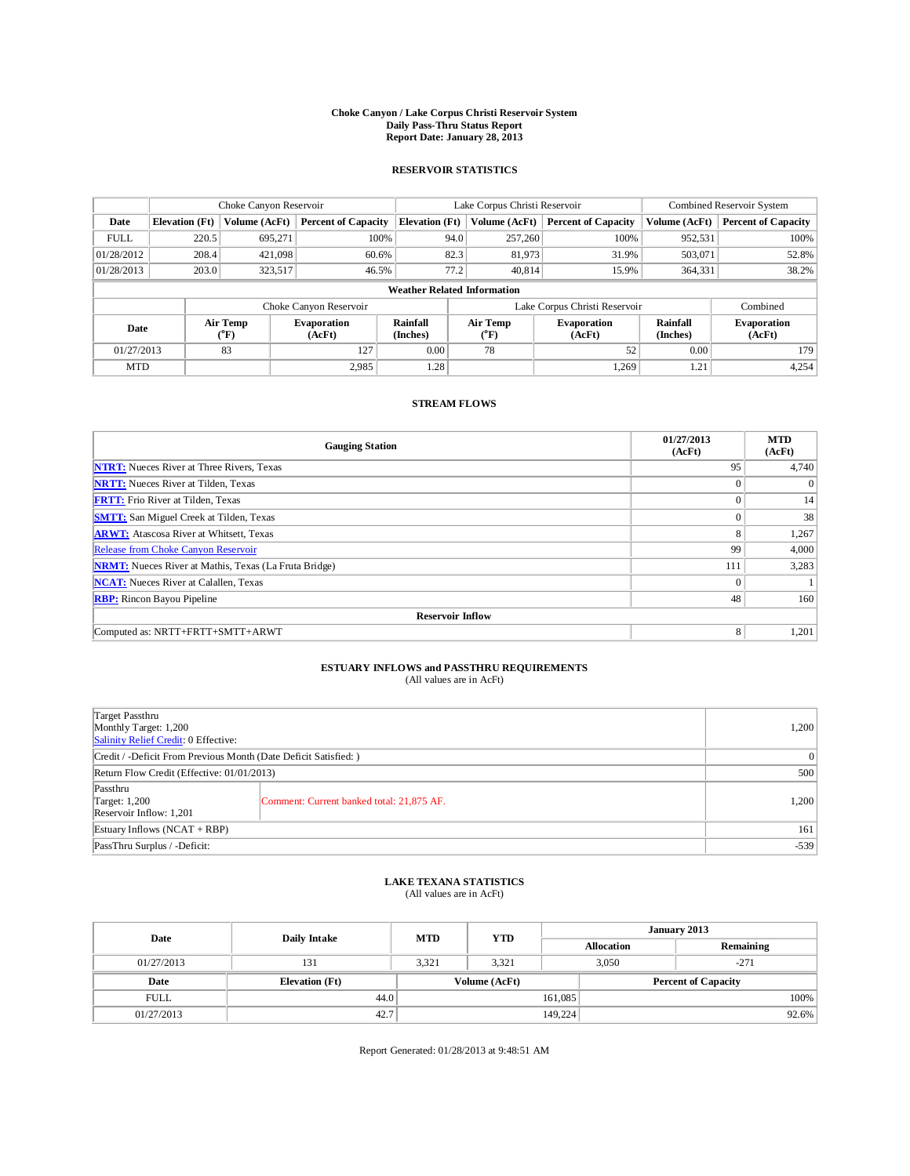## **Choke Canyon / Lake Corpus Christi Reservoir System Daily Pass-Thru Status Report Report Date: January 28, 2013**

### **RESERVOIR STATISTICS**

|             | Choke Canyon Reservoir             |                              | Lake Corpus Christi Reservoir |                             |                               |                  | Combined Reservoir System    |                             |                              |  |
|-------------|------------------------------------|------------------------------|-------------------------------|-----------------------------|-------------------------------|------------------|------------------------------|-----------------------------|------------------------------|--|
| Date        | <b>Elevation</b> (Ft)              | Volume (AcFt)                | <b>Percent of Capacity</b>    | <b>Elevation</b> (Ft)       |                               | Volume (AcFt)    | <b>Percent of Capacity</b>   | Volume (AcFt)               | <b>Percent of Capacity</b>   |  |
| <b>FULL</b> | 220.5                              | 695,271                      | 100%                          |                             | 94.0                          | 257,260          | 100%                         | 952,531                     | 100%                         |  |
| 01/28/2012  | 208.4                              | 421,098                      | 60.6%                         |                             | 82.3                          | 81,973           | 31.9%                        | 503,071                     | 52.8%                        |  |
| 01/28/2013  | 203.0                              | 323,517                      | 46.5%                         |                             | 77.2                          | 40,814           | 15.9%                        | 364,331                     | 38.2%                        |  |
|             | <b>Weather Related Information</b> |                              |                               |                             |                               |                  |                              |                             |                              |  |
|             |                                    |                              | Choke Canyon Reservoir        |                             | Lake Corpus Christi Reservoir |                  |                              |                             | Combined                     |  |
| Date        |                                    | Air Temp<br>$({}^0\text{F})$ | <b>Evaporation</b><br>(AcFt)  | <b>Rainfall</b><br>(Inches) |                               | Air Temp<br>(°F) | <b>Evaporation</b><br>(AcFt) | <b>Rainfall</b><br>(Inches) | <b>Evaporation</b><br>(AcFt) |  |
| 01/27/2013  |                                    | 83                           | 127                           | 0.00                        |                               | 78               | 52                           | 0.00                        | 179                          |  |
| <b>MTD</b>  |                                    |                              | 2.985                         | 1.28                        |                               |                  | 1.269                        | 1.21                        | 4,254                        |  |

### **STREAM FLOWS**

| <b>Gauging Station</b>                                       | 01/27/2013<br>(AcFt) | <b>MTD</b><br>(AcFt) |  |  |  |  |  |  |  |  |
|--------------------------------------------------------------|----------------------|----------------------|--|--|--|--|--|--|--|--|
| <b>NTRT:</b> Nueces River at Three Rivers, Texas             | 95                   | 4,740                |  |  |  |  |  |  |  |  |
| <b>NRTT:</b> Nueces River at Tilden, Texas                   | $\theta$             | $\Omega$             |  |  |  |  |  |  |  |  |
| <b>FRTT:</b> Frio River at Tilden, Texas                     | $\theta$             | 14                   |  |  |  |  |  |  |  |  |
| <b>SMTT:</b> San Miguel Creek at Tilden, Texas               | $\Omega$             | 38                   |  |  |  |  |  |  |  |  |
| <b>ARWT:</b> Atascosa River at Whitsett, Texas               | 8                    | 1,267                |  |  |  |  |  |  |  |  |
| Release from Choke Canyon Reservoir                          | 99                   | 4,000                |  |  |  |  |  |  |  |  |
| <b>NRMT:</b> Nueces River at Mathis, Texas (La Fruta Bridge) | 111                  | 3,283                |  |  |  |  |  |  |  |  |
| <b>NCAT:</b> Nueces River at Calallen, Texas                 | $\mathbf{0}$         |                      |  |  |  |  |  |  |  |  |
| <b>RBP:</b> Rincon Bayou Pipeline                            | 48                   | 160                  |  |  |  |  |  |  |  |  |
| <b>Reservoir Inflow</b>                                      |                      |                      |  |  |  |  |  |  |  |  |
| Computed as: NRTT+FRTT+SMTT+ARWT                             | 8                    | 1,201                |  |  |  |  |  |  |  |  |

## **ESTUARY INFLOWS and PASSTHRU REQUIREMENTS**<br>(All values are in AcFt)

| Target Passthru<br>Monthly Target: 1,200<br>Salinity Relief Credit: 0 Effective: |                                           |       |  |  |  |
|----------------------------------------------------------------------------------|-------------------------------------------|-------|--|--|--|
| Credit / -Deficit From Previous Month (Date Deficit Satisfied: )                 |                                           |       |  |  |  |
| Return Flow Credit (Effective: 01/01/2013)                                       |                                           |       |  |  |  |
| Passthru<br>Target: 1,200<br>Reservoir Inflow: 1,201                             | Comment: Current banked total: 21,875 AF. | 1,200 |  |  |  |
| Estuary Inflows $(NCAT + RBP)$                                                   | 161                                       |       |  |  |  |
| PassThru Surplus / -Deficit:                                                     | $-539$                                    |       |  |  |  |

## **LAKE TEXANA STATISTICS** (All values are in AcFt)

| Date        | <b>Daily Intake</b>   | <b>MTD</b> | <b>YTD</b>    | January 2013 |                   |                            |  |
|-------------|-----------------------|------------|---------------|--------------|-------------------|----------------------------|--|
|             |                       |            |               |              | <b>Allocation</b> | Remaining                  |  |
| 01/27/2013  | 131                   | 3.321      | 3.321         |              | 3,050             | $-271$                     |  |
| Date        | <b>Elevation</b> (Ft) |            | Volume (AcFt) |              |                   | <b>Percent of Capacity</b> |  |
| <b>FULL</b> | 44.0                  |            |               | 161,085      |                   | 100%                       |  |
| 01/27/2013  | 42.7                  |            |               | 149,224      |                   | 92.6%                      |  |

Report Generated: 01/28/2013 at 9:48:51 AM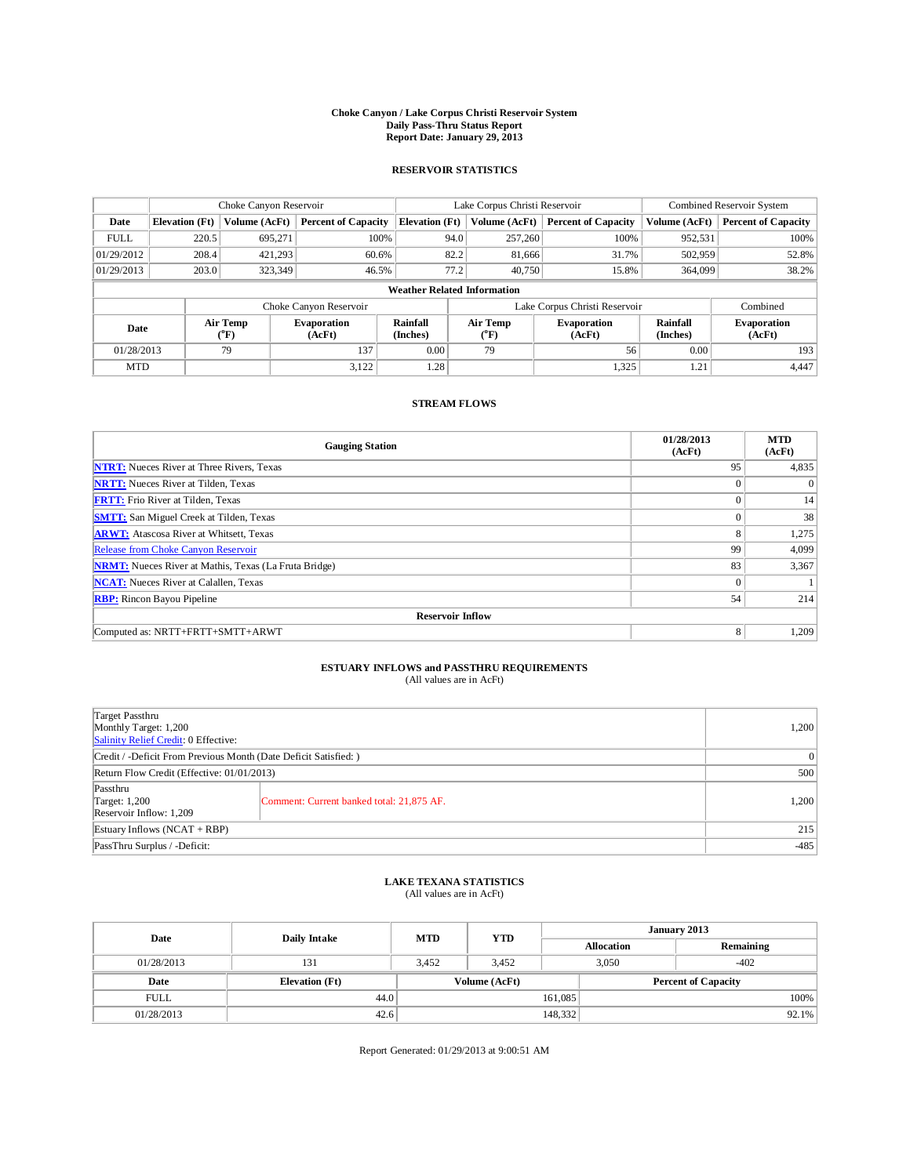## **Choke Canyon / Lake Corpus Christi Reservoir System Daily Pass-Thru Status Report Report Date: January 29, 2013**

### **RESERVOIR STATISTICS**

|             | Choke Canyon Reservoir             |                  |                              |                             | Lake Corpus Christi Reservoir |                        |                              |                             | Combined Reservoir System    |  |  |
|-------------|------------------------------------|------------------|------------------------------|-----------------------------|-------------------------------|------------------------|------------------------------|-----------------------------|------------------------------|--|--|
| Date        | <b>Elevation</b> (Ft)              | Volume (AcFt)    | <b>Percent of Capacity</b>   | <b>Elevation</b> (Ft)       |                               | Volume (AcFt)          | <b>Percent of Capacity</b>   | Volume (AcFt)               | <b>Percent of Capacity</b>   |  |  |
| <b>FULL</b> | 220.5                              | 695,271          | 100%                         |                             | 94.0                          | 257,260                | 100%                         | 952,531                     | 100%                         |  |  |
| 01/29/2012  | 208.4                              | 421.293          | 60.6%                        |                             | 82.2                          | 81,666                 | 31.7%                        | 502,959                     | 52.8%                        |  |  |
| 01/29/2013  | 203.0                              | 323,349          | 46.5%                        |                             | 77.2                          | 40.750                 | 15.8%                        | 364,099                     | 38.2%                        |  |  |
|             | <b>Weather Related Information</b> |                  |                              |                             |                               |                        |                              |                             |                              |  |  |
|             |                                    |                  | Choke Canyon Reservoir       |                             | Lake Corpus Christi Reservoir |                        |                              |                             | Combined                     |  |  |
| Date        |                                    | Air Temp<br>(°F) | <b>Evaporation</b><br>(AcFt) | <b>Rainfall</b><br>(Inches) |                               | <b>Air Temp</b><br>(°F | <b>Evaporation</b><br>(AcFt) | <b>Rainfall</b><br>(Inches) | <b>Evaporation</b><br>(AcFt) |  |  |
| 01/28/2013  |                                    | 79               | 137                          | 0.00                        |                               | 79                     | 56                           | 0.00                        | 193                          |  |  |
| <b>MTD</b>  |                                    |                  | 3,122                        | 1.28                        |                               |                        | 1,325                        | 1.21                        | 4,447                        |  |  |

### **STREAM FLOWS**

| <b>Gauging Station</b>                                       | 01/28/2013<br>(AcFt) | <b>MTD</b><br>(AcFt) |  |  |  |  |  |  |  |
|--------------------------------------------------------------|----------------------|----------------------|--|--|--|--|--|--|--|
| <b>NTRT:</b> Nueces River at Three Rivers, Texas             | 95                   | 4,835                |  |  |  |  |  |  |  |
| <b>NRTT:</b> Nueces River at Tilden, Texas                   | $\theta$             | $\theta$             |  |  |  |  |  |  |  |
| <b>FRTT:</b> Frio River at Tilden, Texas                     | $\theta$             | 14                   |  |  |  |  |  |  |  |
| <b>SMTT:</b> San Miguel Creek at Tilden, Texas               | $\Omega$             | 38                   |  |  |  |  |  |  |  |
| <b>ARWT:</b> Atascosa River at Whitsett, Texas               | 8                    | 1,275                |  |  |  |  |  |  |  |
| Release from Choke Canyon Reservoir                          | 99                   | 4,099                |  |  |  |  |  |  |  |
| <b>NRMT:</b> Nueces River at Mathis, Texas (La Fruta Bridge) | 83                   | 3,367                |  |  |  |  |  |  |  |
| <b>NCAT:</b> Nueces River at Calallen, Texas                 | $\Omega$             |                      |  |  |  |  |  |  |  |
| <b>RBP:</b> Rincon Bayou Pipeline                            | 54                   | 214                  |  |  |  |  |  |  |  |
| <b>Reservoir Inflow</b>                                      |                      |                      |  |  |  |  |  |  |  |
| Computed as: NRTT+FRTT+SMTT+ARWT                             | 8                    | 1,209                |  |  |  |  |  |  |  |

# **ESTUARY INFLOWS and PASSTHRU REQUIREMENTS**<br>(All values are in AcFt)

| Target Passthru<br>Monthly Target: 1,200<br>Salinity Relief Credit: 0 Effective: | 1,200                                     |       |  |  |
|----------------------------------------------------------------------------------|-------------------------------------------|-------|--|--|
| Credit / -Deficit From Previous Month (Date Deficit Satisfied: )                 |                                           |       |  |  |
| Return Flow Credit (Effective: 01/01/2013)                                       |                                           |       |  |  |
| Passthru<br>Target: 1,200<br>Reservoir Inflow: 1,209                             | Comment: Current banked total: 21,875 AF. | 1,200 |  |  |
| Estuary Inflows $(NCAT + RBP)$                                                   |                                           |       |  |  |
| PassThru Surplus / -Deficit:                                                     | $-485$                                    |       |  |  |

## **LAKE TEXANA STATISTICS** (All values are in AcFt)

| Date        | Daily Intake          | <b>MTD</b> | <b>YTD</b>    | January 2013 |                   |                            |       |
|-------------|-----------------------|------------|---------------|--------------|-------------------|----------------------------|-------|
|             |                       |            |               |              | <b>Allocation</b> | Remaining                  |       |
| 01/28/2013  | 131                   | 3.452      | 3.452         |              | 3,050             | $-402$                     |       |
| Date        | <b>Elevation</b> (Ft) |            | Volume (AcFt) |              |                   | <b>Percent of Capacity</b> |       |
| <b>FULL</b> | 44.0                  |            |               | 161,085      |                   |                            | 100%  |
| 01/28/2013  | 42.6                  |            |               | 148,332      |                   |                            | 92.1% |

Report Generated: 01/29/2013 at 9:00:51 AM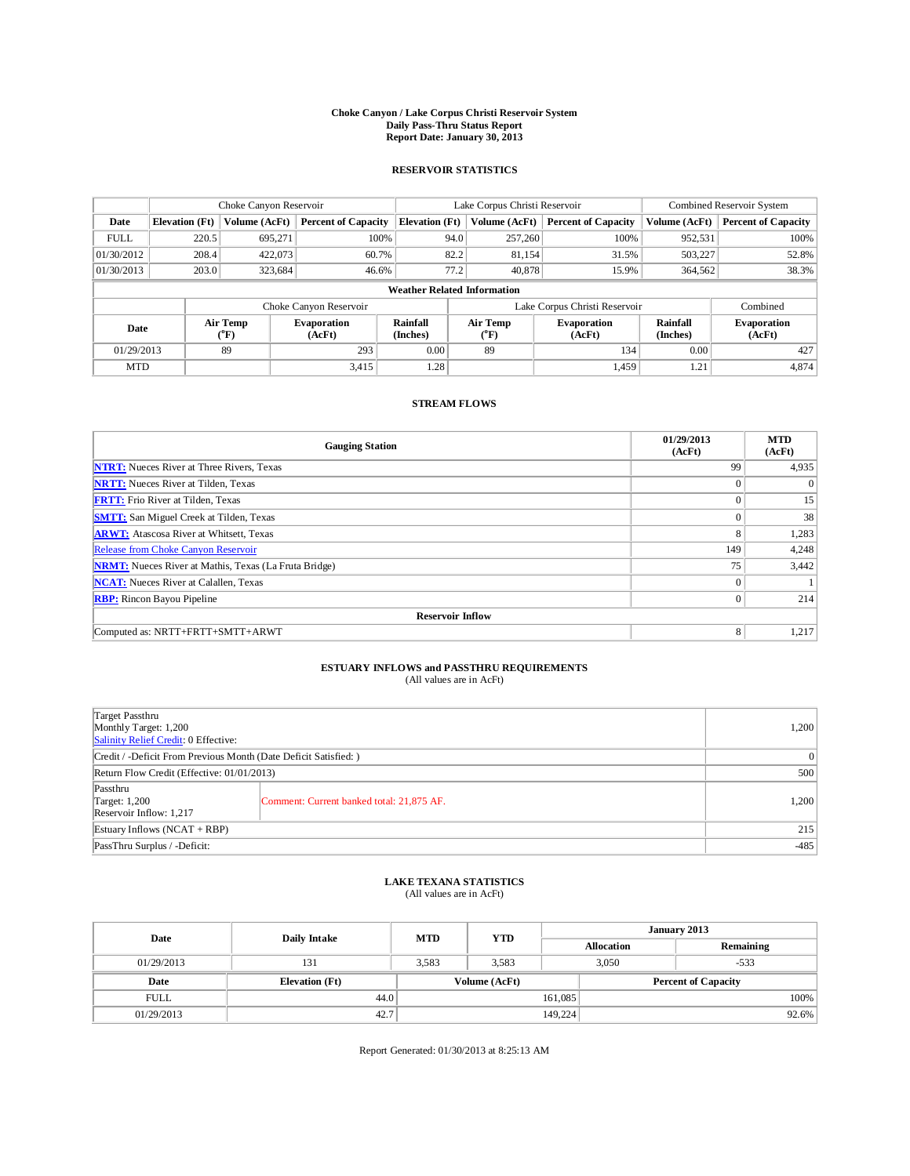## **Choke Canyon / Lake Corpus Christi Reservoir System Daily Pass-Thru Status Report Report Date: January 30, 2013**

### **RESERVOIR STATISTICS**

|             | Choke Canyon Reservoir             |                  |                              |                             | Lake Corpus Christi Reservoir |                              |                              |                             | Combined Reservoir System    |  |  |
|-------------|------------------------------------|------------------|------------------------------|-----------------------------|-------------------------------|------------------------------|------------------------------|-----------------------------|------------------------------|--|--|
| Date        | <b>Elevation</b> (Ft)              | Volume (AcFt)    | <b>Percent of Capacity</b>   | <b>Elevation</b> (Ft)       |                               | Volume (AcFt)                | <b>Percent of Capacity</b>   | Volume (AcFt)               | <b>Percent of Capacity</b>   |  |  |
| <b>FULL</b> | 220.5                              | 695,271          | 100%                         |                             | 94.0                          | 257,260                      | 100%                         | 952,531                     | 100%                         |  |  |
| 01/30/2012  | 208.4                              | 422,073          | 60.7%                        |                             | 82.2                          | 81,154                       | 31.5%                        | 503,227                     | 52.8%                        |  |  |
| 01/30/2013  | 203.0                              | 323,684          | 46.6%                        |                             | 77.2                          | 40,878                       | 15.9%                        | 364,562                     | 38.3%                        |  |  |
|             | <b>Weather Related Information</b> |                  |                              |                             |                               |                              |                              |                             |                              |  |  |
|             |                                    |                  | Choke Canyon Reservoir       |                             | Lake Corpus Christi Reservoir |                              |                              |                             | Combined                     |  |  |
| Date        |                                    | Air Temp<br>(°F) | <b>Evaporation</b><br>(AcFt) | <b>Rainfall</b><br>(Inches) |                               | <b>Air Temp</b><br>$(^{o}F)$ | <b>Evaporation</b><br>(AcFt) | <b>Rainfall</b><br>(Inches) | <b>Evaporation</b><br>(AcFt) |  |  |
| 01/29/2013  |                                    | 89               | 293                          | 0.00                        |                               | 89                           | 134                          | 0.00                        | 427                          |  |  |
| <b>MTD</b>  |                                    |                  | 3,415                        | 1.28                        |                               |                              | 1,459                        | 1.21                        | 4,874                        |  |  |

#### **STREAM FLOWS**

| <b>Gauging Station</b>                                       | 01/29/2013<br>(AcFt) | <b>MTD</b><br>(AcFt) |  |  |  |  |  |  |  |
|--------------------------------------------------------------|----------------------|----------------------|--|--|--|--|--|--|--|
| <b>NTRT:</b> Nueces River at Three Rivers, Texas             | 99                   | 4,935                |  |  |  |  |  |  |  |
| <b>NRTT:</b> Nueces River at Tilden, Texas                   | $\Omega$             |                      |  |  |  |  |  |  |  |
| <b>FRTT:</b> Frio River at Tilden, Texas                     | $\Omega$             | 15                   |  |  |  |  |  |  |  |
| <b>SMTT:</b> San Miguel Creek at Tilden, Texas               | $\Omega$             | 38                   |  |  |  |  |  |  |  |
| <b>ARWT:</b> Atascosa River at Whitsett, Texas               | 8                    | 1,283                |  |  |  |  |  |  |  |
| Release from Choke Canyon Reservoir                          | 149                  | 4,248                |  |  |  |  |  |  |  |
| <b>NRMT:</b> Nueces River at Mathis, Texas (La Fruta Bridge) | 75                   | 3,442                |  |  |  |  |  |  |  |
| <b>NCAT:</b> Nueces River at Calallen, Texas                 | $\mathbf{0}$         |                      |  |  |  |  |  |  |  |
| <b>RBP:</b> Rincon Bayou Pipeline                            | $\theta$             | 214                  |  |  |  |  |  |  |  |
| <b>Reservoir Inflow</b>                                      |                      |                      |  |  |  |  |  |  |  |
| Computed as: NRTT+FRTT+SMTT+ARWT                             | 8                    | 1,217                |  |  |  |  |  |  |  |

## **ESTUARY INFLOWS and PASSTHRU REQUIREMENTS**<br>(All values are in AcFt)

| Target Passthru<br>Monthly Target: 1,200<br>Salinity Relief Credit: 0 Effective: | 1,200                                     |       |  |  |
|----------------------------------------------------------------------------------|-------------------------------------------|-------|--|--|
| Credit / -Deficit From Previous Month (Date Deficit Satisfied: )                 |                                           |       |  |  |
| Return Flow Credit (Effective: 01/01/2013)                                       | 500                                       |       |  |  |
| Passthru<br>Target: 1,200<br>Reservoir Inflow: 1,217                             | Comment: Current banked total: 21,875 AF. | 1,200 |  |  |
| Estuary Inflows $(NCAT + RBP)$                                                   | 215                                       |       |  |  |
| PassThru Surplus / -Deficit:                                                     | $-485$                                    |       |  |  |

## **LAKE TEXANA STATISTICS** (All values are in AcFt)

| Date        | <b>Daily Intake</b>   | <b>MTD</b> | <b>YTD</b>    | January 2013 |                   |                            |       |
|-------------|-----------------------|------------|---------------|--------------|-------------------|----------------------------|-------|
|             |                       |            |               |              | <b>Allocation</b> | Remaining                  |       |
| 01/29/2013  | 131                   | 3,583      | 3,583         | 3,050        |                   | $-533$                     |       |
| Date        | <b>Elevation</b> (Ft) |            | Volume (AcFt) |              |                   | <b>Percent of Capacity</b> |       |
| <b>FULL</b> | 44.0                  |            |               | 161,085      |                   |                            | 100%  |
| 01/29/2013  | 42.7                  |            |               | 149,224      |                   |                            | 92.6% |

Report Generated: 01/30/2013 at 8:25:13 AM